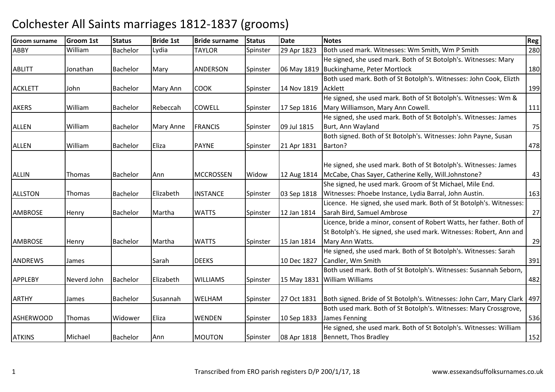| <b>Groom surname</b> | Groom 1st     | <b>Status</b>   | <b>Bride 1st</b> | <b>Bride surname</b> | <b>Status</b> | <b>Date</b> | <b>Notes</b>                                                               | Reg |
|----------------------|---------------|-----------------|------------------|----------------------|---------------|-------------|----------------------------------------------------------------------------|-----|
| <b>ABBY</b>          | William       | Bachelor        | Lydia            | <b>TAYLOR</b>        | Spinster      | 29 Apr 1823 | Both used mark. Witnesses: Wm Smith, Wm P Smith                            | 280 |
|                      |               |                 |                  |                      |               |             | He signed, she used mark. Both of St Botolph's. Witnesses: Mary            |     |
| <b>ABLITT</b>        | Jonathan      | Bachelor        | Mary             | ANDERSON             | Spinster      |             | 06 May 1819 Buckinghame, Peter Mortlock                                    | 180 |
|                      |               |                 |                  |                      |               |             | Both used mark. Both of St Botolph's. Witnesses: John Cook, Elizth         |     |
| <b>ACKLETT</b>       | John          | Bachelor        | Mary Ann         | <b>COOK</b>          | Spinster      | 14 Nov 1819 | Acklett                                                                    | 199 |
|                      |               |                 |                  |                      |               |             | He signed, she used mark. Both of St Botolph's. Witnesses: Wm &            |     |
| <b>AKERS</b>         | William       | Bachelor        | Rebeccah         | <b>COWELL</b>        | Spinster      | 17 Sep 1816 | Mary Williamson, Mary Ann Cowell.                                          | 111 |
|                      |               |                 |                  |                      |               |             | He signed, she used mark. Both of St Botolph's. Witnesses: James           |     |
| <b>ALLEN</b>         | William       | Bachelor        | Mary Anne        | <b>FRANCIS</b>       | Spinster      | 09 Jul 1815 | Burt, Ann Wayland                                                          | 75  |
|                      |               |                 |                  |                      |               |             | Both signed. Both of St Botolph's. Witnesses: John Payne, Susan            |     |
| <b>ALLEN</b>         | William       | Bachelor        | Eliza            | <b>PAYNE</b>         | Spinster      | 21 Apr 1831 | Barton?                                                                    | 478 |
|                      |               |                 |                  |                      |               |             |                                                                            |     |
|                      |               |                 |                  |                      |               |             | He signed, she used mark. Both of St Botolph's. Witnesses: James           |     |
| <b>ALLIN</b>         | Thomas        | <b>Bachelor</b> | Ann              | <b>MCCROSSEN</b>     | Widow         | 12 Aug 1814 | McCabe, Chas Sayer, Catherine Kelly, Will.Johnstone?                       | 43  |
|                      |               |                 |                  |                      |               |             | She signed, he used mark. Groom of St Michael, Mile End.                   |     |
| <b>ALLSTON</b>       | Thomas        | Bachelor        | Elizabeth        | <b>INSTANCE</b>      | Spinster      | 03 Sep 1818 | Witnesses: Phoebe Instance, Lydia Barral, John Austin.                     | 163 |
|                      |               |                 |                  |                      |               |             | Licence. He signed, she used mark. Both of St Botolph's. Witnesses:        |     |
| <b>AMBROSE</b>       | Henry         | Bachelor        | Martha           | <b>WATTS</b>         | Spinster      | 12 Jan 1814 | Sarah Bird, Samuel Ambrose                                                 | 27  |
|                      |               |                 |                  |                      |               |             | Licence, bride a minor, consent of Robert Watts, her father. Both of       |     |
|                      |               |                 |                  |                      |               |             | St Botolph's. He signed, she used mark. Witnesses: Robert, Ann and         |     |
| <b>AMBROSE</b>       | Henry         | <b>Bachelor</b> | Martha           | <b>WATTS</b>         | Spinster      | 15 Jan 1814 | Mary Ann Watts.                                                            | 29  |
|                      |               |                 |                  |                      |               |             | He signed, she used mark. Both of St Botolph's. Witnesses: Sarah           |     |
| <b>ANDREWS</b>       | James         |                 | Sarah            | <b>DEEKS</b>         |               | 10 Dec 1827 | Candler, Wm Smith                                                          | 391 |
|                      |               |                 |                  |                      |               |             | Both used mark. Both of St Botolph's. Witnesses: Susannah Seborn,          |     |
| <b>APPLEBY</b>       | Neverd John   | Bachelor        | Elizabeth        | <b>WILLIAMS</b>      | Spinster      |             | 15 May 1831 William Williams                                               | 482 |
|                      |               |                 |                  |                      |               |             |                                                                            |     |
| <b>ARTHY</b>         | James         | Bachelor        | Susannah         | WELHAM               | Spinster      | 27 Oct 1831 | Both signed. Bride of St Botolph's. Witnesses: John Carr, Mary Clark   497 |     |
|                      |               |                 |                  |                      |               |             | Both used mark. Both of St Botolph's. Witnesses: Mary Crossgrove,          |     |
| <b>ASHERWOOD</b>     | <b>Thomas</b> | Widower         | Eliza            | <b>WENDEN</b>        | Spinster      | 10 Sep 1833 | James Fenning                                                              | 536 |
|                      |               |                 |                  |                      |               |             | He signed, she used mark. Both of St Botolph's. Witnesses: William         |     |
| <b>ATKINS</b>        | Michael       | Bachelor        | Ann              | <b>MOUTON</b>        | Spinster      | 08 Apr 1818 | Bennett, Thos Bradley                                                      | 152 |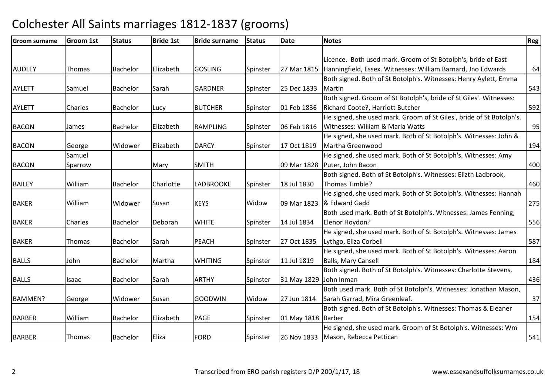| <b>Groom surname</b> | <b>Groom 1st</b> | <b>Status</b> | <b>Bride 1st</b> | <b>Bride surname</b> | <b>Status</b> | <b>Date</b>            | <b>Notes</b>                                                               | <b>Reg</b> |
|----------------------|------------------|---------------|------------------|----------------------|---------------|------------------------|----------------------------------------------------------------------------|------------|
|                      |                  |               |                  |                      |               |                        |                                                                            |            |
|                      |                  |               |                  |                      |               |                        | Licence. Both used mark. Groom of St Botolph's, bride of East              |            |
| <b>AUDLEY</b>        | Thomas           | Bachelor      | Elizabeth        | <b>GOSLING</b>       | Spinster      |                        | 27 Mar 1815   Hanningfield, Essex. Witnesses: William Barnard, Jno Edwards | 64         |
|                      |                  |               |                  |                      |               |                        | Both signed. Both of St Botolph's. Witnesses: Henry Aylett, Emma           |            |
| <b>AYLETT</b>        | Samuel           | Bachelor      | Sarah            | <b>GARDNER</b>       | Spinster      | 25 Dec 1833            | Martin                                                                     | 543        |
|                      |                  |               |                  |                      |               |                        | Both signed. Groom of St Botolph's, bride of St Giles'. Witnesses:         |            |
| <b>AYLETT</b>        | Charles          | Bachelor      | Lucy             | <b>BUTCHER</b>       | Spinster      | 01 Feb 1836            | Richard Coote?, Harriott Butcher                                           | 592        |
|                      |                  |               |                  |                      |               |                        | He signed, she used mark. Groom of St Giles', bride of St Botolph's.       |            |
| <b>BACON</b>         | James            | Bachelor      | Elizabeth        | <b>RAMPLING</b>      | Spinster      | 06 Feb 1816            | Witnesses: William & Maria Watts                                           | 95         |
|                      |                  |               |                  |                      |               |                        | He signed, she used mark. Both of St Botolph's. Witnesses: John &          |            |
| <b>BACON</b>         | George           | Widower       | Elizabeth        | <b>DARCY</b>         | Spinster      | 17 Oct 1819            | Martha Greenwood                                                           | 194        |
|                      | Samuel           |               |                  |                      |               |                        | He signed, she used mark. Both of St Botolph's. Witnesses: Amy             |            |
| <b>BACON</b>         | Sparrow          |               | Mary             | <b>SMITH</b>         |               |                        | 09 Mar 1828 Puter, John Bacon                                              | 400        |
|                      |                  |               |                  |                      |               |                        | Both signed. Both of St Botolph's. Witnesses: Elizth Ladbrook,             |            |
| <b>BAILEY</b>        | William          | Bachelor      | Charlotte        | <b>LADBROOKE</b>     | Spinster      | 18 Jul 1830            | Thomas Timble?                                                             | 460        |
|                      |                  |               |                  |                      |               |                        | He signed, she used mark. Both of St Botolph's. Witnesses: Hannah          |            |
| <b>BAKER</b>         | William          | Widower       | Susan            | <b>KEYS</b>          | Widow         | 09 Mar 1823            | & Edward Gadd                                                              | 275        |
|                      |                  |               |                  |                      |               |                        | Both used mark. Both of St Botolph's. Witnesses: James Fenning,            |            |
| <b>BAKER</b>         | Charles          | Bachelor      | Deborah          | <b>WHITE</b>         | Spinster      | 14 Jul 1834            | Elenor Hoydon?                                                             | 556        |
|                      |                  |               |                  |                      |               |                        | He signed, she used mark. Both of St Botolph's. Witnesses: James           |            |
| <b>BAKER</b>         | Thomas           | Bachelor      | Sarah            | <b>PEACH</b>         | Spinster      | 27 Oct 1835            | Lythgo, Eliza Corbell                                                      | 587        |
|                      |                  |               |                  |                      |               |                        | He signed, she used mark. Both of St Botolph's. Witnesses: Aaron           |            |
| <b>BALLS</b>         | John             | Bachelor      | Martha           | <b>WHITING</b>       | Spinster      | 11 Jul 1819            | <b>Balls, Mary Cansell</b>                                                 | 184        |
|                      |                  |               |                  |                      |               |                        | Both signed. Both of St Botolph's. Witnesses: Charlotte Stevens,           |            |
| <b>BALLS</b>         | Isaac            | Bachelor      | Sarah            | <b>ARTHY</b>         | Spinster      | 31 May 1829 John Inman |                                                                            | 436        |
|                      |                  |               |                  |                      |               |                        | Both used mark. Both of St Botolph's. Witnesses: Jonathan Mason,           |            |
| <b>BAMMEN?</b>       | George           | Widower       | Susan            | <b>GOODWIN</b>       | Widow         | 27 Jun 1814            | Sarah Garrad, Mira Greenleaf.                                              | 37         |
|                      |                  |               |                  |                      |               |                        | Both signed. Both of St Botolph's. Witnesses: Thomas & Eleaner             |            |
| <b>BARBER</b>        | William          | Bachelor      | Elizabeth        | PAGE                 | Spinster      | 01 May 1818   Barber   |                                                                            | 154        |
|                      |                  |               |                  |                      |               |                        | He signed, she used mark. Groom of St Botolph's. Witnesses: Wm             |            |
| <b>BARBER</b>        | Thomas           | Bachelor      | Eliza            | <b>FORD</b>          | Spinster      |                        | 26 Nov 1833 Mason, Rebecca Pettican                                        | 541        |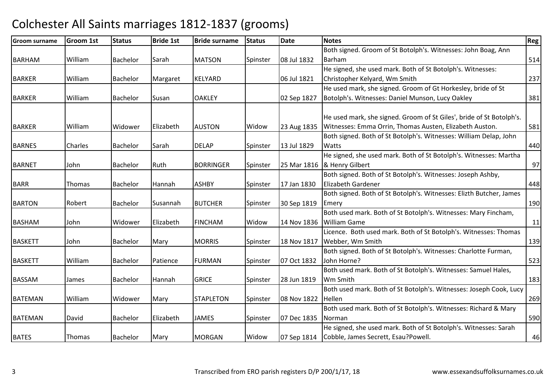| <b>Groom surname</b> | <b>Groom 1st</b> | <b>Status</b>   | <b>Bride 1st</b> | <b>Bride surname</b> | <b>Status</b> | <b>Date</b> | <b>Notes</b>                                                         | Reg |
|----------------------|------------------|-----------------|------------------|----------------------|---------------|-------------|----------------------------------------------------------------------|-----|
|                      |                  |                 |                  |                      |               |             | Both signed. Groom of St Botolph's. Witnesses: John Boag, Ann        |     |
| <b>BARHAM</b>        | William          | Bachelor        | Sarah            | <b>MATSON</b>        | Spinster      | 08 Jul 1832 | Barham                                                               | 514 |
|                      |                  |                 |                  |                      |               |             | He signed, she used mark. Both of St Botolph's. Witnesses:           |     |
| <b>BARKER</b>        | William          | Bachelor        | Margaret         | <b>KELYARD</b>       |               | 06 Jul 1821 | Christopher Kelyard, Wm Smith                                        | 237 |
|                      |                  |                 |                  |                      |               |             | He used mark, she signed. Groom of Gt Horkesley, bride of St         |     |
| <b>BARKER</b>        | William          | Bachelor        | Susan            | <b>OAKLEY</b>        |               | 02 Sep 1827 | Botolph's. Witnesses: Daniel Munson, Lucy Oakley                     | 381 |
|                      |                  |                 |                  |                      |               |             |                                                                      |     |
|                      |                  |                 |                  |                      |               |             | He used mark, she signed. Groom of St Giles', bride of St Botolph's. |     |
| <b>BARKER</b>        | William          | Widower         | Elizabeth        | <b>AUSTON</b>        | Widow         | 23 Aug 1835 | Witnesses: Emma Orrin, Thomas Austen, Elizabeth Auston.              | 581 |
|                      |                  |                 |                  |                      |               |             | Both signed. Both of St Botolph's. Witnesses: William Delap, John    |     |
| <b>BARNES</b>        | Charles          | <b>Bachelor</b> | Sarah            | <b>DELAP</b>         | Spinster      | 13 Jul 1829 | <b>Watts</b>                                                         | 440 |
|                      |                  |                 |                  |                      |               |             | He signed, she used mark. Both of St Botolph's. Witnesses: Martha    |     |
| <b>BARNET</b>        | John             | Bachelor        | Ruth             | <b>BORRINGER</b>     | Spinster      |             | 25 Mar 1816  & Henry Gilbert                                         | 97  |
|                      |                  |                 |                  |                      |               |             | Both signed. Both of St Botolph's. Witnesses: Joseph Ashby,          |     |
| <b>BARR</b>          | <b>Thomas</b>    | Bachelor        | Hannah           | <b>ASHBY</b>         | Spinster      | 17 Jan 1830 | <b>Elizabeth Gardener</b>                                            | 448 |
|                      |                  |                 |                  |                      |               |             | Both signed. Both of St Botolph's. Witnesses: Elizth Butcher, James  |     |
| <b>BARTON</b>        | Robert           | Bachelor        | Susannah         | <b>BUTCHER</b>       | Spinster      | 30 Sep 1819 | Emery                                                                | 190 |
|                      |                  |                 |                  |                      |               |             | Both used mark. Both of St Botolph's. Witnesses: Mary Fincham,       |     |
| <b>BASHAM</b>        | John             | Widower         | Elizabeth        | <b>FINCHAM</b>       | Widow         |             | 14 Nov 1836 William Game                                             | 11  |
|                      |                  |                 |                  |                      |               |             | Licence. Both used mark. Both of St Botolph's. Witnesses: Thomas     |     |
| <b>BASKETT</b>       | John             | Bachelor        | Mary             | <b>MORRIS</b>        | Spinster      | 18 Nov 1817 | Webber, Wm Smith                                                     | 139 |
|                      |                  |                 |                  |                      |               |             | Both signed. Both of St Botolph's. Witnesses: Charlotte Furman,      |     |
| <b>BASKETT</b>       | William          | Bachelor        | Patience         | <b>FURMAN</b>        | Spinster      | 07 Oct 1832 | John Horne?                                                          | 523 |
|                      |                  |                 |                  |                      |               |             | Both used mark. Both of St Botolph's. Witnesses: Samuel Hales,       |     |
| <b>BASSAM</b>        | James            | Bachelor        | Hannah           | <b>GRICE</b>         | Spinster      | 28 Jun 1819 | Wm Smith                                                             | 183 |
|                      |                  |                 |                  |                      |               |             | Both used mark. Both of St Botolph's. Witnesses: Joseph Cook, Lucy   |     |
| <b>BATEMAN</b>       | William          | Widower         | Mary             | <b>STAPLETON</b>     | Spinster      | 08 Nov 1822 | Hellen                                                               | 269 |
|                      |                  |                 |                  |                      |               |             | Both used mark. Both of St Botolph's. Witnesses: Richard & Mary      |     |
| <b>BATEMAN</b>       | David            | Bachelor        | Elizabeth        | <b>JAMES</b>         | Spinster      | 07 Dec 1835 | Norman                                                               | 590 |
|                      |                  |                 |                  |                      |               |             | He signed, she used mark. Both of St Botolph's. Witnesses: Sarah     |     |
| <b>BATES</b>         | Thomas           | Bachelor        | Mary             | <b>MORGAN</b>        | Widow         |             | 07 Sep 1814 Cobble, James Secrett, Esau?Powell.                      | 46  |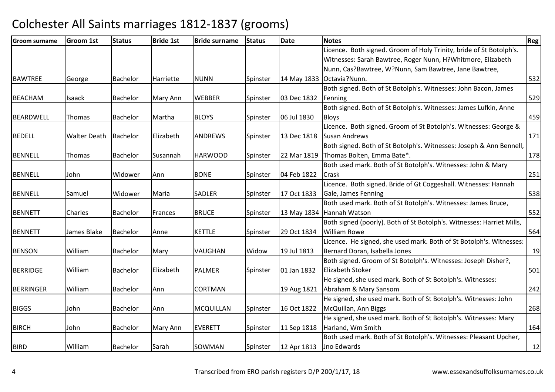| <b>Groom surname</b> | <b>Groom 1st</b>    | <b>Status</b>   | <b>Bride 1st</b> | <b>Bride surname</b> | <b>Status</b> | <b>Date</b> | <b>Notes</b>                                                          | Reg |
|----------------------|---------------------|-----------------|------------------|----------------------|---------------|-------------|-----------------------------------------------------------------------|-----|
|                      |                     |                 |                  |                      |               |             | Licence. Both signed. Groom of Holy Trinity, bride of St Botolph's.   |     |
|                      |                     |                 |                  |                      |               |             | Witnesses: Sarah Bawtree, Roger Nunn, H?Whitmore, Elizabeth           |     |
|                      |                     |                 |                  |                      |               |             | Nunn, Cas?Bawtree, W?Nunn, Sam Bawtree, Jane Bawtree,                 |     |
| <b>BAWTREE</b>       | George              | Bachelor        | Harriette        | <b>NUNN</b>          | Spinster      |             | 14 May 1833 Octavia?Nunn.                                             | 532 |
|                      |                     |                 |                  |                      |               |             | Both signed. Both of St Botolph's. Witnesses: John Bacon, James       |     |
| <b>BEACHAM</b>       | Isaack              | Bachelor        | Mary Ann         | <b>WEBBER</b>        | Spinster      | 03 Dec 1832 | Fenning                                                               | 529 |
|                      |                     |                 |                  |                      |               |             | Both signed. Both of St Botolph's. Witnesses: James Lufkin, Anne      |     |
| <b>BEARDWELL</b>     | <b>Thomas</b>       | Bachelor        | Martha           | <b>BLOYS</b>         | Spinster      | 06 Jul 1830 | <b>Bloys</b>                                                          | 459 |
|                      |                     |                 |                  |                      |               |             | Licence. Both signed. Groom of St Botolph's. Witnesses: George &      |     |
| <b>BEDELL</b>        | <b>Walter Death</b> | <b>Bachelor</b> | Elizabeth        | <b>ANDREWS</b>       | Spinster      | 13 Dec 1818 | <b>Susan Andrews</b>                                                  | 171 |
|                      |                     |                 |                  |                      |               |             | Both signed. Both of St Botolph's. Witnesses: Joseph & Ann Bennell,   |     |
| <b>BENNELL</b>       | Thomas              | Bachelor        | Susannah         | <b>HARWOOD</b>       | Spinster      | 22 Mar 1819 | Thomas Bolten, Emma Bate*.                                            | 178 |
|                      |                     |                 |                  |                      |               |             | Both used mark. Both of St Botolph's. Witnesses: John & Mary          |     |
| <b>BENNELL</b>       | John                | Widower         | Ann              | <b>BONE</b>          | Spinster      | 04 Feb 1822 | Crask                                                                 | 251 |
|                      |                     |                 |                  |                      |               |             | Licence. Both signed. Bride of Gt Coggeshall. Witnesses: Hannah       |     |
| <b>BENNELL</b>       | Samuel              | Widower         | Maria            | <b>SADLER</b>        | Spinster      | 17 Oct 1833 | Gale, James Fenning                                                   | 538 |
|                      |                     |                 |                  |                      |               |             | Both used mark. Both of St Botolph's. Witnesses: James Bruce,         |     |
| <b>BENNETT</b>       | <b>Charles</b>      | Bachelor        | Frances          | <b>BRUCE</b>         | Spinster      |             | 13 May 1834 Hannah Watson                                             | 552 |
|                      |                     |                 |                  |                      |               |             | Both signed (poorly). Both of St Botolph's. Witnesses: Harriet Mills, |     |
| <b>BENNETT</b>       | James Blake         | Bachelor        | Anne             | <b>KETTLE</b>        | Spinster      | 29 Oct 1834 | William Rowe                                                          | 564 |
|                      |                     |                 |                  |                      |               |             | Licence. He signed, she used mark. Both of St Botolph's. Witnesses:   |     |
| <b>BENSON</b>        | William             | Bachelor        | Mary             | <b>VAUGHAN</b>       | Widow         | 19 Jul 1813 | Bernard Doran, Isabella Jones                                         | 19  |
|                      |                     |                 |                  |                      |               |             | Both signed. Groom of St Botolph's. Witnesses: Joseph Disher?,        |     |
| <b>BERRIDGE</b>      | William             | Bachelor        | Elizabeth        | <b>PALMER</b>        | Spinster      | 01 Jan 1832 | <b>Elizabeth Stoker</b>                                               | 501 |
|                      |                     |                 |                  |                      |               |             | He signed, she used mark. Both of St Botolph's. Witnesses:            |     |
| <b>BERRINGER</b>     | William             | Bachelor        | Ann              | <b>CORTMAN</b>       |               | 19 Aug 1821 | Abraham & Mary Sansom                                                 | 242 |
|                      |                     |                 |                  |                      |               |             | He signed, she used mark. Both of St Botolph's. Witnesses: John       |     |
| <b>BIGGS</b>         | John                | Bachelor        | Ann              | <b>MCQUILLAN</b>     | Spinster      | 16 Oct 1822 | McQuillan, Ann Biggs                                                  | 268 |
|                      |                     |                 |                  |                      |               |             | He signed, she used mark. Both of St Botolph's. Witnesses: Mary       |     |
| <b>BIRCH</b>         | John                | Bachelor        | Mary Ann         | <b>EVERETT</b>       | Spinster      | 11 Sep 1818 | Harland, Wm Smith                                                     | 164 |
|                      |                     |                 |                  |                      |               |             | Both used mark. Both of St Botolph's. Witnesses: Pleasant Upcher,     |     |
| <b>BIRD</b>          | William             | Bachelor        | Sarah            | SOWMAN               | Spinster      | 12 Apr 1813 | Jno Edwards                                                           | 12  |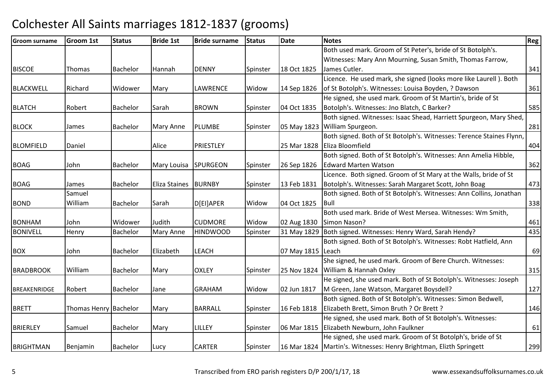| <b>Groom surname</b> | <b>Groom 1st</b>      | <b>Status</b>   | <b>Bride 1st</b>     | <b>Bride surname</b> | <b>Status</b> | <b>Date</b>       | <b>Notes</b>                                                         | Reg |
|----------------------|-----------------------|-----------------|----------------------|----------------------|---------------|-------------------|----------------------------------------------------------------------|-----|
|                      |                       |                 |                      |                      |               |                   | Both used mark. Groom of St Peter's, bride of St Botolph's.          |     |
|                      |                       |                 |                      |                      |               |                   | Witnesses: Mary Ann Mourning, Susan Smith, Thomas Farrow,            |     |
| <b>BISCOE</b>        | Thomas                | Bachelor        | Hannah               | <b>DENNY</b>         | Spinster      | 18 Oct 1825       | James Cutler.                                                        | 341 |
|                      |                       |                 |                      |                      |               |                   | Licence. He used mark, she signed (looks more like Laurell). Both    |     |
| <b>BLACKWELL</b>     | Richard               | Widower         | Mary                 | <b>LAWRENCE</b>      | Widow         | 14 Sep 1826       | of St Botolph's. Witnesses: Louisa Boyden, ? Dawson                  | 361 |
|                      |                       |                 |                      |                      |               |                   | He signed, she used mark. Groom of St Martin's, bride of St          |     |
| <b>BLATCH</b>        | Robert                | Bachelor        | Sarah                | <b>BROWN</b>         | Spinster      | 04 Oct 1835       | Botolph's. Witnesses: Jno Blatch, C Barker?                          | 585 |
|                      |                       |                 |                      |                      |               |                   | Both signed. Witnesses: Isaac Shead, Harriett Spurgeon, Mary Shed,   |     |
| <b>BLOCK</b>         | James                 | Bachelor        | Mary Anne            | <b>PLUMBE</b>        | Spinster      |                   | 05 May 1823 William Spurgeon.                                        | 281 |
|                      |                       |                 |                      |                      |               |                   | Both signed. Both of St Botolph's. Witnesses: Terence Staines Flynn, |     |
| <b>BLOMFIELD</b>     | Daniel                |                 | Alice                | PRIESTLEY            |               |                   | 25 Mar 1828   Eliza Bloomfield                                       | 404 |
|                      |                       |                 |                      |                      |               |                   | Both signed. Both of St Botolph's. Witnesses: Ann Amelia Hibble,     |     |
| <b>BOAG</b>          | John                  | Bachelor        | Mary Louisa          | <b>SPURGEON</b>      | Spinster      | 26 Sep 1826       | <b>Edward Marten Watson</b>                                          | 362 |
|                      |                       |                 |                      |                      |               |                   | Licence. Both signed. Groom of St Mary at the Walls, bride of St     |     |
| <b>BOAG</b>          | James                 | <b>Bachelor</b> | <b>Eliza Staines</b> | <b>BURNBY</b>        | Spinster      | 13 Feb 1831       | Botolph's. Witnesses: Sarah Margaret Scott, John Boag                | 473 |
|                      | Samuel                |                 |                      |                      |               |                   | Both signed. Both of St Botolph's. Witnesses: Ann Collins, Jonathan  |     |
| <b>BOND</b>          | William               | Bachelor        | Sarah                | D[EI]APER            | Widow         | 04 Oct 1825       | <b>IBull</b>                                                         | 338 |
|                      |                       |                 |                      |                      |               |                   | Both used mark. Bride of West Mersea. Witnesses: Wm Smith,           |     |
| <b>BONHAM</b>        | John                  | Widower         | Judith               | <b>CUDMORE</b>       | Widow         | 02 Aug 1830       | Simon Nason?                                                         | 461 |
| <b>BONIVELL</b>      | Henry                 | Bachelor        | Mary Anne            | <b>HINDWOOD</b>      | Spinster      |                   | 31 May 1829   Both signed. Witnesses: Henry Ward, Sarah Hendy?       | 435 |
|                      |                       |                 |                      |                      |               |                   | Both signed. Both of St Botolph's. Witnesses: Robt Hatfield, Ann     |     |
| <b>BOX</b>           | John                  | Bachelor        | Elizabeth            | <b>LEACH</b>         |               | 07 May 1815 Leach |                                                                      | 69  |
|                      |                       |                 |                      |                      |               |                   | She signed, he used mark. Groom of Bere Church. Witnesses:           |     |
| <b>BRADBROOK</b>     | William               | <b>Bachelor</b> | Mary                 | <b>OXLEY</b>         | Spinster      |                   | 25 Nov 1824 William & Hannah Oxley                                   | 315 |
|                      |                       |                 |                      |                      |               |                   | He signed, she used mark. Both of St Botolph's. Witnesses: Joseph    |     |
| <b>BREAKENRIDGE</b>  | Robert                | Bachelor        | Jane                 | <b>GRAHAM</b>        | Widow         | 02 Jun 1817       | M Green, Jane Watson, Margaret Boysdell?                             | 127 |
|                      |                       |                 |                      |                      |               |                   | Both signed. Both of St Botolph's. Witnesses: Simon Bedwell,         |     |
| <b>BRETT</b>         | Thomas Henry Bachelor |                 | Mary                 | <b>BARRALL</b>       | Spinster      | 16 Feb 1818       | Elizabeth Brett, Simon Bruth ? Or Brett ?                            | 146 |
|                      |                       |                 |                      |                      |               |                   | He signed, she used mark. Both of St Botolph's. Witnesses:           |     |
| <b>BRIERLEY</b>      | Samuel                | Bachelor        | Mary                 | LILLEY               | Spinster      | 06 Mar 1815       | Elizabeth Newburn, John Faulkner                                     | 61  |
|                      |                       |                 |                      |                      |               |                   | He signed, she used mark. Groom of St Botolph's, bride of St         |     |
| <b>BRIGHTMAN</b>     | Benjamin              | <b>Bachelor</b> | Lucy                 | <b>CARTER</b>        | Spinster      |                   | 16 Mar 1824 Martin's. Witnesses: Henry Brightman, Elizth Springett   | 299 |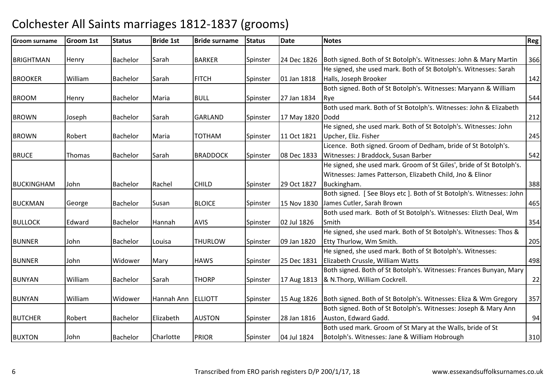| <b>Groom surname</b> | <b>Groom 1st</b> | <b>Status</b>   | <b>Bride 1st</b> | <b>Bride surname</b> | <b>Status</b> | Date               | <b>Notes</b>                                                                   | <b>Reg</b> |
|----------------------|------------------|-----------------|------------------|----------------------|---------------|--------------------|--------------------------------------------------------------------------------|------------|
| <b>BRIGHTMAN</b>     | Henry            | Bachelor        | Sarah            | <b>BARKER</b>        | Spinster      |                    | 24 Dec 1826   Both signed. Both of St Botolph's. Witnesses: John & Mary Martin | 366        |
|                      |                  |                 |                  |                      |               |                    | He signed, she used mark. Both of St Botolph's. Witnesses: Sarah               |            |
| <b>BROOKER</b>       | William          | Bachelor        | Sarah            | <b>FITCH</b>         | Spinster      | 01 Jan 1818        | Halls, Joseph Brooker                                                          | 142        |
|                      |                  |                 |                  |                      |               |                    | Both signed. Both of St Botolph's. Witnesses: Maryann & William                |            |
| <b>BROOM</b>         | Henry            | Bachelor        | Maria            | <b>BULL</b>          | Spinster      | 27 Jan 1834        | Rye                                                                            | 544        |
|                      |                  |                 |                  |                      |               |                    | Both used mark. Both of St Botolph's. Witnesses: John & Elizabeth              |            |
| <b>BROWN</b>         | Joseph           | Bachelor        | Sarah            | <b>GARLAND</b>       | Spinster      | 17 May 1820   Dodd |                                                                                | 212        |
|                      |                  |                 |                  |                      |               |                    | He signed, she used mark. Both of St Botolph's. Witnesses: John                |            |
| <b>BROWN</b>         | Robert           | Bachelor        | Maria            | <b>NAHTOT</b>        | Spinster      | 11 Oct 1821        | Upcher, Eliz. Fisher                                                           | 245        |
|                      |                  |                 |                  |                      |               |                    | Licence. Both signed. Groom of Dedham, bride of St Botolph's.                  |            |
| <b>BRUCE</b>         | <b>Thomas</b>    | Bachelor        | Sarah            | <b>BRADDOCK</b>      | Spinster      | 08 Dec 1833        | Witnesses: J Braddock, Susan Barber                                            | 542        |
|                      |                  |                 |                  |                      |               |                    | He signed, she used mark. Groom of St Giles', bride of St Botolph's.           |            |
|                      |                  |                 |                  |                      |               |                    | Witnesses: James Patterson, Elizabeth Child, Jno & Elinor                      |            |
| <b>BUCKINGHAM</b>    | John             | Bachelor        | Rachel           | <b>CHILD</b>         | Spinster      | 29 Oct 1827        | Buckingham.                                                                    | 388        |
|                      |                  |                 |                  |                      |               |                    | Both signed. [See Bloys etc]. Both of St Botolph's. Witnesses: John            |            |
| <b>BUCKMAN</b>       | George           | Bachelor        | Susan            | <b>BLOICE</b>        | Spinster      | 15 Nov 1830        | James Cutler, Sarah Brown                                                      | 465        |
|                      |                  |                 |                  |                      |               |                    | Both used mark. Both of St Botolph's. Witnesses: Elizth Deal, Wm               |            |
| <b>BULLOCK</b>       | Edward           | Bachelor        | Hannah           | <b>AVIS</b>          | Spinster      | 02 Jul 1826        | Smith                                                                          | 354        |
|                      |                  |                 |                  |                      |               |                    | He signed, she used mark. Both of St Botolph's. Witnesses: Thos &              |            |
| <b>BUNNER</b>        | John             | Bachelor        | Louisa           | <b>THURLOW</b>       | Spinster      | 09 Jan 1820        | Etty Thurlow, Wm Smith.                                                        | 205        |
|                      |                  |                 |                  |                      |               |                    | He signed, she used mark. Both of St Botolph's. Witnesses:                     |            |
| <b>BUNNER</b>        | John             | Widower         | Mary             | <b>HAWS</b>          | Spinster      | 25 Dec 1831        | Elizabeth Crussle, William Watts                                               | 498        |
|                      |                  |                 |                  |                      |               |                    | Both signed. Both of St Botolph's. Witnesses: Frances Bunyan, Mary             |            |
| <b>BUNYAN</b>        | William          | Bachelor        | Sarah            | <b>THORP</b>         | Spinster      | 17 Aug 1813        | & N.Thorp, William Cockrell.                                                   | 22         |
|                      |                  |                 |                  |                      |               |                    |                                                                                |            |
| <b>BUNYAN</b>        | William          | Widower         | Hannah Ann       | <b>ELLIOTT</b>       | Spinster      |                    | 15 Aug 1826   Both signed. Both of St Botolph's. Witnesses: Eliza & Wm Gregory | 357        |
|                      |                  |                 |                  |                      |               |                    | Both signed. Both of St Botolph's. Witnesses: Joseph & Mary Ann                |            |
| <b>BUTCHER</b>       | Robert           | <b>Bachelor</b> | Elizabeth        | <b>AUSTON</b>        | Spinster      | 28 Jan 1816        | Auston, Edward Gadd.                                                           | 94         |
|                      |                  |                 |                  |                      |               |                    | Both used mark. Groom of St Mary at the Walls, bride of St                     |            |
| <b>BUXTON</b>        | John             | Bachelor        | Charlotte        | <b>PRIOR</b>         | Spinster      | 04 Jul 1824        | Botolph's. Witnesses: Jane & William Hobrough                                  | 310        |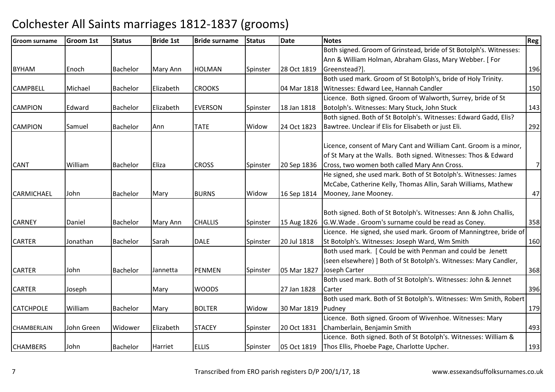| <b>Groom surname</b> | <b>Groom 1st</b> | <b>Status</b>   | <b>Bride 1st</b> | <b>Bride surname</b> | <b>Status</b> | <b>Date</b>          | <b>Notes</b>                                                       | Reg |
|----------------------|------------------|-----------------|------------------|----------------------|---------------|----------------------|--------------------------------------------------------------------|-----|
|                      |                  |                 |                  |                      |               |                      | Both signed. Groom of Grinstead, bride of St Botolph's. Witnesses: |     |
|                      |                  |                 |                  |                      |               |                      | Ann & William Holman, Abraham Glass, Mary Webber. [For             |     |
| <b>BYHAM</b>         | Enoch            | <b>Bachelor</b> | Mary Ann         | <b>HOLMAN</b>        | Spinster      | 28 Oct 1819          | Greenstead?].                                                      | 196 |
|                      |                  |                 |                  |                      |               |                      | Both used mark. Groom of St Botolph's, bride of Holy Trinity.      |     |
| <b>CAMPBELL</b>      | Michael          | <b>Bachelor</b> | Elizabeth        | <b>CROOKS</b>        |               |                      | 04 Mar 1818   Witnesses: Edward Lee, Hannah Candler                | 150 |
|                      |                  |                 |                  |                      |               |                      | Licence. Both signed. Groom of Walworth, Surrey, bride of St       |     |
| <b>CAMPION</b>       | Edward           | <b>Bachelor</b> | Elizabeth        | <b>EVERSON</b>       | Spinster      | 18 Jan 1818          | Botolph's. Witnesses: Mary Stuck, John Stuck                       | 143 |
|                      |                  |                 |                  |                      |               |                      | Both signed. Both of St Botolph's. Witnesses: Edward Gadd, Elis?   |     |
| <b>CAMPION</b>       | Samuel           | Bachelor        | Ann              | <b>TATE</b>          | Widow         | 24 Oct 1823          | Bawtree. Unclear if Elis for Elisabeth or just Eli.                | 292 |
|                      |                  |                 |                  |                      |               |                      |                                                                    |     |
|                      |                  |                 |                  |                      |               |                      | Licence, consent of Mary Cant and William Cant. Groom is a minor,  |     |
|                      |                  |                 |                  |                      |               |                      | of St Mary at the Walls. Both signed. Witnesses: Thos & Edward     |     |
| <b>CANT</b>          | William          | <b>Bachelor</b> | Eliza            | <b>CROSS</b>         | Spinster      | 20 Sep 1836          | Cross, two women both called Mary Ann Cross.                       | 7   |
|                      |                  |                 |                  |                      |               |                      | He signed, she used mark. Both of St Botolph's. Witnesses: James   |     |
|                      |                  |                 |                  |                      |               |                      | McCabe, Catherine Kelly, Thomas Allin, Sarah Williams, Mathew      |     |
| <b>CARMICHAEL</b>    | John             | Bachelor        | Mary             | <b>BURNS</b>         | Widow         | 16 Sep 1814          | Mooney, Jane Mooney.                                               | 47  |
|                      |                  |                 |                  |                      |               |                      |                                                                    |     |
|                      |                  |                 |                  |                      |               |                      | Both signed. Both of St Botolph's. Witnesses: Ann & John Challis,  |     |
| <b>CARNEY</b>        | Daniel           | Bachelor        | Mary Ann         | <b>CHALLIS</b>       | Spinster      | 15 Aug 1826          | G.W.Wade. Groom's surname could be read as Coney.                  | 358 |
|                      |                  |                 |                  |                      |               |                      | Licence. He signed, she used mark. Groom of Manningtree, bride of  |     |
| <b>CARTER</b>        | Jonathan         | <b>Bachelor</b> | Sarah            | <b>DALE</b>          | Spinster      | 20 Jul 1818          | St Botolph's. Witnesses: Joseph Ward, Wm Smith                     | 160 |
|                      |                  |                 |                  |                      |               |                      | Both used mark. [ Could be with Penman and could be Jenett         |     |
|                      |                  |                 |                  |                      |               |                      | (seen elsewhere) ] Both of St Botolph's. Witnesses: Mary Candler,  |     |
| <b>CARTER</b>        | John             | Bachelor        | Jannetta         | <b>PENMEN</b>        | Spinster      | 05 Mar 1827          | Joseph Carter                                                      | 368 |
|                      |                  |                 |                  |                      |               |                      | Both used mark. Both of St Botolph's. Witnesses: John & Jennet     |     |
| <b>CARTER</b>        | Joseph           |                 | Mary             | <b>WOODS</b>         |               | 27 Jan 1828          | Carter                                                             | 396 |
|                      |                  |                 |                  |                      |               |                      | Both used mark. Both of St Botolph's. Witnesses: Wm Smith, Robert  |     |
| <b>CATCHPOLE</b>     | William          | <b>Bachelor</b> | Mary             | <b>BOLTER</b>        | Widow         | 30 Mar 1819   Pudney |                                                                    | 179 |
|                      |                  |                 |                  |                      |               |                      | Licence. Both signed. Groom of Wivenhoe. Witnesses: Mary           |     |
| CHAMBERLAIN          | John Green       | Widower         | Elizabeth        | <b>STACEY</b>        | Spinster      | 20 Oct 1831          | Chamberlain, Benjamin Smith                                        | 493 |
|                      |                  |                 |                  |                      |               |                      | Licence. Both signed. Both of St Botolph's. Witnesses: William &   |     |
| <b>CHAMBERS</b>      | John             | <b>Bachelor</b> | Harriet          | <b>ELLIS</b>         | Spinster      | 05 Oct 1819          | Thos Ellis, Phoebe Page, Charlotte Upcher.                         | 193 |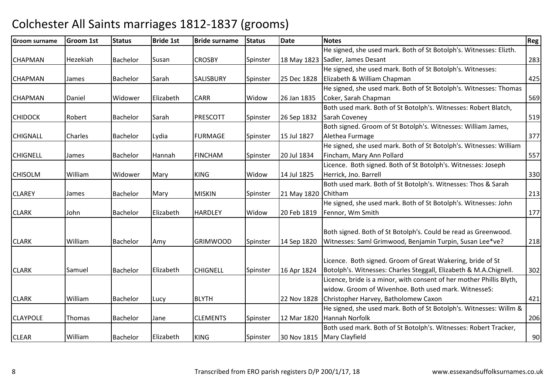| <b>Groom surname</b> | <b>Groom 1st</b> | <b>Status</b>   | <b>Bride 1st</b> | <b>Bride surname</b> | <b>Status</b> | <b>Date</b> | <b>Notes</b>                                                         | Reg |
|----------------------|------------------|-----------------|------------------|----------------------|---------------|-------------|----------------------------------------------------------------------|-----|
|                      |                  |                 |                  |                      |               |             | He signed, she used mark. Both of St Botolph's. Witnesses: Elizth.   |     |
| <b>CHAPMAN</b>       | Hezekiah         | <b>Bachelor</b> | Susan            | <b>CROSBY</b>        | Spinster      |             | 18 May 1823 Sadler, James Desant                                     | 283 |
|                      |                  |                 |                  |                      |               |             | He signed, she used mark. Both of St Botolph's. Witnesses:           |     |
| <b>CHAPMAN</b>       | James            | <b>Bachelor</b> | Sarah            | <b>SALISBURY</b>     | Spinster      | 25 Dec 1828 | Elizabeth & William Chapman                                          | 425 |
|                      |                  |                 |                  |                      |               |             | He signed, she used mark. Both of St Botolph's. Witnesses: Thomas    |     |
| <b>CHAPMAN</b>       | Daniel           | Widower         | Elizabeth        | <b>CARR</b>          | Widow         | 26 Jan 1835 | Coker, Sarah Chapman                                                 | 569 |
|                      |                  |                 |                  |                      |               |             | Both used mark. Both of St Botolph's. Witnesses: Robert Blatch,      |     |
| <b>CHIDOCK</b>       | Robert           | Bachelor        | Sarah            | <b>PRESCOTT</b>      | Spinster      | 26 Sep 1832 | Sarah Coveney                                                        | 519 |
|                      |                  |                 |                  |                      |               |             | Both signed. Groom of St Botolph's. Witnesses: William James,        |     |
| <b>CHIGNALL</b>      | Charles          | Bachelor        | Lydia            | <b>FURMAGE</b>       | Spinster      | 15 Jul 1827 | Alethea Furmage                                                      | 377 |
|                      |                  |                 |                  |                      |               |             | He signed, she used mark. Both of St Botolph's. Witnesses: William   |     |
| <b>CHIGNELL</b>      | James            | Bachelor        | Hannah           | <b>FINCHAM</b>       | Spinster      | 20 Jul 1834 | Fincham, Mary Ann Pollard                                            | 557 |
|                      |                  |                 |                  |                      |               |             | Licence. Both signed. Both of St Botolph's. Witnesses: Joseph        |     |
| <b>CHISOLM</b>       | William          | Widower         | Mary             | <b>KING</b>          | Widow         | 14 Jul 1825 | Herrick, Jno. Barrell                                                | 330 |
|                      |                  |                 |                  |                      |               |             | Both used mark. Both of St Botolph's. Witnesses: Thos & Sarah        |     |
| <b>CLAREY</b>        | James            | Bachelor        | Mary             | <b>MISKIN</b>        | Spinster      | 21 May 1820 | Chitham                                                              | 213 |
|                      |                  |                 |                  |                      |               |             | He signed, she used mark. Both of St Botolph's. Witnesses: John      |     |
| <b>CLARK</b>         | John             | <b>Bachelor</b> | Elizabeth        | <b>HARDLEY</b>       | Widow         | 20 Feb 1819 | Fennor, Wm Smith                                                     | 177 |
|                      |                  |                 |                  |                      |               |             |                                                                      |     |
|                      |                  |                 |                  |                      |               |             | Both signed. Both of St Botolph's. Could be read as Greenwood.       |     |
| <b>CLARK</b>         | William          | <b>Bachelor</b> | Amy              | <b>GRIMWOOD</b>      | Spinster      | 14 Sep 1820 | Witnesses: Saml Grimwood, Benjamin Turpin, Susan Lee*ve?             | 218 |
|                      |                  |                 |                  |                      |               |             |                                                                      |     |
|                      |                  |                 |                  |                      |               |             | Licence. Both signed. Groom of Great Wakering, bride of St           |     |
| <b>CLARK</b>         | Samuel           | Bachelor        | Elizabeth        | <b>CHIGNELL</b>      | Spinster      | 16 Apr 1824 | Botolph's. Witnesses: Charles Steggall, Elizabeth & M.A.Chignell.    | 302 |
|                      |                  |                 |                  |                      |               |             | Licence, bride is a minor, with consent of her mother Phillis Blyth, |     |
|                      |                  |                 |                  |                      |               |             | widow. Groom of Wivenhoe. Both used mark. WitnesseS:                 |     |
| <b>CLARK</b>         | William          | Bachelor        | Lucy             | <b>BLYTH</b>         |               | 22 Nov 1828 | Christopher Harvey, Batholomew Caxon                                 | 421 |
|                      |                  |                 |                  |                      |               |             | He signed, she used mark. Both of St Botolph's. Witnesses: Willm &   |     |
| <b>CLAYPOLE</b>      | <b>Thomas</b>    | <b>Bachelor</b> | Jane             | <b>CLEMENTS</b>      | Spinster      | 12 Mar 1820 | Hannah Norfolk                                                       | 206 |
|                      |                  |                 |                  |                      |               |             | Both used mark. Both of St Botolph's. Witnesses: Robert Tracker,     |     |
| <b>CLEAR</b>         | William          | <b>Bachelor</b> | Elizabeth        | <b>KING</b>          | Spinster      |             | 30 Nov 1815   Mary Clayfield                                         | 90  |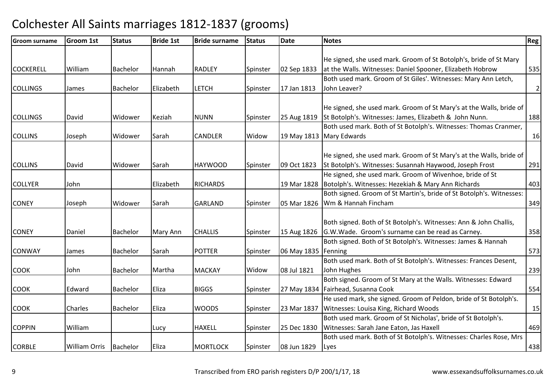| <b>Groom surname</b> | <b>Groom 1st</b>     | <b>Status</b> | <b>Bride 1st</b> | <b>Bride surname</b> | <b>Status</b> | <b>Date</b>         | <b>Notes</b>                                                         | <b>Reg</b>   |
|----------------------|----------------------|---------------|------------------|----------------------|---------------|---------------------|----------------------------------------------------------------------|--------------|
|                      |                      |               |                  |                      |               |                     |                                                                      |              |
|                      |                      |               |                  |                      |               |                     | He signed, she used mark. Groom of St Botolph's, bride of St Mary    |              |
| <b>COCKERELL</b>     | William              | Bachelor      | Hannah           | <b>RADLEY</b>        | Spinster      | 02 Sep 1833         | at the Walls. Witnesses: Daniel Spooner, Elizabeth Hobrow            | 535          |
|                      |                      |               |                  |                      |               |                     | Both used mark. Groom of St Giles'. Witnesses: Mary Ann Letch,       |              |
| <b>COLLINGS</b>      | James                | Bachelor      | Elizabeth        | <b>LETCH</b>         | Spinster      | 17 Jan 1813         | John Leaver?                                                         | $\mathbf{2}$ |
|                      |                      |               |                  |                      |               |                     |                                                                      |              |
|                      |                      |               |                  |                      |               |                     | He signed, she used mark. Groom of St Mary's at the Walls, bride of  |              |
| <b>COLLINGS</b>      | David                | Widower       | Keziah           | <b>NUNN</b>          | Spinster      |                     | 25 Aug 1819   St Botolph's. Witnesses: James, Elizabeth & John Nunn. | 188          |
|                      |                      |               |                  |                      |               |                     | Both used mark. Both of St Botolph's. Witnesses: Thomas Cranmer,     |              |
| <b>COLLINS</b>       | Joseph               | Widower       | Sarah            | <b>CANDLER</b>       | Widow         |                     | 19 May 1813 Mary Edwards                                             | 16           |
|                      |                      |               |                  |                      |               |                     |                                                                      |              |
|                      |                      |               |                  |                      |               |                     | He signed, she used mark. Groom of St Mary's at the Walls, bride of  |              |
| <b>COLLINS</b>       | David                | Widower       | Sarah            | <b>HAYWOOD</b>       | Spinster      | 09 Oct 1823         | St Botolph's. Witnesses: Susannah Haywood, Joseph Frost              | 291          |
|                      |                      |               |                  |                      |               |                     | He signed, she used mark. Groom of Wivenhoe, bride of St             |              |
| <b>COLLYER</b>       | John                 |               | Elizabeth        | <b>RICHARDS</b>      |               |                     | 19 Mar 1828   Botolph's. Witnesses: Hezekiah & Mary Ann Richards     | 403          |
|                      |                      |               |                  |                      |               |                     | Both signed. Groom of St Martin's, bride of St Botolph's. Witnesses: |              |
| <b>CONEY</b>         | Joseph               | Widower       | Sarah            | <b>GARLAND</b>       | Spinster      |                     | 05 Mar 1826   Wm & Hannah Fincham                                    | 349          |
|                      |                      |               |                  |                      |               |                     |                                                                      |              |
|                      |                      |               |                  |                      |               |                     | Both signed. Both of St Botolph's. Witnesses: Ann & John Challis,    |              |
| <b>CONEY</b>         | Daniel               | Bachelor      | Mary Ann         | <b>CHALLIS</b>       | Spinster      |                     | 15 Aug 1826   G.W. Wade. Groom's surname can be read as Carney.      | 358          |
|                      |                      |               |                  |                      |               |                     | Both signed. Both of St Botolph's. Witnesses: James & Hannah         |              |
| <b>CONWAY</b>        | James                | Bachelor      | Sarah            | <b>POTTER</b>        | Spinster      | 06 May 1835 Fenning |                                                                      | 573          |
|                      |                      |               |                  |                      |               |                     | Both used mark. Both of St Botolph's. Witnesses: Frances Desent,     |              |
| <b>COOK</b>          | John                 | Bachelor      | Martha           | <b>MACKAY</b>        | Widow         | 08 Jul 1821         | John Hughes                                                          | 239          |
|                      |                      |               |                  |                      |               |                     | Both signed. Groom of St Mary at the Walls. Witnesses: Edward        |              |
| <b>COOK</b>          | Edward               | Bachelor      | Eliza            | <b>BIGGS</b>         | Spinster      |                     | 27 May 1834 Fairhead, Susanna Cook                                   | 554          |
|                      |                      |               |                  |                      |               |                     | He used mark, she signed. Groom of Peldon, bride of St Botolph's.    |              |
| <b>COOK</b>          | Charles              | Bachelor      | Eliza            | <b>WOODS</b>         | Spinster      | 23 Mar 1837         | Witnesses: Louisa King, Richard Woods                                | 15           |
|                      |                      |               |                  |                      |               |                     | Both used mark. Groom of St Nicholas', bride of St Botolph's.        |              |
| <b>COPPIN</b>        | William              |               | Lucy             | <b>HAXELL</b>        | Spinster      | 25 Dec 1830         | Witnesses: Sarah Jane Eaton, Jas Haxell                              | 469          |
|                      |                      |               |                  |                      |               |                     | Both used mark. Both of St Botolph's. Witnesses: Charles Rose, Mrs   |              |
| <b>CORBLE</b>        | <b>William Orris</b> | Bachelor      | Eliza            | <b>MORTLOCK</b>      | Spinster      | 08 Jun 1829         | Lyes                                                                 | 438          |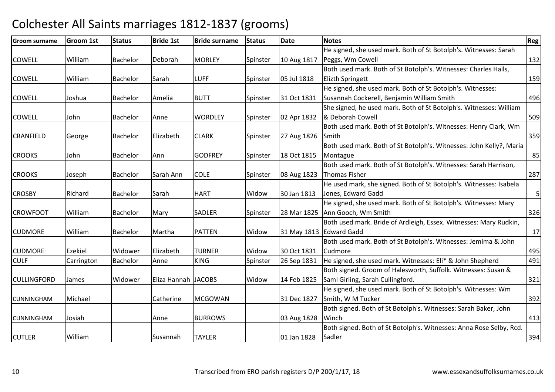| <b>Groom surname</b> | <b>Groom 1st</b> | <b>Status</b>   | <b>Bride 1st</b>    | <b>Bride surname</b> | <b>Status</b> | <b>Date</b> | <b>Notes</b>                                                        | Reg        |
|----------------------|------------------|-----------------|---------------------|----------------------|---------------|-------------|---------------------------------------------------------------------|------------|
|                      |                  |                 |                     |                      |               |             | He signed, she used mark. Both of St Botolph's. Witnesses: Sarah    |            |
| <b>COWELL</b>        | William          | <b>Bachelor</b> | Deborah             | <b>MORLEY</b>        | Spinster      | 10 Aug 1817 | Peggs, Wm Cowell                                                    | 132        |
|                      |                  |                 |                     |                      |               |             | Both used mark. Both of St Botolph's. Witnesses: Charles Halls,     |            |
| <b>COWELL</b>        | William          | Bachelor        | Sarah               | <b>LUFF</b>          | Spinster      | 05 Jul 1818 | <b>Elizth Springett</b>                                             | 159        |
|                      |                  |                 |                     |                      |               |             | He signed, she used mark. Both of St Botolph's. Witnesses:          |            |
| <b>COWELL</b>        | Joshua           | Bachelor        | Amelia              | <b>BUTT</b>          | Spinster      | 31 Oct 1831 | Susannah Cockerell, Benjamin William Smith                          | 496        |
|                      |                  |                 |                     |                      |               |             | She signed, he used mark. Both of St Botolph's. Witnesses: William  |            |
| <b>COWELL</b>        | John             | Bachelor        | Anne                | <b>WORDLEY</b>       | Spinster      | 02 Apr 1832 | & Deborah Cowell                                                    | 509        |
|                      |                  |                 |                     |                      |               |             | Both used mark. Both of St Botolph's. Witnesses: Henry Clark, Wm    |            |
| <b>CRANFIELD</b>     | George           | Bachelor        | Elizabeth           | <b>CLARK</b>         | Spinster      | 27 Aug 1826 | Smith                                                               | 359        |
|                      |                  |                 |                     |                      |               |             | Both used mark. Both of St Botolph's. Witnesses: John Kelly?, Maria |            |
| <b>CROOKS</b>        | John             | Bachelor        | Ann                 | <b>GODFREY</b>       | Spinster      | 18 Oct 1815 | Montague                                                            | 85         |
|                      |                  |                 |                     |                      |               |             | Both used mark. Both of St Botolph's. Witnesses: Sarah Harrison,    |            |
| <b>CROOKS</b>        | Joseph           | Bachelor        | Sarah Ann           | <b>COLE</b>          | Spinster      | 08 Aug 1823 | Thomas Fisher                                                       | 287        |
|                      |                  |                 |                     |                      |               |             | He used mark, she signed. Both of St Botolph's. Witnesses: Isabela  |            |
| <b>CROSBY</b>        | Richard          | Bachelor        | Sarah               | <b>HART</b>          | Widow         | 30 Jan 1813 | Jones, Edward Gadd                                                  | $\sqrt{5}$ |
|                      |                  |                 |                     |                      |               |             | He signed, she used mark. Both of St Botolph's. Witnesses: Mary     |            |
| <b>CROWFOOT</b>      | William          | Bachelor        | Mary                | <b>SADLER</b>        | Spinster      |             | 28 Mar 1825 Ann Gooch, Wm Smith                                     | 326        |
|                      |                  |                 |                     |                      |               |             | Both used mark. Bride of Ardleigh, Essex. Witnesses: Mary Rudkin,   |            |
| <b>CUDMORE</b>       | William          | Bachelor        | Martha              | <b>PATTEN</b>        | Widow         |             | 31 May 1813 Edward Gadd                                             | 17         |
|                      |                  |                 |                     |                      |               |             | Both used mark. Both of St Botolph's. Witnesses: Jemima & John      |            |
| <b>CUDMORE</b>       | Ezekiel          | Widower         | Elizabeth           | <b>TURNER</b>        | Widow         | 30 Oct 1831 | Cudmore                                                             | 495        |
| <b>CULF</b>          | Carrington       | Bachelor        | Anne                | <b>KING</b>          | Spinster      | 26 Sep 1831 | He signed, she used mark. Witnesses: Eli* & John Shepherd           | 491        |
|                      |                  |                 |                     |                      |               |             | Both signed. Groom of Halesworth, Suffolk. Witnesses: Susan &       |            |
| <b>CULLINGFORD</b>   | James            | Widower         | Eliza Hannah JACOBS |                      | Widow         | 14 Feb 1825 | Saml Girling, Sarah Cullingford.                                    | 321        |
|                      |                  |                 |                     |                      |               |             | He signed, she used mark. Both of St Botolph's. Witnesses: Wm       |            |
| <b>CUNNINGHAM</b>    | Michael          |                 | Catherine           | <b>MCGOWAN</b>       |               | 31 Dec 1827 | Smith, W M Tucker                                                   | 392        |
|                      |                  |                 |                     |                      |               |             | Both signed. Both of St Botolph's. Witnesses: Sarah Baker, John     |            |
| <b>CUNNINGHAM</b>    | Josiah           |                 | Anne                | <b>BURROWS</b>       |               | 03 Aug 1828 | Winch                                                               | 413        |
|                      |                  |                 |                     |                      |               |             | Both signed. Both of St Botolph's. Witnesses: Anna Rose Selby, Rcd. |            |
| <b>CUTLER</b>        | William          |                 | Susannah            | <b>TAYLER</b>        |               | 01 Jan 1828 | Sadler                                                              | 394        |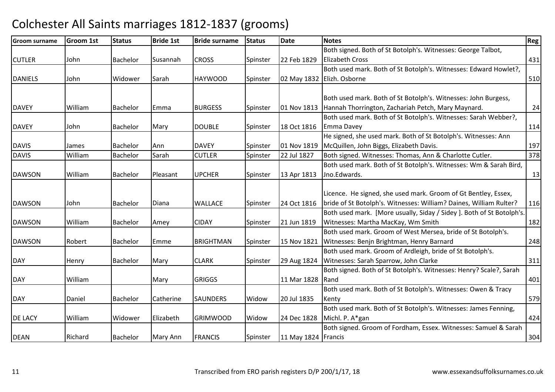| <b>Groom surname</b> | <b>Groom 1st</b> | <b>Status</b>   | <b>Bride 1st</b> | <b>Bride surname</b> | <b>Status</b> | <b>Date</b>         | <b>Notes</b>                                                         | Reg |
|----------------------|------------------|-----------------|------------------|----------------------|---------------|---------------------|----------------------------------------------------------------------|-----|
|                      |                  |                 |                  |                      |               |                     | Both signed. Both of St Botolph's. Witnesses: George Talbot,         |     |
| <b>CUTLER</b>        | John             | Bachelor        | Susannah         | <b>CROSS</b>         | Spinster      | 22 Feb 1829         | <b>Elizabeth Cross</b>                                               | 431 |
|                      |                  |                 |                  |                      |               |                     | Both used mark. Both of St Botolph's. Witnesses: Edward Howlet?,     |     |
| <b>DANIELS</b>       | John             | Widower         | Sarah            | <b>HAYWOOD</b>       | Spinster      |                     | 02 May 1832 Elizh. Osborne                                           | 510 |
|                      |                  |                 |                  |                      |               |                     |                                                                      |     |
|                      |                  |                 |                  |                      |               |                     | Both used mark. Both of St Botolph's. Witnesses: John Burgess,       |     |
| <b>DAVEY</b>         | William          | Bachelor        | Emma             | <b>BURGESS</b>       | Spinster      |                     | 01 Nov 1813 Hannah Thorrington, Zachariah Petch, Mary Maynard.       | 24  |
|                      |                  |                 |                  |                      |               |                     | Both used mark. Both of St Botolph's. Witnesses: Sarah Webber?,      |     |
| <b>DAVEY</b>         | John             | Bachelor        | Mary             | <b>DOUBLE</b>        | Spinster      | 18 Oct 1816         | Emma Davey                                                           | 114 |
|                      |                  |                 |                  |                      |               |                     | He signed, she used mark. Both of St Botolph's. Witnesses: Ann       |     |
| <b>DAVIS</b>         | James            | Bachelor        | Ann              | <b>DAVEY</b>         | Spinster      | 01 Nov 1819         | McQuillen, John Biggs, Elizabeth Davis.                              | 197 |
| <b>DAVIS</b>         | William          | <b>Bachelor</b> | Sarah            | <b>CUTLER</b>        | Spinster      | 22 Jul 1827         | Both signed. Witnesses: Thomas, Ann & Charlotte Cutler.              | 378 |
|                      |                  |                 |                  |                      |               |                     | Both used mark. Both of St Botolph's. Witnesses: Wm & Sarah Bird,    |     |
| <b>DAWSON</b>        | William          | Bachelor        | Pleasant         | <b>UPCHER</b>        | Spinster      | 13 Apr 1813         | Jno.Edwards.                                                         | 13  |
|                      |                  |                 |                  |                      |               |                     |                                                                      |     |
|                      |                  |                 |                  |                      |               |                     | Licence. He signed, she used mark. Groom of Gt Bentley, Essex,       |     |
| <b>DAWSON</b>        | John             | Bachelor        | Diana            | <b>WALLACE</b>       | Spinster      | 24 Oct 1816         | bride of St Botolph's. Witnesses: William? Daines, William Rulter?   | 116 |
|                      |                  |                 |                  |                      |               |                     | Both used mark. [More usually, Siday / Sidey]. Both of St Botolph's. |     |
| <b>DAWSON</b>        | William          | <b>Bachelor</b> | Amey             | <b>CIDAY</b>         | Spinster      | 21 Jun 1819         | Witnesses: Martha MacKay, Wm Smith                                   | 182 |
|                      |                  |                 |                  |                      |               |                     | Both used mark. Groom of West Mersea, bride of St Botolph's.         |     |
| <b>DAWSON</b>        | Robert           | Bachelor        | Emme             | <b>BRIGHTMAN</b>     | Spinster      | 15 Nov 1821         | Witnesses: Benjn Brightman, Henry Barnard                            | 248 |
|                      |                  |                 |                  |                      |               |                     | Both used mark. Groom of Ardleigh, bride of St Botolph's.            |     |
| <b>DAY</b>           | Henry            | Bachelor        | Mary             | <b>CLARK</b>         | Spinster      | 29 Aug 1824         | Witnesses: Sarah Sparrow, John Clarke                                | 311 |
|                      |                  |                 |                  |                      |               |                     | Both signed. Both of St Botolph's. Witnesses: Henry? Scale?, Sarah   |     |
| <b>DAY</b>           | William          |                 | Mary             | <b>GRIGGS</b>        |               | 11 Mar 1828 Rand    |                                                                      | 401 |
|                      |                  |                 |                  |                      |               |                     | Both used mark. Both of St Botolph's. Witnesses: Owen & Tracy        |     |
| <b>DAY</b>           | Daniel           | Bachelor        | Catherine        | <b>SAUNDERS</b>      | Widow         | 20 Jul 1835         | Kenty                                                                | 579 |
|                      |                  |                 |                  |                      |               |                     | Both used mark. Both of St Botolph's. Witnesses: James Fenning,      |     |
| <b>DE LACY</b>       | William          | Widower         | Elizabeth        | <b>GRIMWOOD</b>      | Widow         | 24 Dec 1828         | Michl. P. A*gan                                                      | 424 |
|                      |                  |                 |                  |                      |               |                     | Both signed. Groom of Fordham, Essex. Witnesses: Samuel & Sarah      |     |
| <b>DEAN</b>          | Richard          | Bachelor        | Mary Ann         | <b>FRANCIS</b>       | Spinster      | 11 May 1824 Francis |                                                                      | 304 |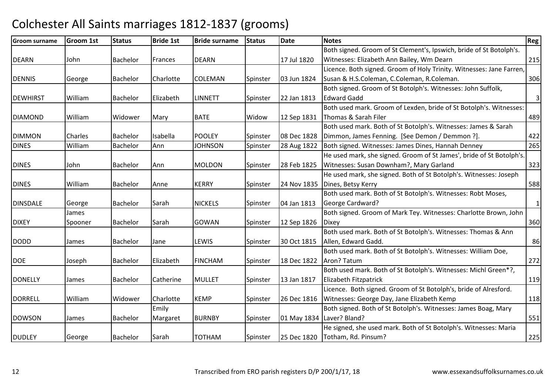| <b>Groom surname</b> | <b>Groom 1st</b> | <b>Status</b> | <b>Bride 1st</b> | <b>Bride surname</b> | <b>Status</b> | <b>Date</b> | <b>Notes</b>                                                         | Reg          |
|----------------------|------------------|---------------|------------------|----------------------|---------------|-------------|----------------------------------------------------------------------|--------------|
|                      |                  |               |                  |                      |               |             | Both signed. Groom of St Clement's, Ipswich, bride of St Botolph's.  |              |
| <b>DEARN</b>         | John             | Bachelor      | Frances          | <b>DEARN</b>         |               | 17 Jul 1820 | Witnesses: Elizabeth Ann Bailey, Wm Dearn                            | 215          |
|                      |                  |               |                  |                      |               |             | Licence. Both signed. Groom of Holy Trinity. Witnesses: Jane Farren, |              |
| <b>DENNIS</b>        | George           | Bachelor      | Charlotte        | <b>COLEMAN</b>       | Spinster      | 03 Jun 1824 | Susan & H.S.Coleman, C.Coleman, R.Coleman.                           | 306          |
|                      |                  |               |                  |                      |               |             | Both signed. Groom of St Botolph's. Witnesses: John Suffolk,         |              |
| <b>DEWHIRST</b>      | William          | Bachelor      | Elizabeth        | <b>LINNETT</b>       | Spinster      | 22 Jan 1813 | <b>Edward Gadd</b>                                                   | $\mathbf{3}$ |
|                      |                  |               |                  |                      |               |             | Both used mark. Groom of Lexden, bride of St Botolph's. Witnesses:   |              |
| <b>DIAMOND</b>       | William          | Widower       | Mary             | <b>BATE</b>          | Widow         | 12 Sep 1831 | Thomas & Sarah Filer                                                 | 489          |
|                      |                  |               |                  |                      |               |             | Both used mark. Both of St Botolph's. Witnesses: James & Sarah       |              |
| <b>DIMMON</b>        | Charles          | Bachelor      | Isabella         | <b>POOLEY</b>        | Spinster      | 08 Dec 1828 | Dimmon, James Fenning. [See Demon / Demmon ?].                       | 422          |
| <b>DINES</b>         | William          | Bachelor      | Ann              | <b>JOHNSON</b>       | Spinster      | 28 Aug 1822 | Both signed. Witnesses: James Dines, Hannah Denney                   | 265          |
|                      |                  |               |                  |                      |               |             | He used mark, she signed. Groom of St James', bride of St Botolph's. |              |
| <b>DINES</b>         | John             | Bachelor      | Ann              | <b>MOLDON</b>        | Spinster      | 28 Feb 1825 | Witnesses: Susan Downham?, Mary Garland                              | 323          |
|                      |                  |               |                  |                      |               |             | He used mark, she signed. Both of St Botolph's. Witnesses: Joseph    |              |
| <b>DINES</b>         | William          | Bachelor      | Anne             | <b>KERRY</b>         | Spinster      | 24 Nov 1835 | Dines, Betsy Kerry                                                   | 588          |
|                      |                  |               |                  |                      |               |             | Both used mark. Both of St Botolph's. Witnesses: Robt Moses,         |              |
| <b>DINSDALE</b>      | George           | Bachelor      | Sarah            | <b>NICKELS</b>       | Spinster      | 04 Jan 1813 | George Cardward?                                                     | $\mathbf{1}$ |
|                      | James            |               |                  |                      |               |             | Both signed. Groom of Mark Tey. Witnesses: Charlotte Brown, John     |              |
| <b>DIXEY</b>         | Spooner          | Bachelor      | Sarah            | <b>GOWAN</b>         | Spinster      | 12 Sep 1826 | <b>Dixey</b>                                                         | 360          |
|                      |                  |               |                  |                      |               |             | Both used mark. Both of St Botolph's. Witnesses: Thomas & Ann        |              |
| <b>DODD</b>          | James            | Bachelor      | Jane             | LEWIS                | Spinster      | 30 Oct 1815 | Allen, Edward Gadd.                                                  | 86           |
|                      |                  |               |                  |                      |               |             | Both used mark. Both of St Botolph's. Witnesses: William Doe,        |              |
| <b>DOE</b>           | Joseph           | Bachelor      | Elizabeth        | <b>FINCHAM</b>       | Spinster      | 18 Dec 1822 | Aron? Tatum                                                          | 272          |
|                      |                  |               |                  |                      |               |             | Both used mark. Both of St Botolph's. Witnesses: Michl Green*?,      |              |
| <b>DONELLY</b>       | James            | Bachelor      | Catherine        | <b>MULLET</b>        | Spinster      | 13 Jan 1817 | <b>Elizabeth Fitzpatrick</b>                                         | 119          |
|                      |                  |               |                  |                      |               |             | Licence. Both signed. Groom of St Botolph's, bride of Alresford.     |              |
| <b>DORRELL</b>       | William          | Widower       | Charlotte        | <b>KEMP</b>          | Spinster      | 26 Dec 1816 | Witnesses: George Day, Jane Elizabeth Kemp                           | 118          |
|                      |                  |               | Emily            |                      |               |             | Both signed. Both of St Botolph's. Witnesses: James Boag, Mary       |              |
| <b>DOWSON</b>        | James            | Bachelor      | Margaret         | <b>BURNBY</b>        | Spinster      |             | 01 May 1834 Laver? Bland?                                            | 551          |
|                      |                  |               |                  |                      |               |             | He signed, she used mark. Both of St Botolph's. Witnesses: Maria     |              |
| <b>DUDLEY</b>        | George           | Bachelor      | Sarah            | <b>TOTHAM</b>        | Spinster      | 25 Dec 1820 | Totham, Rd. Pinsum?                                                  | 225          |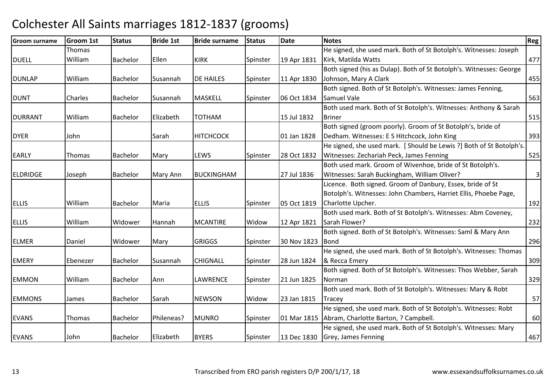| <b>Groom surname</b> | <b>Groom 1st</b> | <b>Status</b>   | <b>Bride 1st</b> | <b>Bride surname</b> | <b>Status</b> | <b>Date</b> | <b>Notes</b>                                                        | Reg                     |
|----------------------|------------------|-----------------|------------------|----------------------|---------------|-------------|---------------------------------------------------------------------|-------------------------|
|                      | <b>Thomas</b>    |                 |                  |                      |               |             | He signed, she used mark. Both of St Botolph's. Witnesses: Joseph   |                         |
| <b>DUELL</b>         | William          | Bachelor        | Ellen            | <b>KIRK</b>          | Spinster      | 19 Apr 1831 | Kirk, Matilda Watts                                                 | 477                     |
|                      |                  |                 |                  |                      |               |             | Both signed (his as Dulap). Both of St Botolph's. Witnesses: George |                         |
| <b>DUNLAP</b>        | William          | Bachelor        | Susannah         | <b>DE HAILES</b>     | Spinster      | 11 Apr 1830 | Johnson, Mary A Clark                                               | 455                     |
|                      |                  |                 |                  |                      |               |             | Both signed. Both of St Botolph's. Witnesses: James Fenning,        |                         |
| <b>DUNT</b>          | Charles          | Bachelor        | Susannah         | <b>MASKELL</b>       | Spinster      | 06 Oct 1834 | Samuel Vale                                                         | 563                     |
|                      |                  |                 |                  |                      |               |             | Both used mark. Both of St Botolph's. Witnesses: Anthony & Sarah    |                         |
| <b>DURRANT</b>       | William          | Bachelor        | Elizabeth        | <b>TOTHAM</b>        |               | 15 Jul 1832 | <b>Briner</b>                                                       | 515                     |
|                      |                  |                 |                  |                      |               |             | Both signed (groom poorly). Groom of St Botolph's, bride of         |                         |
| <b>DYER</b>          | John             |                 | Sarah            | <b>HITCHCOCK</b>     |               | 01 Jan 1828 | Dedham. Witnesses: E S Hitchcock, John King                         | 393                     |
|                      |                  |                 |                  |                      |               |             | He signed, she used mark. [Should be Lewis ?] Both of St Botolph's. |                         |
| <b>EARLY</b>         | Thomas           | Bachelor        | Mary             | LEWS                 | Spinster      | 28 Oct 1832 | Witnesses: Zechariah Peck, James Fenning                            | 525                     |
|                      |                  |                 |                  |                      |               |             | Both used mark. Groom of Wivenhoe, bride of St Botolph's.           |                         |
| <b>ELDRIDGE</b>      | Joseph           | Bachelor        | Mary Ann         | <b>BUCKINGHAM</b>    |               | 27 Jul 1836 | Witnesses: Sarah Buckingham, William Oliver?                        | $\overline{\mathbf{3}}$ |
|                      |                  |                 |                  |                      |               |             | Licence. Both signed. Groom of Danbury, Essex, bride of St          |                         |
|                      |                  |                 |                  |                      |               |             | Botolph's. Witnesses: John Chambers, Harriet Ellis, Phoebe Page,    |                         |
| <b>ELLIS</b>         | William          | Bachelor        | Maria            | <b>ELLIS</b>         | Spinster      | 05 Oct 1819 | Charlotte Upcher.                                                   | 192                     |
|                      |                  |                 |                  |                      |               |             | Both used mark. Both of St Botolph's. Witnesses: Abm Coveney,       |                         |
| <b>ELLIS</b>         | William          | Widower         | Hannah           | <b>MCANTIRE</b>      | Widow         | 12 Apr 1821 | Sarah Flower?                                                       | 232                     |
|                      |                  |                 |                  |                      |               |             | Both signed. Both of St Botolph's. Witnesses: Saml & Mary Ann       |                         |
| <b>ELMER</b>         | Daniel           | Widower         | Mary             | <b>GRIGGS</b>        | Spinster      | 30 Nov 1823 | <b>Bond</b>                                                         | 296                     |
|                      |                  |                 |                  |                      |               |             | He signed, she used mark. Both of St Botolph's. Witnesses: Thomas   |                         |
| <b>EMERY</b>         | Ebenezer         | Bachelor        | Susannah         | <b>CHIGNALL</b>      | Spinster      | 28 Jun 1824 | & Recca Emery                                                       | 309                     |
|                      |                  |                 |                  |                      |               |             | Both signed. Both of St Botolph's. Witnesses: Thos Webber, Sarah    |                         |
| <b>EMMON</b>         | William          | <b>Bachelor</b> | Ann              | LAWRENCE             | Spinster      | 21 Jun 1825 | <b>Norman</b>                                                       | 329                     |
|                      |                  |                 |                  |                      |               |             | Both used mark. Both of St Botolph's. Witnesses: Mary & Robt        |                         |
| <b>EMMONS</b>        | James            | <b>Bachelor</b> | Sarah            | <b>NEWSON</b>        | Widow         | 23 Jan 1815 | Tracey                                                              | 57                      |
|                      |                  |                 |                  |                      |               |             | He signed, she used mark. Both of St Botolph's. Witnesses: Robt     |                         |
| <b>EVANS</b>         | <b>Thomas</b>    | Bachelor        | Phileneas?       | <b>MUNRO</b>         | Spinster      |             | 01 Mar 1815 Abram, Charlotte Barton, ? Campbell.                    | 60                      |
|                      |                  |                 |                  |                      |               |             | He signed, she used mark. Both of St Botolph's. Witnesses: Mary     |                         |
| <b>EVANS</b>         | John             | <b>Bachelor</b> | Elizabeth        | <b>BYERS</b>         | Spinster      |             | 13 Dec 1830 Grey, James Fenning                                     | 467                     |
|                      |                  |                 |                  |                      |               |             |                                                                     |                         |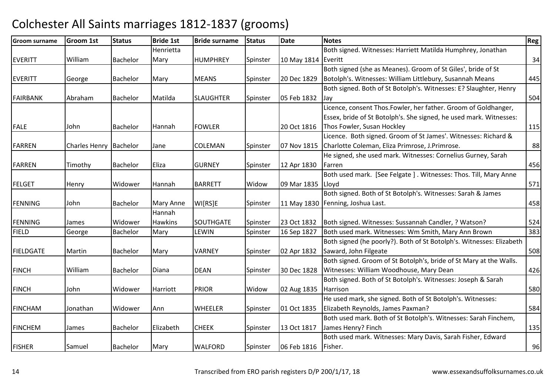| <b>Groom surname</b> | <b>Groom 1st</b> | <b>Status</b>   | <b>Bride 1st</b> | <b>Bride surname</b> | <b>Status</b> | <b>Date</b>         | <b>Notes</b>                                                         | Reg |
|----------------------|------------------|-----------------|------------------|----------------------|---------------|---------------------|----------------------------------------------------------------------|-----|
|                      |                  |                 | Henrietta        |                      |               |                     | Both signed. Witnesses: Harriett Matilda Humphrey, Jonathan          |     |
| <b>EVERITT</b>       | William          | Bachelor        | Mary             | <b>HUMPHREY</b>      | Spinster      | 10 May 1814 Everitt |                                                                      | 34  |
|                      |                  |                 |                  |                      |               |                     | Both signed (she as Meanes). Groom of St Giles', bride of St         |     |
| <b>EVERITT</b>       | George           | Bachelor        | Mary             | <b>MEANS</b>         | Spinster      | 20 Dec 1829         | Botolph's. Witnesses: William Littlebury, Susannah Means             | 445 |
|                      |                  |                 |                  |                      |               |                     | Both signed. Both of St Botolph's. Witnesses: E? Slaughter, Henry    |     |
| FAIRBANK             | Abraham          | <b>Bachelor</b> | Matilda          | <b>SLAUGHTER</b>     | Spinster      | 05 Feb 1832         | Jay                                                                  | 504 |
|                      |                  |                 |                  |                      |               |                     | Licence, consent Thos.Fowler, her father. Groom of Goldhanger,       |     |
|                      |                  |                 |                  |                      |               |                     | Essex, bride of St Botolph's. She signed, he used mark. Witnesses:   |     |
| <b>FALE</b>          | John             | Bachelor        | Hannah           | <b>FOWLER</b>        |               | 20 Oct 1816         | Thos Fowler, Susan Hockley                                           | 115 |
|                      |                  |                 |                  |                      |               |                     | Licence. Both signed. Groom of St James'. Witnesses: Richard &       |     |
| <b>FARREN</b>        | Charles Henry    | Bachelor        | Jane             | COLEMAN              | Spinster      | 07 Nov 1815         | Charlotte Coleman, Eliza Primrose, J. Primrose.                      | 88  |
|                      |                  |                 |                  |                      |               |                     | He signed, she used mark. Witnesses: Cornelius Gurney, Sarah         |     |
| <b>FARREN</b>        | Timothy          | Bachelor        | <b>Eliza</b>     | <b>GURNEY</b>        | Spinster      | 12 Apr 1830         | Farren                                                               | 456 |
|                      |                  |                 |                  |                      |               |                     | Both used mark. [See Felgate]. Witnesses: Thos. Till, Mary Anne      |     |
| FELGET               | Henry            | Widower         | Hannah           | <b>BARRETT</b>       | Widow         | 09 Mar 1835   Lloyd |                                                                      | 571 |
|                      |                  |                 |                  |                      |               |                     | Both signed. Both of St Botolph's. Witnesses: Sarah & James          |     |
| <b>FENNING</b>       | John             | Bachelor        | Mary Anne        | WI[RS]E              | Spinster      |                     | 11 May 1830   Fenning, Joshua Last.                                  | 458 |
|                      |                  |                 | Hannah           |                      |               |                     |                                                                      |     |
| <b>FENNING</b>       | James            | Widower         | <b>Hawkins</b>   | <b>SOUTHGATE</b>     | Spinster      | 23 Oct 1832         | Both signed. Witnesses: Sussannah Candler, ? Watson?                 | 524 |
| <b>FIELD</b>         | George           | Bachelor        | Mary             | <b>LEWIN</b>         | Spinster      | 16 Sep 1827         | Both used mark. Witnesses: Wm Smith, Mary Ann Brown                  | 383 |
|                      |                  |                 |                  |                      |               |                     | Both signed (he poorly?). Both of St Botolph's. Witnesses: Elizabeth |     |
| <b>FIELDGATE</b>     | Martin           | Bachelor        | Mary             | <b>VARNEY</b>        | Spinster      | 02 Apr 1832         | Saward, John Filgeate                                                | 508 |
|                      |                  |                 |                  |                      |               |                     | Both signed. Groom of St Botolph's, bride of St Mary at the Walls.   |     |
| <b>FINCH</b>         | William          | Bachelor        | Diana            | <b>DEAN</b>          | Spinster      | 30 Dec 1828         | Witnesses: William Woodhouse, Mary Dean                              | 426 |
|                      |                  |                 |                  |                      |               |                     | Both signed. Both of St Botolph's. Witnesses: Joseph & Sarah         |     |
| <b>FINCH</b>         | John             | Widower         | Harriott         | <b>PRIOR</b>         | Widow         | 02 Aug 1835         | Harrison                                                             | 580 |
|                      |                  |                 |                  |                      |               |                     | He used mark, she signed. Both of St Botolph's. Witnesses:           |     |
| <b>FINCHAM</b>       | Jonathan         | Widower         | Ann              | <b>WHEELER</b>       | Spinster      | 01 Oct 1835         | Elizabeth Reynolds, James Paxman?                                    | 584 |
|                      |                  |                 |                  |                      |               |                     | Both used mark. Both of St Botolph's. Witnesses: Sarah Finchem,      |     |
| <b>FINCHEM</b>       | James            | <b>Bachelor</b> | Elizabeth        | <b>CHEEK</b>         | Spinster      | 13 Oct 1817         | James Henry? Finch                                                   | 135 |
|                      |                  |                 |                  |                      |               |                     | Both used mark. Witnesses: Mary Davis, Sarah Fisher, Edward          |     |
| <b>FISHER</b>        | Samuel           | Bachelor        | Mary             | <b>WALFORD</b>       | Spinster      | 06 Feb 1816         | Fisher.                                                              | 96  |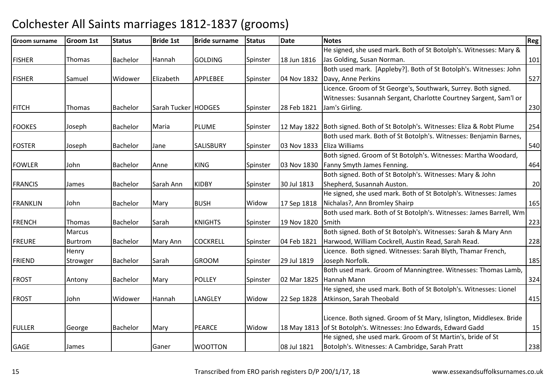| <b>Groom surname</b> | <b>Groom 1st</b> | <b>Status</b>   | <b>Bride 1st</b>    | <b>Bride surname</b> | <b>Status</b> | <b>Date</b> | <b>Notes</b>                                                                                                                            | Reg |
|----------------------|------------------|-----------------|---------------------|----------------------|---------------|-------------|-----------------------------------------------------------------------------------------------------------------------------------------|-----|
|                      |                  |                 |                     |                      |               |             | He signed, she used mark. Both of St Botolph's. Witnesses: Mary &                                                                       |     |
| <b>FISHER</b>        | Thomas           | Bachelor        | Hannah              | <b>GOLDING</b>       | Spinster      | 18 Jun 1816 | Jas Golding, Susan Norman.                                                                                                              | 101 |
|                      |                  |                 |                     |                      |               |             | Both used mark. [Appleby?]. Both of St Botolph's. Witnesses: John                                                                       |     |
| <b>FISHER</b>        | Samuel           | Widower         | Elizabeth           | <b>APPLEBEE</b>      | Spinster      |             | 04 Nov 1832 Davy, Anne Perkins                                                                                                          | 527 |
|                      |                  |                 |                     |                      |               |             | Licence. Groom of St George's, Southwark, Surrey. Both signed.                                                                          |     |
|                      |                  |                 |                     |                      |               |             | Witnesses: Susannah Sergant, Charlotte Courtney Sargent, Sam'l or                                                                       |     |
| <b>FITCH</b>         | Thomas           | Bachelor        | Sarah Tucker HODGES |                      | Spinster      | 28 Feb 1821 | Jam's Girling.                                                                                                                          | 230 |
| <b>FOOKES</b>        | Joseph           | Bachelor        | Maria               | <b>PLUME</b>         | Spinster      |             | 12 May 1822 Both signed. Both of St Botolph's. Witnesses: Eliza & Robt Plume                                                            | 254 |
|                      |                  |                 |                     |                      |               |             | Both used mark. Both of St Botolph's. Witnesses: Benjamin Barnes,                                                                       |     |
| <b>FOSTER</b>        | Joseph           | Bachelor        | Jane                | SALISBURY            | Spinster      |             | 03 Nov 1833 Eliza Williams                                                                                                              | 540 |
|                      |                  |                 |                     |                      |               |             | Both signed. Groom of St Botolph's. Witnesses: Martha Woodard,                                                                          |     |
| <b>FOWLER</b>        | John             | Bachelor        | Anne                | <b>KING</b>          | Spinster      | 03 Nov 1830 | Fanny Smyth James Fenning.                                                                                                              | 464 |
|                      |                  |                 |                     |                      |               |             | Both signed. Both of St Botolph's. Witnesses: Mary & John                                                                               |     |
| <b>FRANCIS</b>       | James            | Bachelor        | Sarah Ann           | <b>KIDBY</b>         | Spinster      | 30 Jul 1813 | Shepherd, Susannah Auston.                                                                                                              | 20  |
|                      |                  |                 |                     |                      |               |             | He signed, she used mark. Both of St Botolph's. Witnesses: James                                                                        |     |
| <b>FRANKLIN</b>      | John             | Bachelor        | Mary                | <b>BUSH</b>          | Widow         | 17 Sep 1818 | Nichalas?, Ann Bromley Shairp                                                                                                           | 165 |
|                      |                  |                 |                     |                      |               |             | Both used mark. Both of St Botolph's. Witnesses: James Barrell, Wm                                                                      |     |
| <b>FRENCH</b>        | <b>Thomas</b>    | Bachelor        | Sarah               | <b>KNIGHTS</b>       | Spinster      | 19 Nov 1820 | Smith                                                                                                                                   | 223 |
|                      | Marcus           |                 |                     |                      |               |             | Both signed. Both of St Botolph's. Witnesses: Sarah & Mary Ann                                                                          |     |
| <b>FREURE</b>        | Burtrom          | <b>Bachelor</b> | Mary Ann            | <b>COCKRELL</b>      | Spinster      | 04 Feb 1821 | Harwood, William Cockrell, Austin Read, Sarah Read.                                                                                     | 228 |
|                      | Henry            |                 |                     |                      |               |             | Licence. Both signed. Witnesses: Sarah Blyth, Thamar French,                                                                            |     |
| <b>FRIEND</b>        | Strowger         | Bachelor        | Sarah               | <b>GROOM</b>         | Spinster      | 29 Jul 1819 | Joseph Norfolk.                                                                                                                         | 185 |
|                      |                  |                 |                     |                      |               |             | Both used mark. Groom of Manningtree. Witnesses: Thomas Lamb,                                                                           |     |
| <b>FROST</b>         | Antony           | Bachelor        | Mary                | <b>POLLEY</b>        | Spinster      | 02 Mar 1825 | Hannah Mann                                                                                                                             | 324 |
|                      |                  |                 |                     |                      |               |             | He signed, she used mark. Both of St Botolph's. Witnesses: Lionel                                                                       |     |
| <b>FROST</b>         | John             | Widower         | Hannah              | LANGLEY              | Widow         | 22 Sep 1828 | Atkinson, Sarah Theobald                                                                                                                | 415 |
|                      |                  |                 |                     |                      |               |             |                                                                                                                                         |     |
| <b>FULLER</b>        |                  | Bachelor        |                     | <b>PEARCE</b>        | Widow         |             | Licence. Both signed. Groom of St Mary, Islington, Middlesex. Bride<br>18 May 1813 of St Botolph's. Witnesses: Jno Edwards, Edward Gadd | 15  |
|                      | George           |                 | Mary                |                      |               |             | He signed, she used mark. Groom of St Martin's, bride of St                                                                             |     |
| <b>GAGE</b>          | James            |                 | Ganer               | <b>WOOTTON</b>       |               | 08 Jul 1821 | Botolph's. Witnesses: A Cambridge, Sarah Pratt                                                                                          | 238 |
|                      |                  |                 |                     |                      |               |             |                                                                                                                                         |     |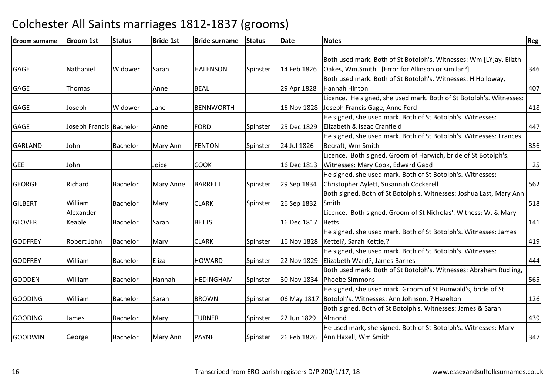| Groom surname  | Groom 1st               | <b>Status</b>   | <b>Bride 1st</b> | <b>Bride surname</b> | <b>Status</b> | <b>Date</b> | <b>Notes</b>                                                        | <b>Reg</b> |
|----------------|-------------------------|-----------------|------------------|----------------------|---------------|-------------|---------------------------------------------------------------------|------------|
|                |                         |                 |                  |                      |               |             |                                                                     |            |
|                |                         |                 |                  |                      |               |             | Both used mark. Both of St Botolph's. Witnesses: Wm [LY]ay, Elizth  |            |
| <b>GAGE</b>    | Nathaniel               | Widower         | Sarah            | <b>HALENSON</b>      | Spinster      | 14 Feb 1826 | Oakes, Wm.Smith. [Error for Allinson or similar?].                  | 346        |
|                |                         |                 |                  |                      |               |             | Both used mark. Both of St Botolph's. Witnesses: H Holloway,        |            |
| <b>GAGE</b>    | <b>Thomas</b>           |                 | Anne             | <b>BEAL</b>          |               | 29 Apr 1828 | Hannah Hinton                                                       | 407        |
|                |                         |                 |                  |                      |               |             | Licence. He signed, she used mark. Both of St Botolph's. Witnesses: |            |
| <b>GAGE</b>    | Joseph                  | Widower         | Jane             | <b>BENNWORTH</b>     |               |             | 16 Nov 1828 Joseph Francis Gage, Anne Ford                          | 418        |
|                |                         |                 |                  |                      |               |             | He signed, she used mark. Both of St Botolph's. Witnesses:          |            |
| <b>GAGE</b>    | Joseph Francis Bachelor |                 | Anne             | <b>FORD</b>          | Spinster      | 25 Dec 1829 | Elizabeth & Isaac Cranfield                                         | 447        |
|                |                         |                 |                  |                      |               |             | He signed, she used mark. Both of St Botolph's. Witnesses: Frances  |            |
| <b>GARLAND</b> | John                    | <b>Bachelor</b> | Mary Ann         | <b>FENTON</b>        | Spinster      | 24 Jul 1826 | Becraft, Wm Smith                                                   | 356        |
|                |                         |                 |                  |                      |               |             | Licence. Both signed. Groom of Harwich, bride of St Botolph's.      |            |
| <b>GEE</b>     | John                    |                 | Joice            | <b>COOK</b>          |               | 16 Dec 1813 | Witnesses: Mary Cook, Edward Gadd                                   | 25         |
|                |                         |                 |                  |                      |               |             | He signed, she used mark. Both of St Botolph's. Witnesses:          |            |
| <b>GEORGE</b>  | Richard                 | <b>Bachelor</b> | Mary Anne        | <b>BARRETT</b>       | Spinster      | 29 Sep 1834 | Christopher Aylett, Susannah Cockerell                              | 562        |
|                |                         |                 |                  |                      |               |             | Both signed. Both of St Botolph's. Witnesses: Joshua Last, Mary Ann |            |
| <b>GILBERT</b> | William                 | <b>Bachelor</b> | Mary             | <b>CLARK</b>         | Spinster      | 26 Sep 1832 | Smith                                                               | 518        |
|                | Alexander               |                 |                  |                      |               |             | Licence. Both signed. Groom of St Nicholas'. Witness: W. & Mary     |            |
| <b>GLOVER</b>  | Keable                  | Bachelor        | Sarah            | <b>BETTS</b>         |               | 16 Dec 1817 | Betts                                                               | 141        |
|                |                         |                 |                  |                      |               |             | He signed, she used mark. Both of St Botolph's. Witnesses: James    |            |
| <b>GODFREY</b> | Robert John             | Bachelor        | Mary             | <b>CLARK</b>         | Spinster      |             | 16 Nov 1828   Kettel?, Sarah Kettle,?                               | 419        |
|                |                         |                 |                  |                      |               |             | He signed, she used mark. Both of St Botolph's. Witnesses:          |            |
| <b>GODFREY</b> | William                 | <b>Bachelor</b> | Eliza            | <b>HOWARD</b>        | Spinster      |             | 22 Nov 1829 Elizabeth Ward?, James Barnes                           | 444        |
|                |                         |                 |                  |                      |               |             | Both used mark. Both of St Botolph's. Witnesses: Abraham Rudling,   |            |
| <b>GOODEN</b>  | William                 | Bachelor        | Hannah           | <b>HEDINGHAM</b>     | Spinster      |             | 30 Nov 1834 Phoebe Simmons                                          | 565        |
|                |                         |                 |                  |                      |               |             | He signed, she used mark. Groom of St Runwald's, bride of St        |            |
| <b>GOODING</b> | William                 | Bachelor        | Sarah            | <b>BROWN</b>         | Spinster      |             | 06 May 1817 Botolph's. Witnesses: Ann Johnson, ? Hazelton           | 126        |
|                |                         |                 |                  |                      |               |             | Both signed. Both of St Botolph's. Witnesses: James & Sarah         |            |
| <b>GOODING</b> | James                   | <b>Bachelor</b> | Mary             | <b>TURNER</b>        | Spinster      | 22 Jun 1829 | Almond                                                              | 439        |
|                |                         |                 |                  |                      |               |             | He used mark, she signed. Both of St Botolph's. Witnesses: Mary     |            |
| <b>GOODWIN</b> | George                  | Bachelor        | Mary Ann         | <b>PAYNE</b>         | Spinster      |             | 26 Feb 1826   Ann Haxell, Wm Smith                                  | 347        |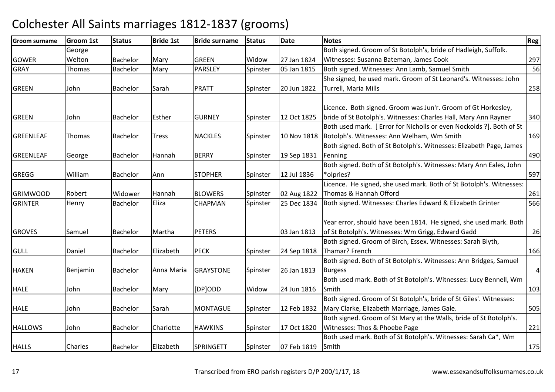| <b>Groom surname</b> | <b>Groom 1st</b> | <b>Status</b>   | <b>Bride 1st</b> | <b>Bride surname</b> | <b>Status</b> | <b>Date</b> | <b>Notes</b>                                                        | Reg            |
|----------------------|------------------|-----------------|------------------|----------------------|---------------|-------------|---------------------------------------------------------------------|----------------|
|                      | George           |                 |                  |                      |               |             | Both signed. Groom of St Botolph's, bride of Hadleigh, Suffolk.     |                |
| <b>GOWER</b>         | Welton           | Bachelor        | Mary             | <b>GREEN</b>         | Widow         | 27 Jan 1824 | Witnesses: Susanna Bateman, James Cook                              | 297            |
| <b>GRAY</b>          | Thomas           | Bachelor        | Mary             | PARSLEY              | Spinster      | 05 Jan 1815 | Both signed. Witnesses: Ann Lamb, Samuel Smith                      | 56             |
|                      |                  |                 |                  |                      |               |             | She signed, he used mark. Groom of St Leonard's. Witnesses: John    |                |
| <b>GREEN</b>         | John             | Bachelor        | Sarah            | <b>PRATT</b>         | Spinster      | 20 Jun 1822 | Turrell, Maria Mills                                                | 258            |
|                      |                  |                 |                  |                      |               |             |                                                                     |                |
|                      |                  |                 |                  |                      |               |             | Licence. Both signed. Groom was Jun'r. Groom of Gt Horkesley,       |                |
| <b>GREEN</b>         | John             | <b>Bachelor</b> | Esther           | <b>GURNEY</b>        | Spinster      | 12 Oct 1825 | bride of St Botolph's. Witnesses: Charles Hall, Mary Ann Rayner     | 340            |
|                      |                  |                 |                  |                      |               |             | Both used mark. [Error for Nicholls or even Nockolds ?]. Both of St |                |
| <b>GREENLEAF</b>     | Thomas           | Bachelor        | <b>Tress</b>     | <b>NACKLES</b>       | Spinster      |             | 10 Nov 1818   Botolph's. Witnesses: Ann Welham, Wm Smith            | 169            |
|                      |                  |                 |                  |                      |               |             | Both signed. Both of St Botolph's. Witnesses: Elizabeth Page, James |                |
| <b>GREENLEAF</b>     | George           | Bachelor        | Hannah           | <b>BERRY</b>         | Spinster      | 19 Sep 1831 | Fenning                                                             | 490            |
|                      |                  |                 |                  |                      |               |             | Both signed. Both of St Botolph's. Witnesses: Mary Ann Eales, John  |                |
| <b>GREGG</b>         | William          | <b>Bachelor</b> | Ann              | <b>STOPHER</b>       | Spinster      | 12 Jul 1836 | *olpries?                                                           | 597            |
|                      |                  |                 |                  |                      |               |             | Licence. He signed, she used mark. Both of St Botolph's. Witnesses: |                |
| <b>GRIMWOOD</b>      | Robert           | Widower         | Hannah           | <b>BLOWERS</b>       | Spinster      | 02 Aug 1822 | Thomas & Hannah Offord                                              | 261            |
| <b>GRINTER</b>       | Henry            | Bachelor        | Eliza            | CHAPMAN              | Spinster      | 25 Dec 1834 | Both signed. Witnesses: Charles Edward & Elizabeth Grinter          | 566            |
|                      |                  |                 |                  |                      |               |             |                                                                     |                |
|                      |                  |                 |                  |                      |               |             | Year error, should have been 1814. He signed, she used mark. Both   |                |
| <b>GROVES</b>        | Samuel           | <b>Bachelor</b> | Martha           | <b>PETERS</b>        |               | 03 Jan 1813 | of St Botolph's. Witnesses: Wm Grigg, Edward Gadd                   | 26             |
|                      |                  |                 |                  |                      |               |             | Both signed. Groom of Birch, Essex. Witnesses: Sarah Blyth,         |                |
| <b>GULL</b>          | Daniel           | <b>Bachelor</b> | Elizabeth        | <b>PECK</b>          | Spinster      | 24 Sep 1818 | Thamar? French                                                      | 166            |
|                      |                  |                 |                  |                      |               |             | Both signed. Both of St Botolph's. Witnesses: Ann Bridges, Samuel   |                |
| <b>HAKEN</b>         | Benjamin         | Bachelor        | Anna Maria       | <b>GRAYSTONE</b>     | Spinster      | 26 Jan 1813 | <b>Burgess</b>                                                      | $\overline{a}$ |
|                      |                  |                 |                  |                      |               |             | Both used mark. Both of St Botolph's. Witnesses: Lucy Bennell, Wm   |                |
| <b>HALE</b>          | John             | <b>Bachelor</b> | Mary             | [DP]ODD              | Widow         | 24 Jun 1816 | Smith                                                               | 103            |
|                      |                  |                 |                  |                      |               |             | Both signed. Groom of St Botolph's, bride of St Giles'. Witnesses:  |                |
| <b>HALE</b>          | John             | <b>Bachelor</b> | Sarah            | <b>MONTAGUE</b>      | Spinster      | 12 Feb 1832 | Mary Clarke, Elizabeth Marriage, James Gale.                        | 505            |
|                      |                  |                 |                  |                      |               |             | Both signed. Groom of St Mary at the Walls, bride of St Botolph's.  |                |
| <b>HALLOWS</b>       | John             | Bachelor        | Charlotte        | <b>HAWKINS</b>       | Spinster      | 17 Oct 1820 | Witnesses: Thos & Phoebe Page                                       | 221            |
|                      |                  |                 |                  |                      |               |             | Both used mark. Both of St Botolph's. Witnesses: Sarah Ca*, Wm      |                |
| <b>HALLS</b>         | Charles          | Bachelor        | Elizabeth        | <b>SPRINGETT</b>     | Spinster      | 07 Feb 1819 | Smith                                                               | 175            |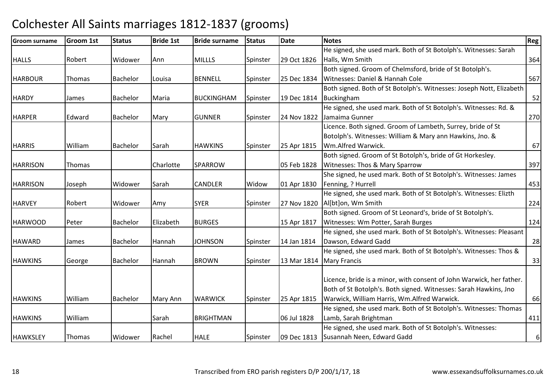| <b>Groom surname</b> | Groom 1st     | <b>Status</b> | <b>Bride 1st</b> | <b>Bride surname</b> | <b>Status</b> | <b>Date</b> | <b>Notes</b>                                                         | Reg   |
|----------------------|---------------|---------------|------------------|----------------------|---------------|-------------|----------------------------------------------------------------------|-------|
|                      |               |               |                  |                      |               |             | He signed, she used mark. Both of St Botolph's. Witnesses: Sarah     |       |
| <b>HALLS</b>         | Robert        | Widower       | Ann              | <b>MILLLS</b>        | Spinster      | 29 Oct 1826 | Halls, Wm Smith                                                      | 364   |
|                      |               |               |                  |                      |               |             | Both signed. Groom of Chelmsford, bride of St Botolph's.             |       |
| <b>HARBOUR</b>       | <b>Thomas</b> | Bachelor      | Louisa           | <b>BENNELL</b>       | Spinster      | 25 Dec 1834 | Witnesses: Daniel & Hannah Cole                                      | 567   |
|                      |               |               |                  |                      |               |             | Both signed. Both of St Botolph's. Witnesses: Joseph Nott, Elizabeth |       |
| <b>HARDY</b>         | James         | Bachelor      | Maria            | <b>BUCKINGHAM</b>    | Spinster      | 19 Dec 1814 | Buckingham                                                           | 52    |
|                      |               |               |                  |                      |               |             | He signed, she used mark. Both of St Botolph's. Witnesses: Rd. &     |       |
| <b>HARPER</b>        | Edward        | Bachelor      | Mary             | <b>GUNNER</b>        | Spinster      | 24 Nov 1822 | Jamaima Gunner                                                       | 270   |
|                      |               |               |                  |                      |               |             | Licence. Both signed. Groom of Lambeth, Surrey, bride of St          |       |
|                      |               |               |                  |                      |               |             | Botolph's. Witnesses: William & Mary ann Hawkins, Jno. &             |       |
| <b>HARRIS</b>        | William       | Bachelor      | Sarah            | <b>HAWKINS</b>       | Spinster      | 25 Apr 1815 | Wm.Alfred Warwick.                                                   | 67    |
|                      |               |               |                  |                      |               |             | Both signed. Groom of St Botolph's, bride of Gt Horkesley.           |       |
| <b>HARRISON</b>      | <b>Thomas</b> |               | Charlotte        | SPARROW              |               | 05 Feb 1828 | Witnesses: Thos & Mary Sparrow                                       | 397   |
|                      |               |               |                  |                      |               |             | She signed, he used mark. Both of St Botolph's. Witnesses: James     |       |
| <b>HARRISON</b>      | Joseph        | Widower       | Sarah            | <b>CANDLER</b>       | Widow         | 01 Apr 1830 | Fenning, ? Hurrell                                                   | 453   |
|                      |               |               |                  |                      |               |             | He signed, she used mark. Both of St Botolph's. Witnesses: Elizth    |       |
| <b>HARVEY</b>        | Robert        | Widower       | Amy              | <b>SYER</b>          | Spinster      |             | 27 Nov 1820   Allbtlon, Wm Smith                                     | 224   |
|                      |               |               |                  |                      |               |             | Both signed. Groom of St Leonard's, bride of St Botolph's.           |       |
| <b>HARWOOD</b>       | Peter         | Bachelor      | Elizabeth        | <b>BURGES</b>        |               | 15 Apr 1817 | Witnesses: Wm Potter, Sarah Burges                                   | 124   |
|                      |               |               |                  |                      |               |             | He signed, she used mark. Both of St Botolph's. Witnesses: Pleasant  |       |
| <b>HAWARD</b>        | James         | Bachelor      | Hannah           | <b>JOHNSON</b>       | Spinster      | 14 Jan 1814 | Dawson, Edward Gadd                                                  | 28    |
|                      |               |               |                  |                      |               |             | He signed, she used mark. Both of St Botolph's. Witnesses: Thos &    |       |
| <b>HAWKINS</b>       | George        | Bachelor      | Hannah           | <b>BROWN</b>         | Spinster      |             | 13 Mar 1814   Mary Francis                                           | 33    |
|                      |               |               |                  |                      |               |             |                                                                      |       |
|                      |               |               |                  |                      |               |             | Licence, bride is a minor, with consent of John Warwick, her father. |       |
|                      |               |               |                  |                      |               |             | Both of St Botolph's. Both signed. Witnesses: Sarah Hawkins, Jno     |       |
| <b>HAWKINS</b>       | William       | Bachelor      | Mary Ann         | <b>WARWICK</b>       | Spinster      | 25 Apr 1815 | Warwick, William Harris, Wm.Alfred Warwick.                          | 66    |
|                      |               |               |                  |                      |               |             | He signed, she used mark. Both of St Botolph's. Witnesses: Thomas    |       |
| <b>HAWKINS</b>       | William       |               | Sarah            | <b>BRIGHTMAN</b>     |               | 06 Jul 1828 | Lamb, Sarah Brightman                                                | 411   |
|                      |               |               |                  |                      |               |             | He signed, she used mark. Both of St Botolph's. Witnesses:           |       |
| <b>HAWKSLEY</b>      | Thomas        | Widower       | Rachel           | <b>HALE</b>          | Spinster      |             | 09 Dec 1813 Susannah Neen, Edward Gadd                               | $6\,$ |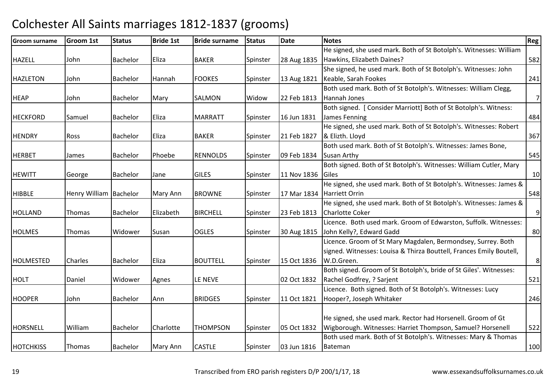| <b>Groom surname</b> | <b>Groom 1st</b>         | <b>Status</b> | <b>Bride 1st</b> | <b>Bride surname</b> | <b>Status</b> | <b>Date</b> | <b>Notes</b>                                                        | Reg            |
|----------------------|--------------------------|---------------|------------------|----------------------|---------------|-------------|---------------------------------------------------------------------|----------------|
|                      |                          |               |                  |                      |               |             | He signed, she used mark. Both of St Botolph's. Witnesses: William  |                |
| <b>HAZELL</b>        | John                     | Bachelor      | Eliza            | <b>BAKER</b>         | Spinster      | 28 Aug 1835 | Hawkins, Elizabeth Daines?                                          | 582            |
|                      |                          |               |                  |                      |               |             | She signed, he used mark. Both of St Botolph's. Witnesses: John     |                |
| <b>HAZLETON</b>      | John                     | Bachelor      | Hannah           | <b>FOOKES</b>        | Spinster      | 13 Aug 1821 | Keable, Sarah Fookes                                                | 241            |
|                      |                          |               |                  |                      |               |             | Both used mark. Both of St Botolph's. Witnesses: William Clegg,     |                |
| <b>HEAP</b>          | John                     | Bachelor      | Mary             | <b>SALMON</b>        | Widow         | 22 Feb 1813 | Hannah Jones                                                        | 7              |
|                      |                          |               |                  |                      |               |             | Both signed. [ Consider Marriott] Both of St Botolph's. Witness:    |                |
| <b>HECKFORD</b>      | Samuel                   | Bachelor      | Eliza            | <b>MARRATT</b>       | Spinster      | 16 Jun 1831 | James Fenning                                                       | 484            |
|                      |                          |               |                  |                      |               |             | He signed, she used mark. Both of St Botolph's. Witnesses: Robert   |                |
| <b>HENDRY</b>        | Ross                     | Bachelor      | Eliza            | <b>BAKER</b>         | Spinster      | 21 Feb 1827 | & Elizth. Lloyd                                                     | 367            |
|                      |                          |               |                  |                      |               |             | Both used mark. Both of St Botolph's. Witnesses: James Bone,        |                |
| <b>HERBET</b>        | James                    | Bachelor      | Phoebe           | <b>RENNOLDS</b>      | Spinster      | 09 Feb 1834 | Susan Arthy                                                         | 545            |
|                      |                          |               |                  |                      |               |             | Both signed. Both of St Botolph's. Witnesses: William Cutler, Mary  |                |
| <b>HEWITT</b>        | George                   | Bachelor      | Jane             | <b>GILES</b>         | Spinster      | 11 Nov 1836 | <b>Giles</b>                                                        | 10             |
|                      |                          |               |                  |                      |               |             | He signed, she used mark. Both of St Botolph's. Witnesses: James &  |                |
| <b>HIBBLE</b>        | Henry William   Bachelor |               | Mary Ann         | <b>BROWNE</b>        | Spinster      |             | 17 Mar 1834 Harriett Orrin                                          | 548            |
|                      |                          |               |                  |                      |               |             | He signed, she used mark. Both of St Botolph's. Witnesses: James &  |                |
| <b>HOLLAND</b>       | <b>Thomas</b>            | Bachelor      | Elizabeth        | <b>BIRCHELL</b>      | Spinster      | 23 Feb 1813 | <b>Charlotte Coker</b>                                              | $\overline{9}$ |
|                      |                          |               |                  |                      |               |             | Licence. Both used mark. Groom of Edwarston, Suffolk. Witnesses:    |                |
| <b>HOLMES</b>        | <b>Thomas</b>            | Widower       | Susan            | <b>OGLES</b>         | Spinster      | 30 Aug 1815 | John Kelly?, Edward Gadd                                            | 80             |
|                      |                          |               |                  |                      |               |             | Licence. Groom of St Mary Magdalen, Bermondsey, Surrey. Both        |                |
|                      |                          |               |                  |                      |               |             | signed. Witnesses: Louisa & Thirza Bouttell, Frances Emily Boutell, |                |
| <b>HOLMESTED</b>     | Charles                  | Bachelor      | <b>Eliza</b>     | <b>BOUTTELL</b>      | Spinster      | 15 Oct 1836 | W.D.Green.                                                          | 8 <sup>1</sup> |
|                      |                          |               |                  |                      |               |             | Both signed. Groom of St Botolph's, bride of St Giles'. Witnesses:  |                |
| <b>HOLT</b>          | Daniel                   | Widower       | Agnes            | LE NEVE              |               | 02 Oct 1832 | Rachel Godfrey, ? Sarjent                                           | 521            |
|                      |                          |               |                  |                      |               |             | Licence. Both signed. Both of St Botolph's. Witnesses: Lucy         |                |
| <b>HOOPER</b>        | John                     | Bachelor      | Ann              | <b>BRIDGES</b>       | Spinster      | 11 Oct 1821 | Hooper?, Joseph Whitaker                                            | 246            |
|                      |                          |               |                  |                      |               |             |                                                                     |                |
|                      |                          |               |                  |                      |               |             | He signed, she used mark. Rector had Horsenell. Groom of Gt         |                |
| HORSNELL             | William                  | Bachelor      | Charlotte        | <b>THOMPSON</b>      | Spinster      | 05 Oct 1832 | Wigborough. Witnesses: Harriet Thompson, Samuel? Horsenell          | 522            |
|                      |                          |               |                  |                      |               |             | Both used mark. Both of St Botolph's. Witnesses: Mary & Thomas      |                |
| <b>HOTCHKISS</b>     | Thomas                   | Bachelor      | Mary Ann         | <b>CASTLE</b>        | Spinster      | 03 Jun 1816 | Bateman                                                             | 100            |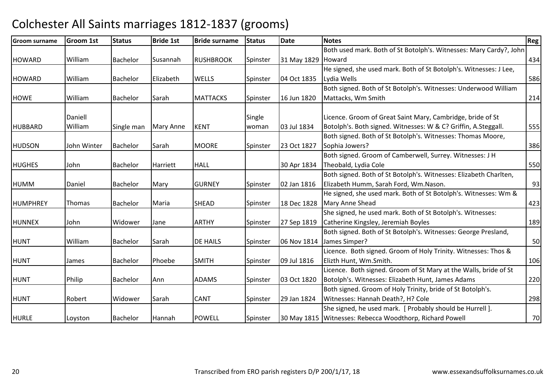| <b>Groom surname</b> | <b>Groom 1st</b> | <b>Status</b>   | <b>Bride 1st</b> | <b>Bride surname</b> | <b>Status</b> | <b>Date</b>        | <b>Notes</b>                                                       | Reg |
|----------------------|------------------|-----------------|------------------|----------------------|---------------|--------------------|--------------------------------------------------------------------|-----|
|                      |                  |                 |                  |                      |               |                    | Both used mark. Both of St Botolph's. Witnesses: Mary Cardy?, John |     |
| <b>HOWARD</b>        | William          | Bachelor        | <b>Susannah</b>  | <b>RUSHBROOK</b>     | Spinster      | 31 May 1829 Howard |                                                                    | 434 |
|                      |                  |                 |                  |                      |               |                    | He signed, she used mark. Both of St Botolph's. Witnesses: J Lee,  |     |
| <b>HOWARD</b>        | William          | Bachelor        | Elizabeth        | <b>WELLS</b>         | Spinster      | 04 Oct 1835        | Lydia Wells                                                        | 586 |
|                      |                  |                 |                  |                      |               |                    | Both signed. Both of St Botolph's. Witnesses: Underwood William    |     |
| <b>HOWE</b>          | William          | Bachelor        | Sarah            | <b>MATTACKS</b>      | Spinster      | 16 Jun 1820        | Mattacks, Wm Smith                                                 | 214 |
|                      | Daniell          |                 |                  |                      | Single        |                    | Licence. Groom of Great Saint Mary, Cambridge, bride of St         |     |
| <b>HUBBARD</b>       | William          | Single man      | <b>Mary Anne</b> | <b>KENT</b>          | woman         | 03 Jul 1834        | Botolph's. Both signed. Witnesses: W & C? Griffin, A.Steggall.     | 555 |
|                      |                  |                 |                  |                      |               |                    | Both signed. Both of St Botolph's. Witnesses: Thomas Moore,        |     |
| <b>HUDSON</b>        | John Winter      | <b>Bachelor</b> | Sarah            | <b>MOORE</b>         | Spinster      | 23 Oct 1827        | Sophia Jowers?                                                     | 386 |
|                      |                  |                 |                  |                      |               |                    | Both signed. Groom of Camberwell, Surrey. Witnesses: J H           |     |
| <b>HUGHES</b>        | John             | Bachelor        | Harriett         | <b>HALL</b>          |               | 30 Apr 1834        | Theobald, Lydia Cole                                               | 550 |
|                      |                  |                 |                  |                      |               |                    | Both signed. Both of St Botolph's. Witnesses: Elizabeth Charlten,  |     |
| <b>HUMM</b>          | Daniel           | Bachelor        | Mary             | <b>GURNEY</b>        | Spinster      | 02 Jan 1816        | Elizabeth Humm, Sarah Ford, Wm.Nason.                              | 93  |
|                      |                  |                 |                  |                      |               |                    | He signed, she used mark. Both of St Botolph's. Witnesses: Wm &    |     |
| <b>HUMPHREY</b>      | <b>Thomas</b>    | Bachelor        | Maria            | <b>SHEAD</b>         | Spinster      | 18 Dec 1828        | Mary Anne Shead                                                    | 423 |
|                      |                  |                 |                  |                      |               |                    | She signed, he used mark. Both of St Botolph's. Witnesses:         |     |
| <b>HUNNEX</b>        | John             | Widower         | Jane             | <b>ARTHY</b>         | Spinster      | 27 Sep 1819        | Catherine Kingsley, Jeremiah Boyles                                | 189 |
|                      |                  |                 |                  |                      |               |                    | Both signed. Both of St Botolph's. Witnesses: George Presland,     |     |
| <b>HUNT</b>          | William          | Bachelor        | Sarah            | <b>DE HAILS</b>      | Spinster      |                    | 06 Nov 1814 James Simper?                                          | 50  |
|                      |                  |                 |                  |                      |               |                    | Licence. Both signed. Groom of Holy Trinity. Witnesses: Thos &     |     |
| <b>HUNT</b>          | James            | Bachelor        | Phoebe           | <b>SMITH</b>         | Spinster      | 09 Jul 1816        | Elizth Hunt, Wm.Smith.                                             | 106 |
|                      |                  |                 |                  |                      |               |                    | Licence. Both signed. Groom of St Mary at the Walls, bride of St   |     |
| <b>HUNT</b>          | Philip           | Bachelor        | Ann              | <b>ADAMS</b>         | Spinster      | 03 Oct 1820        | Botolph's. Witnesses: Elizabeth Hunt, James Adams                  | 220 |
|                      |                  |                 |                  |                      |               |                    | Both signed. Groom of Holy Trinity, bride of St Botolph's.         |     |
| <b>HUNT</b>          | Robert           | Widower         | Sarah            | <b>CANT</b>          | Spinster      | 29 Jan 1824        | Witnesses: Hannah Death?, H? Cole                                  | 298 |
|                      |                  |                 |                  |                      |               |                    | She signed, he used mark. [ Probably should be Hurrell ].          |     |
| HURLE                | Loyston          | Bachelor        | Hannah           | <b>POWELL</b>        | Spinster      |                    | 30 May 1815 Witnesses: Rebecca Woodthorp, Richard Powell           | 70  |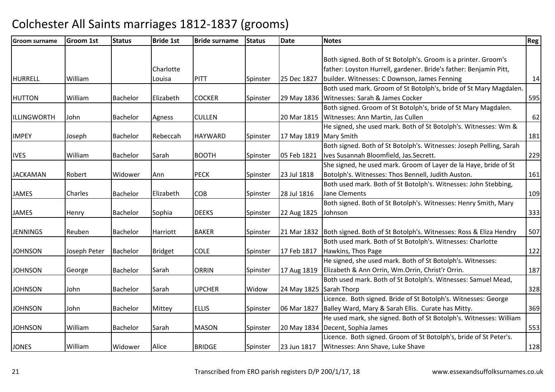| <b>Groom surname</b> | <b>Groom 1st</b> | <b>Status</b>   | <b>Bride 1st</b> | <b>Bride surname</b> | <b>Status</b> | <b>Date</b>             | <b>Notes</b>                                                                    | Reg |
|----------------------|------------------|-----------------|------------------|----------------------|---------------|-------------------------|---------------------------------------------------------------------------------|-----|
|                      |                  |                 |                  |                      |               |                         |                                                                                 |     |
|                      |                  |                 |                  |                      |               |                         | Both signed. Both of St Botolph's. Groom is a printer. Groom's                  |     |
|                      |                  |                 | Charlotte        |                      |               |                         | father: Loyston Hurrell, gardener. Bride's father: Benjamin Pitt,               |     |
| <b>HURRELL</b>       | William          |                 | Louisa           | PITT                 | Spinster      | 25 Dec 1827             | builder. Witnesses: C Downson, James Fenning                                    | 14  |
|                      |                  |                 |                  |                      |               |                         | Both used mark. Groom of St Botolph's, bride of St Mary Magdalen.               |     |
| <b>HUTTON</b>        | William          | <b>Bachelor</b> | Elizabeth        | <b>COCKER</b>        | Spinster      |                         | 29 May 1836 Witnesses: Sarah & James Cocker                                     | 595 |
|                      |                  |                 |                  |                      |               |                         | Both signed. Groom of St Botolph's, bride of St Mary Magdalen.                  |     |
| ILLINGWORTH          | John             | <b>Bachelor</b> | Agness           | <b>CULLEN</b>        |               |                         | 20 Mar 1815   Witnesses: Ann Martin, Jas Cullen                                 | 62  |
|                      |                  |                 |                  |                      |               |                         | He signed, she used mark. Both of St Botolph's. Witnesses: Wm &                 |     |
| <b>IMPEY</b>         | Joseph           | Bachelor        | Rebeccah         | <b>HAYWARD</b>       | Spinster      | 17 May 1819 Mary Smith  |                                                                                 | 181 |
|                      |                  |                 |                  |                      |               |                         | Both signed. Both of St Botolph's. Witnesses: Joseph Pelling, Sarah             |     |
| <b>IVES</b>          | William          | <b>Bachelor</b> | Sarah            | <b>BOOTH</b>         | Spinster      | 05 Feb 1821             | Ives Susannah Bloomfield, Jas. Secrett.                                         | 229 |
|                      |                  |                 |                  |                      |               |                         | She signed, he used mark. Groom of Layer de la Haye, bride of St                |     |
| <b>JACKAMAN</b>      | Robert           | Widower         | Ann              | <b>PECK</b>          | Spinster      | 23 Jul 1818             | Botolph's. Witnesses: Thos Bennell, Judith Auston.                              | 161 |
|                      |                  |                 |                  |                      |               |                         | Both used mark. Both of St Botolph's. Witnesses: John Stebbing,                 |     |
| <b>JAMES</b>         | <b>Charles</b>   | <b>Bachelor</b> | Elizabeth        | <b>COB</b>           | Spinster      | 28 Jul 1816             | <b>Jane Clements</b>                                                            | 109 |
|                      |                  |                 |                  |                      |               |                         | Both signed. Both of St Botolph's. Witnesses: Henry Smith, Mary                 |     |
| <b>JAMES</b>         | Henry            | Bachelor        | Sophia           | <b>DEEKS</b>         | Spinster      | 22 Aug 1825             | Johnson                                                                         | 333 |
|                      |                  |                 |                  |                      |               |                         |                                                                                 |     |
| <b>JENNINGS</b>      | Reuben           | Bachelor        | Harriott         | <b>BAKER</b>         | Spinster      |                         | 21 Mar 1832   Both signed. Both of St Botolph's. Witnesses: Ross & Eliza Hendry | 507 |
|                      |                  |                 |                  |                      |               |                         | Both used mark. Both of St Botolph's. Witnesses: Charlotte                      |     |
| <b>JOHNSON</b>       | Joseph Peter     | Bachelor        | <b>Bridget</b>   | <b>COLE</b>          | Spinster      | 17 Feb 1817             | Hawkins, Thos Page                                                              | 122 |
|                      |                  |                 |                  |                      |               |                         | He signed, she used mark. Both of St Botolph's. Witnesses:                      |     |
| <b>JOHNSON</b>       | George           | <b>Bachelor</b> | Sarah            | <b>ORRIN</b>         | Spinster      | 17 Aug 1819             | Elizabeth & Ann Orrin, Wm.Orrin, Christ'r Orrin.                                | 187 |
|                      |                  |                 |                  |                      |               |                         | Both used mark. Both of St Botolph's. Witnesses: Samuel Mead,                   |     |
| <b>JOHNSON</b>       | John             | Bachelor        | Sarah            | <b>UPCHER</b>        | Widow         | 24 May 1825 Sarah Thorp |                                                                                 | 328 |
|                      |                  |                 |                  |                      |               |                         | Licence. Both signed. Bride of St Botolph's. Witnesses: George                  |     |
| <b>JOHNSON</b>       | John             | Bachelor        | Mittey           | <b>ELLIS</b>         | Spinster      |                         | 06 Mar 1827   Balley Ward, Mary & Sarah Ellis. Curate has Mitty.                | 369 |
|                      |                  |                 |                  |                      |               |                         | He used mark, she signed. Both of St Botolph's. Witnesses: William              |     |
| <b>JOHNSON</b>       | William          | Bachelor        | Sarah            | <b>MASON</b>         | Spinster      |                         | 20 May 1834   Decent, Sophia James                                              | 553 |
|                      |                  |                 |                  |                      |               |                         | Licence. Both signed. Groom of St Botolph's, bride of St Peter's.               |     |
| <b>JONES</b>         | William          | Widower         | Alice            | <b>BRIDGE</b>        | Spinster      | 23 Jun 1817             | Witnesses: Ann Shave, Luke Shave                                                | 128 |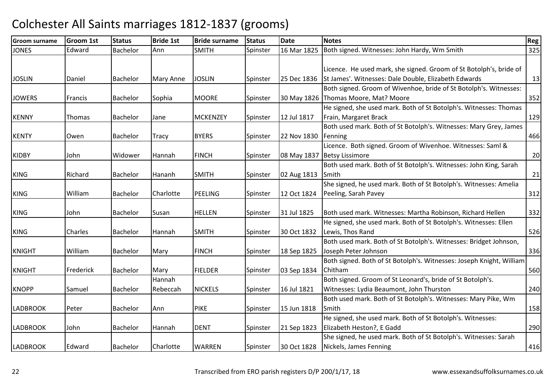| Groom surname   | <b>Groom 1st</b> | <b>Status</b>   | <b>Bride 1st</b>   | <b>Bride surname</b> | <b>Status</b> | <b>Date</b> | <b>Notes</b>                                                                                              | Reg |
|-----------------|------------------|-----------------|--------------------|----------------------|---------------|-------------|-----------------------------------------------------------------------------------------------------------|-----|
| <b>JONES</b>    | Edward           | Bachelor        | Ann                | <b>SMITH</b>         | Spinster      | 16 Mar 1825 | Both signed. Witnesses: John Hardy, Wm Smith                                                              | 325 |
|                 |                  |                 |                    |                      |               |             | Licence. He used mark, she signed. Groom of St Botolph's, bride of                                        |     |
| <b>JOSLIN</b>   | Daniel           | Bachelor        | <b>Mary Anne</b>   | <b>JOSLIN</b>        | Spinster      | 25 Dec 1836 | St James'. Witnesses: Dale Double, Elizabeth Edwards                                                      | 13  |
| <b>JOWERS</b>   | Francis          | <b>Bachelor</b> | Sophia             | <b>MOORE</b>         | Spinster      |             | Both signed. Groom of Wivenhoe, bride of St Botolph's. Witnesses:<br>30 May 1826 Thomas Moore, Mat? Moore | 352 |
| <b>KENNY</b>    | Thomas           | Bachelor        | Jane               | <b>MCKENZEY</b>      | Spinster      | 12 Jul 1817 | He signed, she used mark. Both of St Botolph's. Witnesses: Thomas<br>Frain, Margaret Brack                | 129 |
| <b>KENTY</b>    | Owen             | Bachelor        | Tracy              | <b>BYERS</b>         | Spinster      | 22 Nov 1830 | Both used mark. Both of St Botolph's. Witnesses: Mary Grey, James<br>Fenning                              | 466 |
| <b>KIDBY</b>    | John             | Widower         | Hannah             | <b>FINCH</b>         | Spinster      |             | Licence. Both signed. Groom of Wivenhoe. Witnesses: Saml &<br>08 May 1837 Betsy Lissimore                 | 20  |
| <b>KING</b>     | Richard          | Bachelor        | Hananh             | <b>SMITH</b>         | Spinster      | 02 Aug 1813 | Both used mark. Both of St Botolph's. Witnesses: John King, Sarah<br>Smith                                | 21  |
| <b>KING</b>     | William          | Bachelor        | Charlotte          | <b>PEELING</b>       | Spinster      | 12 Oct 1824 | She signed, he used mark. Both of St Botolph's. Witnesses: Amelia<br>Peeling, Sarah Pavey                 | 312 |
| <b>KING</b>     | John             | Bachelor        | Susan              | <b>HELLEN</b>        | Spinster      | 31 Jul 1825 | Both used mark. Witnesses: Martha Robinson, Richard Hellen                                                | 332 |
| <b>KING</b>     | Charles          | Bachelor        | Hannah             | <b>SMITH</b>         | Spinster      | 30 Oct 1832 | He signed, she used mark. Both of St Botolph's. Witnesses: Ellen<br>Lewis, Thos Rand                      | 526 |
| <b>KNIGHT</b>   | William          | Bachelor        | Mary               | <b>FINCH</b>         | Spinster      | 18 Sep 1825 | Both used mark. Both of St Botolph's. Witnesses: Bridget Johnson,<br>Joseph Peter Johnson                 | 336 |
| <b>KNIGHT</b>   | Frederick        | Bachelor        | Mary               | <b>FIELDER</b>       | Spinster      | 03 Sep 1834 | Both signed. Both of St Botolph's. Witnesses: Joseph Knight, William<br>Chitham                           | 560 |
| <b>KNOPP</b>    | Samuel           | Bachelor        | Hannah<br>Rebeccah | <b>NICKELS</b>       | Spinster      | 16 Jul 1821 | Both signed. Groom of St Leonard's, bride of St Botolph's.<br>Witnesses: Lydia Beaumont, John Thurston    | 240 |
| <b>LADBROOK</b> | Peter            | Bachelor        | Ann                | <b>PIKE</b>          | Spinster      | 15 Jun 1818 | Both used mark. Both of St Botolph's. Witnesses: Mary Pike, Wm<br>Smith                                   | 158 |
| <b>LADBROOK</b> | John             | Bachelor        | Hannah             | <b>DENT</b>          | Spinster      | 21 Sep 1823 | He signed, she used mark. Both of St Botolph's. Witnesses:<br>Elizabeth Heston?, E Gadd                   | 290 |
| <b>LADBROOK</b> | Edward           | <b>Bachelor</b> | Charlotte          | <b>WARREN</b>        | Spinster      | 30 Oct 1828 | She signed, he used mark. Both of St Botolph's. Witnesses: Sarah<br>Nickels, James Fenning                | 416 |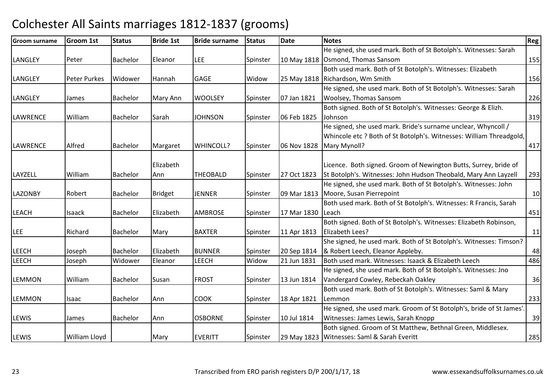| Groom surname   | Groom 1st           | <b>Status</b>   | <b>Bride 1st</b> | <b>Bride surname</b> | <b>Status</b> | <b>Date</b> | <b>Notes</b>                                                        | <b>Reg</b> |
|-----------------|---------------------|-----------------|------------------|----------------------|---------------|-------------|---------------------------------------------------------------------|------------|
|                 |                     |                 |                  |                      |               |             | He signed, she used mark. Both of St Botolph's. Witnesses: Sarah    |            |
| LANGLEY         | Peter               | Bachelor        | Eleanor          | <b>LEE</b>           | Spinster      |             | 10 May 1818 Osmond, Thomas Sansom                                   | 155        |
|                 |                     |                 |                  |                      |               |             | Both used mark. Both of St Botolph's. Witnesses: Elizabeth          |            |
| LANGLEY         | <b>Peter Purkes</b> | Widower         | Hannah           | <b>GAGE</b>          | Widow         |             | 25 May 1818 Richardson, Wm Smith                                    | 156        |
|                 |                     |                 |                  |                      |               |             | He signed, she used mark. Both of St Botolph's. Witnesses: Sarah    |            |
| <b>LANGLEY</b>  | James               | Bachelor        | Mary Ann         | <b>WOOLSEY</b>       | Spinster      | 07 Jan 1821 | <b>Woolsey, Thomas Sansom</b>                                       | 226        |
|                 |                     |                 |                  |                      |               |             | Both signed. Both of St Botolph's. Witnesses: George & Elizh.       |            |
| <b>LAWRENCE</b> | William             | <b>Bachelor</b> | Sarah            | <b>JOHNSON</b>       | Spinster      | 06 Feb 1825 | Johnson                                                             | 319        |
|                 |                     |                 |                  |                      |               |             | He signed, she used mark. Bride's surname unclear, Whyncoll /       |            |
|                 |                     |                 |                  |                      |               |             | Whincole etc ? Both of St Botolph's. Witnesses: William Threadgold, |            |
| <b>LAWRENCE</b> | Alfred              | Bachelor        | Margaret         | WHINCOLL?            | Spinster      | 06 Nov 1828 | Mary Mynoll?                                                        | 417        |
|                 |                     |                 |                  |                      |               |             |                                                                     |            |
|                 |                     |                 | Elizabeth        |                      |               |             | Licence. Both signed. Groom of Newington Butts, Surrey, bride of    |            |
| LAYZELL         | William             | Bachelor        | Ann              | <b>THEOBALD</b>      | Spinster      | 27 Oct 1823 | St Botolph's. Witnesses: John Hudson Theobald, Mary Ann Layzell     | 293        |
|                 |                     |                 |                  |                      |               |             | He signed, she used mark. Both of St Botolph's. Witnesses: John     |            |
| <b>LAZONBY</b>  | Robert              | <b>Bachelor</b> | <b>Bridget</b>   | <b>JENNER</b>        | Spinster      | 09 Mar 1813 | Moore, Susan Pierrepoint                                            | 10         |
|                 |                     |                 |                  |                      |               |             | Both used mark. Both of St Botolph's. Witnesses: R Francis, Sarah   |            |
| <b>LEACH</b>    | Isaack              | Bachelor        | Elizabeth        | <b>AMBROSE</b>       | Spinster      | 17 Mar 1830 | Leach                                                               | 451        |
|                 |                     |                 |                  |                      |               |             | Both signed. Both of St Botolph's. Witnesses: Elizabeth Robinson,   |            |
| <b>LEE</b>      | Richard             | Bachelor        | Mary             | <b>BAXTER</b>        | Spinster      | 11 Apr 1813 | Elizabeth Lees?                                                     | 11         |
|                 |                     |                 |                  |                      |               |             | She signed, he used mark. Both of St Botolph's. Witnesses: Timson?  |            |
| <b>LEECH</b>    | Joseph              | Bachelor        | Elizabeth        | <b>BUNNER</b>        | Spinster      | 20 Sep 1814 | & Robert Leech, Eleanor Appleby.                                    | 48         |
| <b>LEECH</b>    | Joseph              | Widower         | Eleanor          | <b>LEECH</b>         | Widow         | 21 Jun 1831 | Both used mark. Witnesses: Isaack & Elizabeth Leech                 | 486        |
|                 |                     |                 |                  |                      |               |             | He signed, she used mark. Both of St Botolph's. Witnesses: Jno      |            |
| <b>LEMMON</b>   | William             | Bachelor        | Susan            | <b>FROST</b>         | Spinster      | 13 Jun 1814 | Vandergard Cowley, Rebeckah Oakley                                  | 36         |
|                 |                     |                 |                  |                      |               |             | Both used mark. Both of St Botolph's. Witnesses: Saml & Mary        |            |
| <b>LEMMON</b>   | Isaac               | Bachelor        | Ann              | <b>COOK</b>          | Spinster      | 18 Apr 1821 | Lemmon                                                              | 233        |
|                 |                     |                 |                  |                      |               |             | He signed, she used mark. Groom of St Botolph's, bride of St James' |            |
| <b>LEWIS</b>    | James               | Bachelor        | Ann              | <b>OSBORNE</b>       | Spinster      | 10 Jul 1814 | Witnesses: James Lewis, Sarah Knopp                                 | 39         |
|                 |                     |                 |                  |                      |               |             | Both signed. Groom of St Matthew, Bethnal Green, Middlesex.         |            |
| LEWIS           | William Lloyd       |                 | Mary             | <b>EVERITT</b>       | Spinster      |             | 29 May 1823 Witnesses: Saml & Sarah Everitt                         | 285        |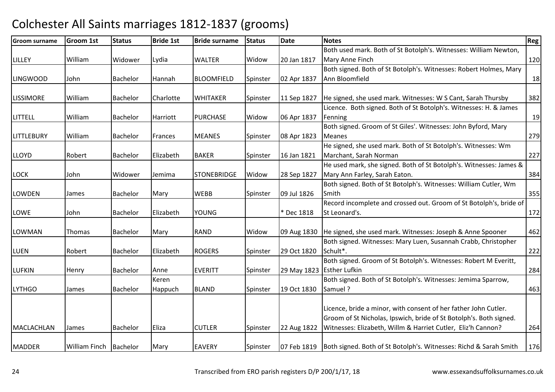| <b>Groom surname</b> | <b>Groom 1st</b>         | <b>Status</b> | <b>Bride 1st</b> | <b>Bride surname</b> | <b>Status</b> | <b>Date</b> | <b>Notes</b>                                                                                                                 | <b>Reg</b> |
|----------------------|--------------------------|---------------|------------------|----------------------|---------------|-------------|------------------------------------------------------------------------------------------------------------------------------|------------|
|                      |                          |               |                  |                      |               |             | Both used mark. Both of St Botolph's. Witnesses: William Newton,                                                             |            |
| <b>LILLEY</b>        | William                  | Widower       | Lydia            | <b>WALTER</b>        | Widow         | 20 Jan 1817 | Mary Anne Finch                                                                                                              | 120        |
|                      |                          |               |                  |                      |               |             | Both signed. Both of St Botolph's. Witnesses: Robert Holmes, Mary                                                            |            |
| <b>LINGWOOD</b>      | John                     | Bachelor      | Hannah           | <b>BLOOMFIELD</b>    | Spinster      | 02 Apr 1837 | Ann Bloomfield                                                                                                               | 18         |
|                      |                          |               |                  |                      |               |             |                                                                                                                              |            |
| <b>LISSIMORE</b>     | William                  | Bachelor      | Charlotte        | <b>WHITAKER</b>      | Spinster      | 11 Sep 1827 | He signed, she used mark. Witnesses: W S Cant, Sarah Thursby                                                                 | 382        |
|                      |                          |               |                  |                      |               |             | Licence. Both signed. Both of St Botolph's. Witnesses: H. & James                                                            |            |
| LITTELL              | William                  | Bachelor      | Harriott         | <b>PURCHASE</b>      | Widow         | 06 Apr 1837 | Fenning                                                                                                                      | 19         |
|                      |                          |               |                  |                      |               |             | Both signed. Groom of St Giles'. Witnesses: John Byford, Mary                                                                |            |
| LITTLEBURY           | William                  | Bachelor      | Frances          | <b>MEANES</b>        | Spinster      | 08 Apr 1823 | <b>Meanes</b>                                                                                                                | 279        |
|                      |                          |               |                  |                      |               |             | He signed, she used mark. Both of St Botolph's. Witnesses: Wm                                                                |            |
| <b>LLOYD</b>         | Robert                   | Bachelor      | Elizabeth        | <b>BAKER</b>         | Spinster      | 16 Jan 1821 | Marchant, Sarah Norman                                                                                                       | 227        |
|                      |                          |               |                  |                      |               |             | He used mark, she signed. Both of St Botolph's. Witnesses: James &                                                           |            |
| <b>LOCK</b>          | John                     | Widower       | Jemima           | <b>STONEBRIDGE</b>   | Widow         | 28 Sep 1827 | Mary Ann Farley, Sarah Eaton.                                                                                                | 384        |
|                      |                          |               |                  |                      |               |             | Both signed. Both of St Botolph's. Witnesses: William Cutler, Wm                                                             |            |
| <b>LOWDEN</b>        | James                    | Bachelor      | Mary             | <b>WEBB</b>          | Spinster      | 09 Jul 1826 | Smith                                                                                                                        | 355        |
|                      |                          |               |                  |                      |               |             | Record incomplete and crossed out. Groom of St Botolph's, bride of                                                           |            |
| LOWE                 | John                     | Bachelor      | Elizabeth        | <b>YOUNG</b>         |               | * Dec 1818  | St Leonard's.                                                                                                                | 172        |
|                      |                          |               |                  |                      |               |             |                                                                                                                              |            |
| LOWMAN               | <b>Thomas</b>            | Bachelor      | Mary             | <b>RAND</b>          | Widow         | 09 Aug 1830 | He signed, she used mark. Witnesses: Joseph & Anne Spooner<br>Both signed. Witnesses: Mary Luen, Susannah Crabb, Christopher | 462        |
|                      |                          |               |                  | <b>ROGERS</b>        |               | 29 Oct 1820 | Schult*.                                                                                                                     |            |
| <b>LUEN</b>          | Robert                   | Bachelor      | Elizabeth        |                      | Spinster      |             | Both signed. Groom of St Botolph's. Witnesses: Robert M Everitt,                                                             | 222        |
|                      |                          |               |                  | <b>EVERITT</b>       |               |             | 29 May 1823 Esther Lufkin                                                                                                    |            |
| <b>LUFKIN</b>        | Henry                    | Bachelor      | Anne<br>Keren    |                      | Spinster      |             | Both signed. Both of St Botolph's. Witnesses: Jemima Sparrow,                                                                | 284        |
| <b>LYTHGO</b>        |                          | Bachelor      |                  | <b>BLAND</b>         | Spinster      | 19 Oct 1830 | Samuel?                                                                                                                      | 463        |
|                      | James                    |               | Happuch          |                      |               |             |                                                                                                                              |            |
|                      |                          |               |                  |                      |               |             | Licence, bride a minor, with consent of her father John Cutler.                                                              |            |
|                      |                          |               |                  |                      |               |             | Groom of St Nicholas, Ipswich, bride of St Botolph's. Both signed.                                                           |            |
| <b>MACLACHLAN</b>    | James                    | Bachelor      | Eliza            | <b>CUTLER</b>        | Spinster      | 22 Aug 1822 | Witnesses: Elizabeth, Willm & Harriet Cutler, Eliz'h Cannon?                                                                 | 264        |
|                      |                          |               |                  |                      |               |             |                                                                                                                              |            |
| <b>MADDER</b>        | William Finch   Bachelor |               | Mary             | <b>EAVERY</b>        | Spinster      |             | 07 Feb 1819   Both signed. Both of St Botolph's. Witnesses: Richd & Sarah Smith                                              | 176        |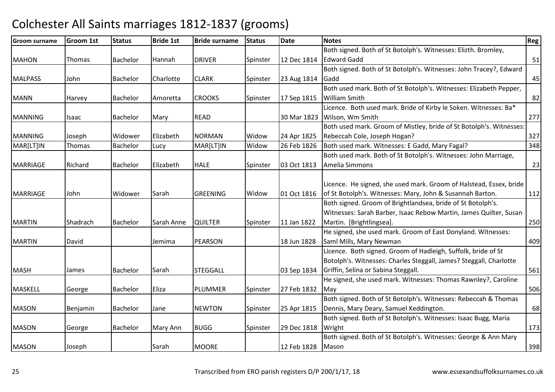| <b>Groom surname</b> | <b>Groom 1st</b> | <b>Status</b>   | <b>Bride 1st</b> | <b>Bride surname</b> | <b>Status</b> | <b>Date</b> | <b>Notes</b>                                                        | Reg |
|----------------------|------------------|-----------------|------------------|----------------------|---------------|-------------|---------------------------------------------------------------------|-----|
|                      |                  |                 |                  |                      |               |             | Both signed. Both of St Botolph's. Witnesses: Elizth. Bromley,      |     |
| <b>MAHON</b>         | Thomas           | Bachelor        | Hannah           | <b>DRIVER</b>        | Spinster      | 12 Dec 1814 | <b>Edward Gadd</b>                                                  | 51  |
|                      |                  |                 |                  |                      |               |             | Both signed. Both of St Botolph's. Witnesses: John Tracey?, Edward  |     |
| <b>MALPASS</b>       | John             | Bachelor        | Charlotte        | <b>CLARK</b>         | Spinster      | 23 Aug 1814 | Gadd                                                                | 45  |
|                      |                  |                 |                  |                      |               |             | Both used mark. Both of St Botolph's. Witnesses: Elizabeth Pepper,  |     |
| <b>MANN</b>          | Harvey           | Bachelor        | Amoretta         | <b>CROOKS</b>        | Spinster      | 17 Sep 1815 | <b>William Smith</b>                                                | 82  |
|                      |                  |                 |                  |                      |               |             | Licence. Both used mark. Bride of Kirby le Soken. Witnesses: Ba*    |     |
| <b>MANNING</b>       | <b>Isaac</b>     | Bachelor        | Mary             | <b>READ</b>          |               | 30 Mar 1823 | Wilson, Wm Smith                                                    | 277 |
|                      |                  |                 |                  |                      |               |             | Both used mark. Groom of Mistley, bride of St Botolph's. Witnesses: |     |
| <b>MANNING</b>       | Joseph           | Widower         | Elizabeth        | <b>NORMAN</b>        | Widow         | 24 Apr 1825 | Rebeccah Cole, Joseph Hogan?                                        | 327 |
| MAR[LT]IN            | <b>Thomas</b>    | Bachelor        | Lucy             | MAR[LT]IN            | Widow         | 26 Feb 1826 | Both used mark. Witnesses: E Gadd, Mary Fagal?                      | 348 |
|                      |                  |                 |                  |                      |               |             | Both used mark. Both of St Botolph's. Witnesses: John Marriage,     |     |
| <b>MARRIAGE</b>      | Richard          | <b>Bachelor</b> | Elizabeth        | <b>HALE</b>          | Spinster      | 03 Oct 1813 | Amelia Simmons                                                      | 23  |
|                      |                  |                 |                  |                      |               |             |                                                                     |     |
|                      |                  |                 |                  |                      |               |             | Licence. He signed, she used mark. Groom of Halstead, Essex, bride  |     |
| <b>MARRIAGE</b>      | John             | Widower         | Sarah            | <b>GREENING</b>      | Widow         | 01 Oct 1816 | of St Botolph's. Witnesses: Mary, John & Susannah Barton.           | 112 |
|                      |                  |                 |                  |                      |               |             | Both signed. Groom of Brightlandsea, bride of St Botolph's.         |     |
|                      |                  |                 |                  |                      |               |             | Witnesses: Sarah Barber, Isaac Rebow Martin, James Quilter, Susan   |     |
| <b>MARTIN</b>        | Shadrach         | Bachelor        | Sarah Anne       | <b>QUILTER</b>       | Spinster      | 11 Jan 1822 | Martin. [Brightlingsea].                                            | 250 |
|                      |                  |                 |                  |                      |               |             | He signed, she used mark. Groom of East Donyland. Witnesses:        |     |
| <b>MARTIN</b>        | David            |                 | Jemima           | <b>PEARSON</b>       |               | 18 Jun 1828 | Saml Mills, Mary Newman                                             | 409 |
|                      |                  |                 |                  |                      |               |             | Licence. Both signed. Groom of Hadleigh, Suffolk, bride of St       |     |
|                      |                  |                 |                  |                      |               |             | Botolph's. Witnesses: Charles Steggall, James? Steggall, Charlotte  |     |
| <b>MASH</b>          | James            | Bachelor        | Sarah            | <b>STEGGALL</b>      |               | 03 Sep 1834 | Griffin, Selina or Sabina Steggall.                                 | 561 |
|                      |                  |                 |                  |                      |               |             | He signed, she used mark. Witnesses: Thomas Rawnley?, Caroline      |     |
| <b>MASKELL</b>       | George           | Bachelor        | Eliza            | <b>PLUMMER</b>       | Spinster      | 27 Feb 1832 | May                                                                 | 506 |
|                      |                  |                 |                  |                      |               |             | Both signed. Both of St Botolph's. Witnesses: Rebeccah & Thomas     |     |
| <b>MASON</b>         | Benjamin         | <b>Bachelor</b> | Jane             | <b>NEWTON</b>        | Spinster      | 25 Apr 1815 | Dennis, Mary Deary, Samuel Keddington.                              | 68  |
|                      |                  |                 |                  |                      |               |             | Both signed. Both of St Botolph's. Witnesses: Isaac Bugg, Maria     |     |
| <b>MASON</b>         | George           | Bachelor        | Mary Ann         | <b>BUGG</b>          | Spinster      | 29 Dec 1818 | Wright                                                              | 173 |
|                      |                  |                 |                  |                      |               |             | Both signed. Both of St Botolph's. Witnesses: George & Ann Mary     |     |
| <b>MASON</b>         | Joseph           |                 | Sarah            | <b>MOORE</b>         |               | 12 Feb 1828 | Mason                                                               | 398 |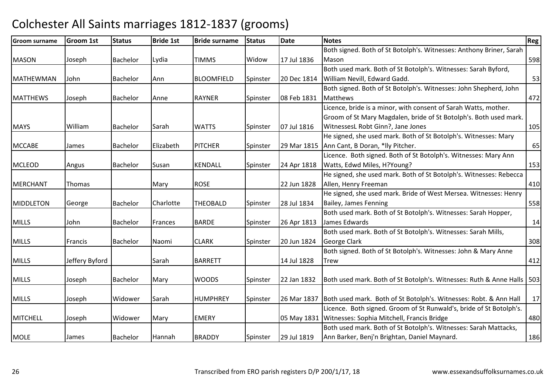| <b>Groom surname</b> | <b>Groom 1st</b> | <b>Status</b> | <b>Bride 1st</b> | <b>Bride surname</b> | <b>Status</b> | <b>Date</b> | <b>Notes</b>                                                                    | Reg |
|----------------------|------------------|---------------|------------------|----------------------|---------------|-------------|---------------------------------------------------------------------------------|-----|
|                      |                  |               |                  |                      |               |             | Both signed. Both of St Botolph's. Witnesses: Anthony Briner, Sarah             |     |
| <b>MASON</b>         | Joseph           | Bachelor      | Lydia            | <b>TIMMS</b>         | Widow         | 17 Jul 1836 | Mason                                                                           | 598 |
|                      |                  |               |                  |                      |               |             | Both used mark. Both of St Botolph's. Witnesses: Sarah Byford,                  |     |
| MATHEWMAN            | John             | Bachelor      | Ann              | <b>BLOOMFIELD</b>    | Spinster      | 20 Dec 1814 | William Nevill, Edward Gadd.                                                    | 53  |
|                      |                  |               |                  |                      |               |             | Both signed. Both of St Botolph's. Witnesses: John Shepherd, John               |     |
| <b>MATTHEWS</b>      | Joseph           | Bachelor      | Anne             | <b>RAYNER</b>        | Spinster      | 08 Feb 1831 | Matthews                                                                        | 472 |
|                      |                  |               |                  |                      |               |             | Licence, bride is a minor, with consent of Sarah Watts, mother.                 |     |
|                      |                  |               |                  |                      |               |             | Groom of St Mary Magdalen, bride of St Botolph's. Both used mark.               |     |
| <b>MAYS</b>          | William          | Bachelor      | Sarah            | <b>WATTS</b>         | Spinster      | 07 Jul 1816 | WitnessesL Robt Ginn?, Jane Jones                                               | 105 |
|                      |                  |               |                  |                      |               |             | He signed, she used mark. Both of St Botolph's. Witnesses: Mary                 |     |
| <b>MCCABE</b>        | James            | Bachelor      | Elizabeth        | <b>PITCHER</b>       | Spinster      |             | 29 Mar 1815 Ann Cant, B Doran, *lly Pitcher.                                    | 65  |
|                      |                  |               |                  |                      |               |             | Licence. Both signed. Both of St Botolph's. Witnesses: Mary Ann                 |     |
| <b>MCLEOD</b>        | Angus            | Bachelor      | Susan            | <b>KENDALL</b>       | Spinster      | 24 Apr 1818 | Watts, Edwd Miles, H?Young?                                                     | 153 |
|                      |                  |               |                  |                      |               |             | He signed, she used mark. Both of St Botolph's. Witnesses: Rebecca              |     |
| <b>MERCHANT</b>      | Thomas           |               | Mary             | <b>ROSE</b>          |               | 22 Jun 1828 | Allen, Henry Freeman                                                            | 410 |
|                      |                  |               |                  |                      |               |             | He signed, she used mark. Bride of West Mersea. Witnesses: Henry                |     |
| <b>MIDDLETON</b>     | George           | Bachelor      | Charlotte        | <b>THEOBALD</b>      | Spinster      | 28 Jul 1834 | Bailey, James Fenning                                                           | 558 |
|                      |                  |               |                  |                      |               |             | Both used mark. Both of St Botolph's. Witnesses: Sarah Hopper,                  |     |
| <b>MILLS</b>         | John             | Bachelor      | Frances          | <b>BARDE</b>         | Spinster      | 26 Apr 1813 | James Edwards                                                                   | 14  |
|                      |                  |               |                  |                      |               |             | Both used mark. Both of St Botolph's. Witnesses: Sarah Mills,                   |     |
| <b>MILLS</b>         | Francis          | Bachelor      | Naomi            | <b>CLARK</b>         | Spinster      | 20 Jun 1824 | George Clark                                                                    | 308 |
|                      |                  |               |                  |                      |               |             | Both signed. Both of St Botolph's. Witnesses: John & Mary Anne                  |     |
| <b>MILLS</b>         | Jeffery Byford   |               | Sarah            | <b>BARRETT</b>       |               | 14 Jul 1828 | <b>Trew</b>                                                                     | 412 |
|                      |                  |               |                  |                      |               |             |                                                                                 |     |
| <b>MILLS</b>         | Joseph           | Bachelor      | Mary             | <b>WOODS</b>         | Spinster      | 22 Jan 1832 | Both used mark. Both of St Botolph's. Witnesses: Ruth & Anne Halls   503        |     |
|                      |                  |               |                  |                      |               |             |                                                                                 |     |
| <b>MILLS</b>         | Joseph           | Widower       | Sarah            | <b>HUMPHREY</b>      | Spinster      |             | 26 Mar 1837   Both used mark. Both of St Botolph's. Witnesses: Robt. & Ann Hall | 17  |
|                      |                  |               |                  |                      |               |             | Licence. Both signed. Groom of St Runwald's, bride of St Botolph's.             |     |
| MITCHELL             | Joseph           | Widower       | Mary             | <b>EMERY</b>         |               |             | 05 May 1831 Witnesses: Sophia Mitchell, Francis Bridge                          | 480 |
|                      |                  |               |                  |                      |               |             | Both used mark. Both of St Botolph's. Witnesses: Sarah Mattacks,                |     |
| <b>MOLE</b>          | James            | Bachelor      | Hannah           | <b>BRADDY</b>        | Spinster      | 29 Jul 1819 | Ann Barker, Benj'n Brightan, Daniel Maynard.                                    | 186 |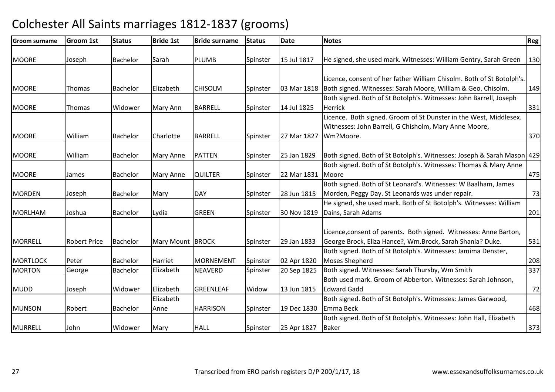| <b>Groom surname</b> | <b>Groom 1st</b>    | <b>Status</b>   | <b>Bride 1st</b>  | <b>Bride surname</b> | <b>Status</b> | <b>Date</b> | <b>Notes</b>                                                                                                                   | <b>Reg</b> |
|----------------------|---------------------|-----------------|-------------------|----------------------|---------------|-------------|--------------------------------------------------------------------------------------------------------------------------------|------------|
| <b>MOORE</b>         | Joseph              | Bachelor        | Sarah             | <b>PLUMB</b>         | Spinster      | 15 Jul 1817 | He signed, she used mark. Witnesses: William Gentry, Sarah Green                                                               | 130        |
|                      |                     |                 |                   |                      |               |             | Licence, consent of her father William Chisolm. Both of St Botolph's.                                                          |            |
| <b>MOORE</b>         | <b>Thomas</b>       | Bachelor        | Elizabeth         | <b>CHISOLM</b>       | Spinster      |             | 03 Mar 1818   Both signed. Witnesses: Sarah Moore, William & Geo. Chisolm.                                                     | 149        |
| <b>MOORE</b>         | <b>Thomas</b>       | Widower         | Mary Ann          | <b>BARRELL</b>       | Spinster      | 14 Jul 1825 | Both signed. Both of St Botolph's. Witnesses: John Barrell, Joseph<br><b>Herrick</b>                                           | 331        |
|                      |                     |                 |                   |                      |               |             | Licence. Both signed. Groom of St Dunster in the West, Middlesex.<br>Witnesses: John Barrell, G Chisholm, Mary Anne Moore,     |            |
| <b>MOORE</b>         | William             | Bachelor        | Charlotte         | <b>BARRELL</b>       | Spinster      | 27 Mar 1827 | Wm?Moore.                                                                                                                      | 370        |
| <b>MOORE</b>         | William             | Bachelor        | Mary Anne         | <b>PATTEN</b>        | Spinster      | 25 Jan 1829 | Both signed. Both of St Botolph's. Witnesses: Joseph & Sarah Mason 429                                                         |            |
| <b>MOORE</b>         | James               | Bachelor        | <b>Mary Anne</b>  | <b>QUILTER</b>       | Spinster      | 22 Mar 1831 | Both signed. Both of St Botolph's. Witnesses: Thomas & Mary Anne<br>Moore                                                      | 475        |
| <b>MORDEN</b>        | Joseph              | Bachelor        | Mary              | <b>DAY</b>           | Spinster      | 28 Jun 1815 | Both signed. Both of St Leonard's. Witnesses: W Baalham, James<br>Morden, Peggy Day. St Leonards was under repair.             | 73         |
| <b>MORLHAM</b>       | Joshua              | Bachelor        | Lydia             | <b>GREEN</b>         | Spinster      |             | He signed, she used mark. Both of St Botolph's. Witnesses: William<br>30 Nov 1819 Dains, Sarah Adams                           | 201        |
| <b>MORRELL</b>       | <b>Robert Price</b> | <b>Bachelor</b> | Mary Mount BROCK  |                      | Spinster      | 29 Jan 1833 | Licence, consent of parents. Both signed. Witnesses: Anne Barton,<br>George Brock, Eliza Hance?, Wm.Brock, Sarah Shania? Duke. | 531        |
| <b>MORTLOCK</b>      | Peter               | Bachelor        | Harriet           | MORNEMENT            | Spinster      | 02 Apr 1820 | Both signed. Both of St Botolph's. Witnesses: Jamima Denster,<br>Moses Shepherd                                                | 208        |
| <b>MORTON</b>        | George              | Bachelor        | Elizabeth         | <b>NEAVERD</b>       | Spinster      | 20 Sep 1825 | Both signed. Witnesses: Sarah Thursby, Wm Smith                                                                                | 337        |
| <b>MUDD</b>          | Joseph              | Widower         | Elizabeth         | <b>GREENLEAF</b>     | Widow         | 13 Jun 1815 | Both used mark. Groom of Abberton. Witnesses: Sarah Johnson,<br><b>Edward Gadd</b>                                             | 72         |
| <b>MUNSON</b>        | Robert              | Bachelor        | Elizabeth<br>Anne | <b>HARRISON</b>      | Spinster      | 19 Dec 1830 | Both signed. Both of St Botolph's. Witnesses: James Garwood,<br>Emma Beck                                                      | 468        |
| <b>MURRELL</b>       | John                | Widower         | Mary              | <b>HALL</b>          | Spinster      | 25 Apr 1827 | Both signed. Both of St Botolph's. Witnesses: John Hall, Elizabeth<br>Baker                                                    | 373        |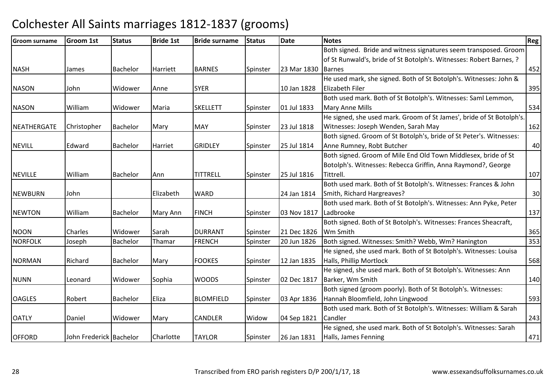| <b>Groom surname</b> | <b>Groom 1st</b>        | <b>Status</b>   | <b>Bride 1st</b> | <b>Bride surname</b> | <b>Status</b> | <b>Date</b> | <b>Notes</b>                                                         | Reg |
|----------------------|-------------------------|-----------------|------------------|----------------------|---------------|-------------|----------------------------------------------------------------------|-----|
|                      |                         |                 |                  |                      |               |             | Both signed. Bride and witness signatures seem transposed. Groom     |     |
|                      |                         |                 |                  |                      |               |             | of St Runwald's, bride of St Botolph's. Witnesses: Robert Barnes, ?  |     |
| <b>NASH</b>          | James                   | Bachelor        | Harriett         | <b>BARNES</b>        | Spinster      | 23 Mar 1830 | <b>Barnes</b>                                                        | 452 |
|                      |                         |                 |                  |                      |               |             | He used mark, she signed. Both of St Botolph's. Witnesses: John &    |     |
| <b>NASON</b>         | John                    | Widower         | Anne             | <b>SYER</b>          |               | 10 Jan 1828 | <b>Elizabeth Filer</b>                                               | 395 |
|                      |                         |                 |                  |                      |               |             | Both used mark. Both of St Botolph's. Witnesses: Saml Lemmon,        |     |
| <b>NASON</b>         | William                 | Widower         | Maria            | <b>SKELLETT</b>      | Spinster      | 01 Jul 1833 | Mary Anne Mills                                                      | 534 |
|                      |                         |                 |                  |                      |               |             | He signed, she used mark. Groom of St James', bride of St Botolph's. |     |
| <b>NEATHERGATE</b>   | Christopher             | Bachelor        | Mary             | <b>MAY</b>           | Spinster      | 23 Jul 1818 | Witnesses: Joseph Wenden, Sarah May                                  | 162 |
|                      |                         |                 |                  |                      |               |             | Both signed. Groom of St Botolph's, bride of St Peter's. Witnesses:  |     |
| <b>NEVILL</b>        | Edward                  | <b>Bachelor</b> | <b>Harriet</b>   | <b>GRIDLEY</b>       | Spinster      | 25 Jul 1814 | Anne Rumney, Robt Butcher                                            | 40  |
|                      |                         |                 |                  |                      |               |             | Both signed. Groom of Mile End Old Town Middlesex, bride of St       |     |
|                      |                         |                 |                  |                      |               |             | Botolph's. Witnesses: Rebecca Griffin, Anna Raymond?, George         |     |
| <b>NEVILLE</b>       | William                 | Bachelor        | Ann              | TITTRELL             | Spinster      | 25 Jul 1816 | Tittrell.                                                            | 107 |
|                      |                         |                 |                  |                      |               |             | Both used mark. Both of St Botolph's. Witnesses: Frances & John      |     |
| <b>NEWBURN</b>       | John                    |                 | Elizabeth        | <b>WARD</b>          |               | 24 Jan 1814 | Smith, Richard Hargreaves?                                           | 30  |
|                      |                         |                 |                  |                      |               |             | Both used mark. Both of St Botolph's. Witnesses: Ann Pyke, Peter     |     |
| <b>NEWTON</b>        | William                 | Bachelor        | Mary Ann         | <b>FINCH</b>         | Spinster      | 03 Nov 1817 | Ladbrooke                                                            | 137 |
|                      |                         |                 |                  |                      |               |             | Both signed. Both of St Botolph's. Witnesses: Frances Sheacraft,     |     |
| <b>NOON</b>          | Charles                 | Widower         | Sarah            | <b>DURRANT</b>       | Spinster      | 21 Dec 1826 | Wm Smith                                                             | 365 |
| <b>NORFOLK</b>       | Joseph                  | <b>Bachelor</b> | Thamar           | <b>FRENCH</b>        | Spinster      | 20 Jun 1826 | Both signed. Witnesses: Smith? Webb, Wm? Hanington                   | 353 |
|                      |                         |                 |                  |                      |               |             | He signed, she used mark. Both of St Botolph's. Witnesses: Louisa    |     |
| <b>NORMAN</b>        | Richard                 | Bachelor        | Mary             | <b>FOOKES</b>        | Spinster      | 12 Jan 1835 | Halls, Phillip Mortlock                                              | 568 |
|                      |                         |                 |                  |                      |               |             | He signed, she used mark. Both of St Botolph's. Witnesses: Ann       |     |
| <b>NUNN</b>          | Leonard                 | Widower         | Sophia           | <b>WOODS</b>         | Spinster      | 02 Dec 1817 | Barker, Wm Smith                                                     | 140 |
|                      |                         |                 |                  |                      |               |             | Both signed (groom poorly). Both of St Botolph's. Witnesses:         |     |
| <b>OAGLES</b>        | Robert                  | <b>Bachelor</b> | Eliza            | <b>BLOMFIELD</b>     | Spinster      | 03 Apr 1836 | Hannah Bloomfield, John Lingwood                                     | 593 |
|                      |                         |                 |                  |                      |               |             | Both used mark. Both of St Botolph's. Witnesses: William & Sarah     |     |
| <b>OATLY</b>         | Daniel                  | Widower         | Mary             | <b>CANDLER</b>       | Widow         | 04 Sep 1821 | Candler                                                              | 243 |
|                      |                         |                 |                  |                      |               |             | He signed, she used mark. Both of St Botolph's. Witnesses: Sarah     |     |
| <b>OFFORD</b>        | John Frederick Bachelor |                 | Charlotte        | <b>TAYLOR</b>        | Spinster      | 26 Jan 1831 | Halls, James Fenning                                                 | 471 |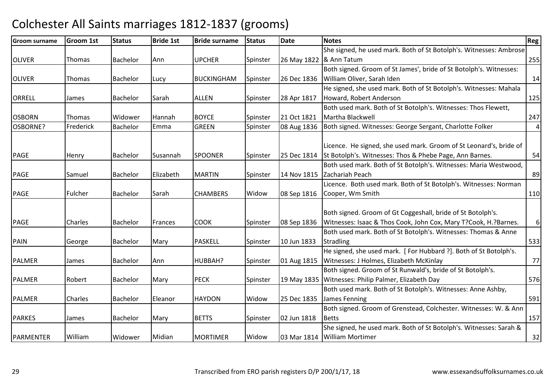| <b>Groom surname</b> | <b>Groom 1st</b> | <b>Status</b> | <b>Bride 1st</b> | <b>Bride surname</b> | <b>Status</b> | <b>Date</b> | <b>Notes</b>                                                        | Reg            |
|----------------------|------------------|---------------|------------------|----------------------|---------------|-------------|---------------------------------------------------------------------|----------------|
|                      |                  |               |                  |                      |               |             | She signed, he used mark. Both of St Botolph's. Witnesses: Ambrose  |                |
| <b>OLIVER</b>        | Thomas           | Bachelor      | Ann              | <b>UPCHER</b>        | Spinster      |             | 26 May 1822  & Ann Tatum                                            | 255            |
|                      |                  |               |                  |                      |               |             | Both signed. Groom of St James', bride of St Botolph's. Witnesses:  |                |
| <b>OLIVER</b>        | Thomas           | Bachelor      | Lucy             | <b>BUCKINGHAM</b>    | Spinster      | 26 Dec 1836 | William Oliver, Sarah Iden                                          | 14             |
|                      |                  |               |                  |                      |               |             | He signed, she used mark. Both of St Botolph's. Witnesses: Mahala   |                |
| <b>ORRELL</b>        | James            | Bachelor      | Sarah            | <b>ALLEN</b>         | Spinster      | 28 Apr 1817 | Howard, Robert Anderson                                             | 125            |
|                      |                  |               |                  |                      |               |             | Both used mark. Both of St Botolph's. Witnesses: Thos Flewett,      |                |
| <b>OSBORN</b>        | Thomas           | Widower       | Hannah           | <b>BOYCE</b>         | Spinster      | 21 Oct 1821 | Martha Blackwell                                                    | 247            |
| OSBORNE?             | Frederick        | Bachelor      | Emma             | <b>GREEN</b>         | Spinster      | 08 Aug 1836 | Both signed. Witnesses: George Sergant, Charlotte Folker            | $\overline{4}$ |
|                      |                  |               |                  |                      |               |             | Licence. He signed, she used mark. Groom of St Leonard's, bride of  |                |
|                      |                  |               |                  | <b>SPOONER</b>       |               |             | 25 Dec 1814 St Botolph's. Witnesses: Thos & Phebe Page, Ann Barnes. |                |
| PAGE                 | Henry            | Bachelor      | Susannah         |                      | Spinster      |             | Both used mark. Both of St Botolph's. Witnesses: Maria Westwood,    | 54             |
| PAGE                 |                  | Bachelor      | Elizabeth        | <b>MARTIN</b>        |               |             | 14 Nov 1815 Zachariah Peach                                         | 89             |
|                      | Samuel           |               |                  |                      | Spinster      |             | Licence. Both used mark. Both of St Botolph's. Witnesses: Norman    |                |
|                      | Fulcher          | Bachelor      | Sarah            | <b>CHAMBERS</b>      | Widow         |             |                                                                     | 110            |
| PAGE                 |                  |               |                  |                      |               | 08 Sep 1816 | Cooper, Wm Smith                                                    |                |
|                      |                  |               |                  |                      |               |             | Both signed. Groom of Gt Coggeshall, bride of St Botolph's.         |                |
| <b>PAGE</b>          | Charles          | Bachelor      | Frances          | <b>COOK</b>          | Spinster      | 08 Sep 1836 | Witnesses: Isaac & Thos Cook, John Cox, Mary T?Cook, H.?Barnes.     | 6              |
|                      |                  |               |                  |                      |               |             | Both used mark. Both of St Botolph's. Witnesses: Thomas & Anne      |                |
| <b>PAIN</b>          | George           | Bachelor      | Mary             | PASKELL              | Spinster      | 10 Jun 1833 | <b>Stradling</b>                                                    | 533            |
|                      |                  |               |                  |                      |               |             | He signed, she used mark. [For Hubbard ?]. Both of St Botolph's.    |                |
| <b>PALMER</b>        | James            | Bachelor      | Ann              | HUBBAH?              | Spinster      |             | 01 Aug 1815   Witnesses: J Holmes, Elizabeth McKinlay               | 77             |
|                      |                  |               |                  |                      |               |             | Both signed. Groom of St Runwald's, bride of St Botolph's.          |                |
| <b>PALMER</b>        | Robert           | Bachelor      | Mary             | <b>PECK</b>          | Spinster      |             | 19 May 1835 Witnesses: Philip Palmer, Elizabeth Day                 | 576            |
|                      |                  |               |                  |                      |               |             | Both used mark. Both of St Botolph's. Witnesses: Anne Ashby,        |                |
| <b>PALMER</b>        | Charles          | Bachelor      | Eleanor          | <b>HAYDON</b>        | Widow         |             | 25 Dec 1835 James Fenning                                           | 591            |
|                      |                  |               |                  |                      |               |             | Both signed. Groom of Grenstead, Colchester. Witnesses: W. & Ann    |                |
| <b>PARKES</b>        | James            | Bachelor      | Mary             | <b>BETTS</b>         | Spinster      | 02 Jun 1818 | <b>Betts</b>                                                        | 157            |
|                      |                  |               |                  |                      |               |             | She signed, he used mark. Both of St Botolph's. Witnesses: Sarah &  |                |
| <b>PARMENTER</b>     | William          | Widower       | Midian           | <b>MORTIMER</b>      | Widow         |             | 03 Mar 1814 William Mortimer                                        | 32             |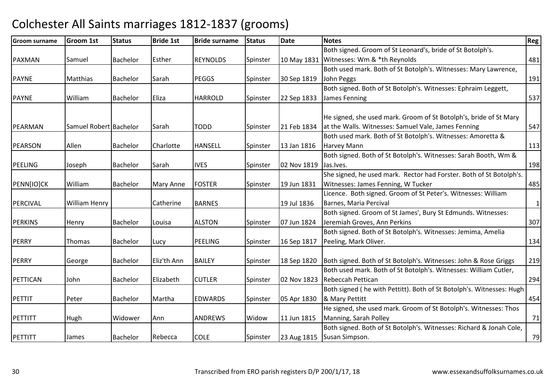| <b>Groom surname</b> | <b>Groom 1st</b>       | <b>Status</b>   | <b>Bride 1st</b> | <b>Bride surname</b> | <b>Status</b> | <b>Date</b> | <b>Notes</b>                                                          | Reg          |
|----------------------|------------------------|-----------------|------------------|----------------------|---------------|-------------|-----------------------------------------------------------------------|--------------|
|                      |                        |                 |                  |                      |               |             | Both signed. Groom of St Leonard's, bride of St Botolph's.            |              |
| PAXMAN               | Samuel                 | <b>Bachelor</b> | Esther           | <b>REYNOLDS</b>      | Spinster      |             | 10 May 1831 Witnesses: Wm & *th Reynolds                              | 481          |
|                      |                        |                 |                  |                      |               |             | Both used mark. Both of St Botolph's. Witnesses: Mary Lawrence,       |              |
| <b>PAYNE</b>         | <b>Matthias</b>        | Bachelor        | Sarah            | <b>PEGGS</b>         | Spinster      | 30 Sep 1819 | John Peggs                                                            | 191          |
|                      |                        |                 |                  |                      |               |             | Both signed. Both of St Botolph's. Witnesses: Ephraim Leggett,        |              |
| <b>PAYNE</b>         | William                | <b>Bachelor</b> | <b>Eliza</b>     | <b>HARROLD</b>       | Spinster      | 22 Sep 1833 | James Fenning                                                         | 537          |
|                      |                        |                 |                  |                      |               |             |                                                                       |              |
|                      |                        |                 |                  |                      |               |             | He signed, she used mark. Groom of St Botolph's, bride of St Mary     |              |
| PEARMAN              | Samuel Robert Bachelor |                 | Sarah            | <b>TODD</b>          | Spinster      | 21 Feb 1834 | at the Walls. Witnesses: Samuel Vale, James Fenning                   | 547          |
|                      |                        |                 |                  |                      |               |             | Both used mark. Both of St Botolph's. Witnesses: Amoretta &           |              |
| <b>PEARSON</b>       | Allen                  | Bachelor        | Charlotte        | <b>HANSELL</b>       | Spinster      | 13 Jan 1816 | <b>Harvey Mann</b>                                                    | 113          |
|                      |                        |                 |                  |                      |               |             | Both signed. Both of St Botolph's. Witnesses: Sarah Booth, Wm &       |              |
| PEELING              | Joseph                 | Bachelor        | Sarah            | <b>IVES</b>          | Spinster      | 02 Nov 1819 | Jas. Ives.                                                            | 198          |
|                      |                        |                 |                  |                      |               |             | She signed, he used mark. Rector had Forster. Both of St Botolph's.   |              |
| PENN[IO]CK           | William                | Bachelor        | <b>Mary Anne</b> | <b>FOSTER</b>        | Spinster      | 19 Jun 1831 | Witnesses: James Fenning, W Tucker                                    | 485          |
|                      |                        |                 |                  |                      |               |             | Licence. Both signed. Groom of St Peter's. Witnesses: William         |              |
| PERCIVAL             | <b>William Henry</b>   |                 | Catherine        | <b>BARNES</b>        |               | 19 Jul 1836 | Barnes, Maria Percival                                                | $\mathbf{1}$ |
|                      |                        |                 |                  |                      |               |             | Both signed. Groom of St James', Bury St Edmunds. Witnesses:          |              |
| <b>PERKINS</b>       | Henry                  | Bachelor        | Louisa           | <b>ALSTON</b>        | Spinster      | 07 Jun 1824 | Jeremiah Groves, Ann Perkins                                          | 307          |
|                      |                        |                 |                  |                      |               |             | Both signed. Both of St Botolph's. Witnesses: Jemima, Amelia          |              |
| <b>PERRY</b>         | Thomas                 | Bachelor        | Lucy             | PEELING              | Spinster      | 16 Sep 1817 | Peeling, Mark Oliver.                                                 | 134          |
|                      |                        |                 |                  |                      |               |             |                                                                       |              |
| <b>PERRY</b>         | George                 | Bachelor        | Eliz'th Ann      | <b>BAILEY</b>        | Spinster      | 18 Sep 1820 | Both signed. Both of St Botolph's. Witnesses: John & Rose Griggs      | 219          |
|                      |                        |                 |                  |                      |               |             | Both used mark. Both of St Botolph's. Witnesses: William Cutler,      |              |
| PETTICAN             | John                   | Bachelor        | Elizabeth        | <b>CUTLER</b>        | Spinster      | 02 Nov 1823 | Rebeccah Pettican                                                     | 294          |
|                      |                        |                 |                  |                      |               |             | Both signed ( he with Pettitt). Both of St Botolph's. Witnesses: Hugh |              |
| PETTIT               | Peter                  | Bachelor        | Martha           | <b>EDWARDS</b>       | Spinster      | 05 Apr 1830 | & Mary Pettitt                                                        | 454          |
|                      |                        |                 |                  |                      |               |             | He signed, she used mark. Groom of St Botolph's. Witnesses: Thos      |              |
| PETTITT              | Hugh                   | Widower         | Ann              | <b>ANDREWS</b>       | Widow         | 11 Jun 1815 | Manning, Sarah Polley                                                 | 71           |
|                      |                        |                 |                  |                      |               |             | Both signed. Both of St Botolph's. Witnesses: Richard & Jonah Cole,   |              |
| PETTITT              | James                  | Bachelor        | Rebecca          | <b>COLE</b>          | Spinster      |             | 23 Aug 1815 Susan Simpson.                                            | 79           |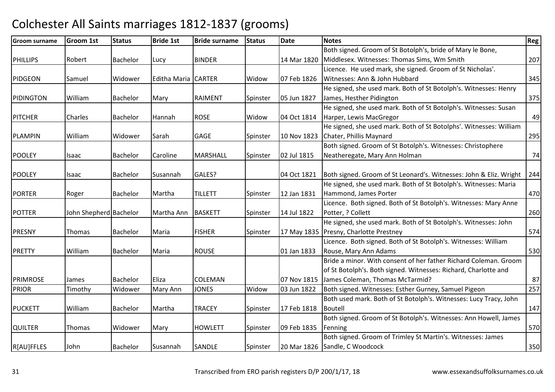| <b>Groom surname</b> | <b>Groom 1st</b>       | <b>Status</b>   | <b>Bride 1st</b>    | <b>Bride surname</b> | <b>Status</b> | <b>Date</b> | <b>Notes</b>                                                       | <b>Reg</b> |
|----------------------|------------------------|-----------------|---------------------|----------------------|---------------|-------------|--------------------------------------------------------------------|------------|
|                      |                        |                 |                     |                      |               |             | Both signed. Groom of St Botolph's, bride of Mary le Bone,         |            |
| <b>PHILLIPS</b>      | Robert                 | Bachelor        | Lucy                | <b>BINDER</b>        |               | 14 Mar 1820 | Middlesex. Witnesses: Thomas Sims, Wm Smith                        | 207        |
|                      |                        |                 |                     |                      |               |             | Licence. He used mark, she signed. Groom of St Nicholas'.          |            |
| <b>PIDGEON</b>       | Samuel                 | Widower         | Editha Maria CARTER |                      | Widow         | 07 Feb 1826 | Witnesses: Ann & John Hubbard                                      | 345        |
|                      |                        |                 |                     |                      |               |             | He signed, she used mark. Both of St Botolph's. Witnesses: Henry   |            |
| PIDINGTON            | William                | <b>Bachelor</b> | Mary                | <b>RAIMENT</b>       | Spinster      | 05 Jun 1827 | James, Hesther Pidington                                           | 375        |
|                      |                        |                 |                     |                      |               |             | He signed, she used mark. Both of St Botolph's. Witnesses: Susan   |            |
| <b>PITCHER</b>       | Charles                | Bachelor        | Hannah              | <b>ROSE</b>          | Widow         | 04 Oct 1814 | Harper, Lewis MacGregor                                            | 49         |
|                      |                        |                 |                     |                      |               |             | He signed, she used mark. Both of St Botolphs'. Witnesses: William |            |
| <b>PLAMPIN</b>       | William                | Widower         | Sarah               | GAGE                 | Spinster      | 10 Nov 1823 | Chater, Phillis Maynard                                            | 295        |
|                      |                        |                 |                     |                      |               |             | Both signed. Groom of St Botolph's. Witnesses: Christophere        |            |
| <b>POOLEY</b>        | Isaac                  | Bachelor        | Caroline            | <b>MARSHALL</b>      | Spinster      | 02 Jul 1815 | Neatheregate, Mary Ann Holman                                      | 74         |
|                      |                        |                 |                     |                      |               |             |                                                                    |            |
| <b>POOLEY</b>        | Isaac                  | Bachelor        | Susannah            | GALES?               |               | 04 Oct 1821 | Both signed. Groom of St Leonard's. Witnesses: John & Eliz. Wright | 244        |
|                      |                        |                 |                     |                      |               |             | He signed, she used mark. Both of St Botolph's. Witnesses: Maria   |            |
| <b>PORTER</b>        | Roger                  | Bachelor        | Martha              | <b>TILLETT</b>       | Spinster      | 12 Jan 1831 | Hammond, James Porter                                              | 470        |
|                      |                        |                 |                     |                      |               |             | Licence. Both signed. Both of St Botolph's. Witnesses: Mary Anne   |            |
| <b>POTTER</b>        | John Shepherd Bachelor |                 | Martha Ann          | <b>BASKETT</b>       | Spinster      | 14 Jul 1822 | Potter, ? Collett                                                  | 260        |
|                      |                        |                 |                     |                      |               |             | He signed, she used mark. Both of St Botolph's. Witnesses: John    |            |
| <b>PRESNY</b>        | Thomas                 | Bachelor        | Maria               | <b>FISHER</b>        | Spinster      |             | 17 May 1835   Presny, Charlotte Prestney                           | 574        |
|                      |                        |                 |                     |                      |               |             | Licence. Both signed. Both of St Botolph's. Witnesses: William     |            |
| <b>PRETTY</b>        | William                | <b>Bachelor</b> | Maria               | <b>ROUSE</b>         |               | 01 Jan 1833 | Rouse, Mary Ann Adams                                              | 530        |
|                      |                        |                 |                     |                      |               |             | Bride a minor. With consent of her father Richard Coleman. Groom   |            |
|                      |                        |                 |                     |                      |               |             | of St Botolph's. Both signed. Witnesses: Richard, Charlotte and    |            |
| <b>PRIMROSE</b>      | James                  | <b>Bachelor</b> | Eliza               | <b>COLEMAN</b>       |               | 07 Nov 1815 | James Coleman, Thomas McTarmid?                                    | 87         |
| <b>PRIOR</b>         | Timothy                | Widower         | Mary Ann            | <b>JONES</b>         | Widow         | 03 Jun 1822 | Both signed. Witnesses: Esther Gurney, Samuel Pigeon               | 257        |
|                      |                        |                 |                     |                      |               |             | Both used mark. Both of St Botolph's. Witnesses: Lucy Tracy, John  |            |
| <b>PUCKETT</b>       | William                | Bachelor        | Martha              | <b>TRACEY</b>        | Spinster      | 17 Feb 1818 | <b>Boutell</b>                                                     | 147        |
|                      |                        |                 |                     |                      |               |             | Both signed. Groom of St Botolph's. Witnesses: Ann Howell, James   |            |
| <b>QUILTER</b>       | Thomas                 | Widower         | Mary                | <b>HOWLETT</b>       | Spinster      | 09 Feb 1835 | Fenning                                                            | 570        |
|                      |                        |                 |                     |                      |               |             | Both signed. Groom of Trimley St Martin's. Witnesses: James        |            |
| R[AU]FFLES           | John                   | <b>Bachelor</b> | Susannah            | <b>SANDLE</b>        | Spinster      |             | 20 Mar 1826 Sandle, C Woodcock                                     | 350        |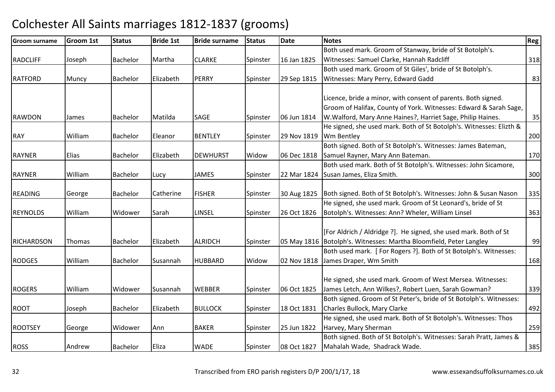| <b>Groom surname</b> | <b>Groom 1st</b> | <b>Status</b>   | <b>Bride 1st</b> | <b>Bride surname</b> | <b>Status</b> | <b>Date</b> | <b>Notes</b>                                                         | Reg |
|----------------------|------------------|-----------------|------------------|----------------------|---------------|-------------|----------------------------------------------------------------------|-----|
|                      |                  |                 |                  |                      |               |             | Both used mark. Groom of Stanway, bride of St Botolph's.             |     |
| <b>RADCLIFF</b>      | Joseph           | Bachelor        | Martha           | <b>CLARKE</b>        | Spinster      | 16 Jan 1825 | Witnesses: Samuel Clarke, Hannah Radcliff                            | 318 |
|                      |                  |                 |                  |                      |               |             | Both used mark. Groom of St Giles', bride of St Botolph's.           |     |
| <b>RATFORD</b>       | Muncy            | Bachelor        | Elizabeth        | <b>PERRY</b>         | Spinster      | 29 Sep 1815 | Witnesses: Mary Perry, Edward Gadd                                   | 83  |
|                      |                  |                 |                  |                      |               |             |                                                                      |     |
|                      |                  |                 |                  |                      |               |             | Licence, bride a minor, with consent of parents. Both signed.        |     |
|                      |                  |                 |                  |                      |               |             | Groom of Halifax, County of York. Witnesses: Edward & Sarah Sage,    |     |
| <b>RAWDON</b>        | James            | Bachelor        | Matilda          | SAGE                 | Spinster      | 06 Jun 1814 | W. Walford, Mary Anne Haines?, Harriet Sage, Philip Haines.          | 35  |
|                      |                  |                 |                  |                      |               |             | He signed, she used mark. Both of St Botolph's. Witnesses: Elizth &  |     |
| <b>RAY</b>           | William          | Bachelor        | Eleanor          | <b>BENTLEY</b>       | Spinster      | 29 Nov 1819 | <b>Wm Bentley</b>                                                    | 200 |
|                      |                  |                 |                  |                      |               |             | Both signed. Both of St Botolph's. Witnesses: James Bateman,         |     |
| <b>RAYNER</b>        | Elias            | Bachelor        | Elizabeth        | <b>DEWHURST</b>      | Widow         | 06 Dec 1818 | Samuel Rayner, Mary Ann Bateman.                                     | 170 |
|                      |                  |                 |                  |                      |               |             | Both used mark. Both of St Botolph's. Witnesses: John Sicamore,      |     |
| <b>RAYNER</b>        | William          | Bachelor        | Lucy             | <b>JAMES</b>         | Spinster      | 22 Mar 1824 | Susan James, Eliza Smith.                                            | 300 |
|                      |                  |                 |                  |                      |               |             |                                                                      |     |
| <b>READING</b>       | George           | Bachelor        | Catherine        | <b>FISHER</b>        | Spinster      | 30 Aug 1825 | Both signed. Both of St Botolph's. Witnesses: John & Susan Nason     | 335 |
|                      |                  |                 |                  |                      |               |             | He signed, she used mark. Groom of St Leonard's, bride of St         |     |
| <b>REYNOLDS</b>      | William          | Widower         | Sarah            | <b>LINSEL</b>        | Spinster      | 26 Oct 1826 | Botolph's. Witnesses: Ann? Wheler, William Linsel                    | 363 |
|                      |                  |                 |                  |                      |               |             |                                                                      |     |
|                      |                  |                 |                  |                      |               |             | [For Aldrich / Aldridge ?]. He signed, she used mark. Both of St     |     |
| <b>RICHARDSON</b>    | Thomas           | Bachelor        | Elizabeth        | <b>ALRIDCH</b>       | Spinster      |             | 05 May 1816   Botolph's. Witnesses: Martha Bloomfield, Peter Langley | 99  |
|                      |                  |                 |                  |                      |               |             | Both used mark. [For Rogers ?]. Both of St Botolph's. Witnesses:     |     |
| <b>RODGES</b>        | William          | <b>Bachelor</b> | Susannah         | <b>HUBBARD</b>       | Widow         |             | 02 Nov 1818 James Draper, Wm Smith                                   | 168 |
|                      |                  |                 |                  |                      |               |             |                                                                      |     |
|                      |                  |                 |                  |                      |               |             | He signed, she used mark. Groom of West Mersea. Witnesses:           |     |
| <b>ROGERS</b>        | William          | Widower         | Susannah         | <b>WEBBER</b>        | Spinster      | 06 Oct 1825 | James Letch, Ann Wilkes?, Robert Luen, Sarah Gowman?                 | 339 |
|                      |                  |                 |                  |                      |               |             | Both signed. Groom of St Peter's, bride of St Botolph's. Witnesses:  |     |
| <b>ROOT</b>          | Joseph           | Bachelor        | Elizabeth        | <b>BULLOCK</b>       | Spinster      | 18 Oct 1831 | Charles Bullock, Mary Clarke                                         | 492 |
|                      |                  |                 |                  |                      |               |             | He signed, she used mark. Both of St Botolph's. Witnesses: Thos      |     |
| <b>ROOTSEY</b>       | George           | Widower         | Ann              | <b>BAKER</b>         | Spinster      | 25 Jun 1822 | Harvey, Mary Sherman                                                 | 259 |
|                      |                  |                 |                  |                      |               |             | Both signed. Both of St Botolph's. Witnesses: Sarah Pratt, James &   |     |
| <b>ROSS</b>          | Andrew           | Bachelor        | <b>Eliza</b>     | <b>WADE</b>          | Spinster      | 08 Oct 1827 | Mahalah Wade, Shadrack Wade.                                         | 385 |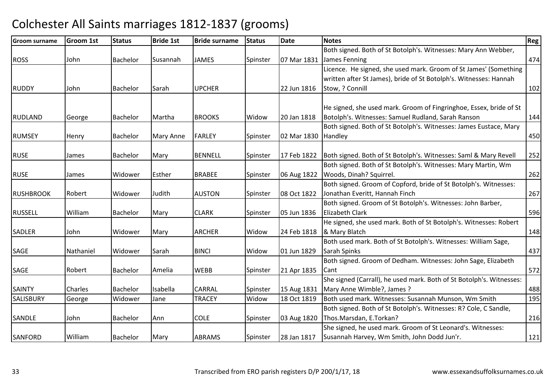| <b>Groom surname</b> | Groom 1st | <b>Status</b> | <b>Bride 1st</b> | <b>Bride surname</b> | <b>Status</b> | <b>Date</b>         | <b>Notes</b>                                                         | Reg |
|----------------------|-----------|---------------|------------------|----------------------|---------------|---------------------|----------------------------------------------------------------------|-----|
|                      |           |               |                  |                      |               |                     | Both signed. Both of St Botolph's. Witnesses: Mary Ann Webber,       |     |
| <b>ROSS</b>          | John      | Bachelor      | Susannah         | <b>JAMES</b>         | Spinster      |                     | 07 Mar 1831 James Fenning                                            | 474 |
|                      |           |               |                  |                      |               |                     | Licence. He signed, she used mark. Groom of St James' (Something     |     |
|                      |           |               |                  |                      |               |                     | written after St James), bride of St Botolph's. Witnesses: Hannah    |     |
| <b>RUDDY</b>         | John      | Bachelor      | Sarah            | <b>UPCHER</b>        |               | 22 Jun 1816         | Stow, ? Connill                                                      | 102 |
|                      |           |               |                  |                      |               |                     | He signed, she used mark. Groom of Fingringhoe, Essex, bride of St   |     |
| <b>RUDLAND</b>       | George    | Bachelor      | Martha           | <b>BROOKS</b>        | Widow         | 20 Jan 1818         | Botolph's. Witnesses: Samuel Rudland, Sarah Ranson                   | 144 |
|                      |           |               |                  |                      |               |                     | Both signed. Both of St Botolph's. Witnesses: James Eustace, Mary    |     |
| <b>RUMSEY</b>        | Henry     | Bachelor      | <b>Mary Anne</b> | <b>FARLEY</b>        | Spinster      | 02 Mar 1830 Handley |                                                                      | 450 |
|                      |           |               |                  |                      |               |                     |                                                                      |     |
| <b>RUSE</b>          | James     | Bachelor      | Mary             | <b>BENNELL</b>       | Spinster      | 17 Feb 1822         | Both signed. Both of St Botolph's. Witnesses: Saml & Mary Revell     | 252 |
|                      |           |               |                  |                      |               |                     | Both signed. Both of St Botolph's. Witnesses: Mary Martin, Wm        |     |
| <b>RUSE</b>          | James     | Widower       | Esther           | <b>BRABEE</b>        | Spinster      |                     | 06 Aug 1822   Woods, Dinah? Squirrel.                                | 262 |
|                      |           |               |                  |                      |               |                     | Both signed. Groom of Copford, bride of St Botolph's. Witnesses:     |     |
| <b>RUSHBROOK</b>     | Robert    | Widower       | Judith           | <b>AUSTON</b>        | Spinster      | 08 Oct 1822         | Jonathan Everitt, Hannah Finch                                       | 267 |
|                      |           |               |                  |                      |               |                     | Both signed. Groom of St Botolph's. Witnesses: John Barber,          |     |
| <b>RUSSELL</b>       | William   | Bachelor      | Mary             | <b>CLARK</b>         | Spinster      | 05 Jun 1836         | <b>Elizabeth Clark</b>                                               | 596 |
|                      |           |               |                  |                      |               |                     | He signed, she used mark. Both of St Botolph's. Witnesses: Robert    |     |
| <b>SADLER</b>        | John      | Widower       | Mary             | <b>ARCHER</b>        | Widow         |                     | 24 Feb 1818  & Mary Blatch                                           | 148 |
|                      |           |               |                  |                      |               |                     | Both used mark. Both of St Botolph's. Witnesses: William Sage,       |     |
| <b>SAGE</b>          | Nathaniel | Widower       | Sarah            | <b>BINCI</b>         | Widow         | 01 Jun 1829         | Sarah Spinks                                                         | 437 |
|                      |           |               |                  |                      |               |                     | Both signed. Groom of Dedham. Witnesses: John Sage, Elizabeth        |     |
| <b>SAGE</b>          | Robert    | Bachelor      | Amelia           | <b>WEBB</b>          | Spinster      | 21 Apr 1835         | Cant                                                                 | 572 |
|                      |           |               |                  |                      |               |                     | She signed (Carrall), he used mark. Both of St Botolph's. Witnesses: |     |
| <b>SAINTY</b>        | Charles   | Bachelor      | Isabella         | <b>CARRAL</b>        | Spinster      | 15 Aug 1831         | Mary Anne Wimble?, James?                                            | 488 |
| <b>SALISBURY</b>     | George    | Widower       | Jane             | <b>TRACEY</b>        | Widow         | 18 Oct 1819         | Both used mark. Witnesses: Susannah Munson, Wm Smith                 | 195 |
|                      |           |               |                  |                      |               |                     | Both signed. Both of St Botolph's. Witnesses: R? Cole, C Sandle,     |     |
| SANDLE               | John      | Bachelor      | Ann              | <b>COLE</b>          | Spinster      | 03 Aug 1820         | Thos.Marsdan, E.Torkan?                                              | 216 |
|                      |           |               |                  |                      |               |                     | She signed, he used mark. Groom of St Leonard's. Witnesses:          |     |
| <b>SANFORD</b>       | William   | Bachelor      | Mary             | <b>ABRAMS</b>        | Spinster      | 28 Jan 1817         | Susannah Harvey, Wm Smith, John Dodd Jun'r.                          | 121 |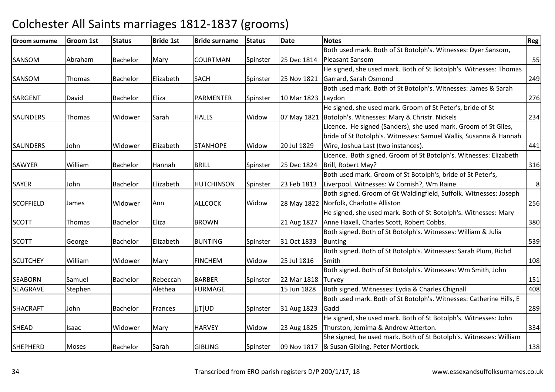| <b>Groom surname</b> | <b>Groom 1st</b> | <b>Status</b>   | <b>Bride 1st</b> | <b>Bride surname</b> | <b>Status</b> | <b>Date</b> | <b>Notes</b>                                                        | Reg |
|----------------------|------------------|-----------------|------------------|----------------------|---------------|-------------|---------------------------------------------------------------------|-----|
|                      |                  |                 |                  |                      |               |             | Both used mark. Both of St Botolph's. Witnesses: Dyer Sansom,       |     |
| SANSOM               | Abraham          | Bachelor        | Mary             | <b>COURTMAN</b>      | Spinster      | 25 Dec 1814 | <b>Pleasant Sansom</b>                                              | 55  |
|                      |                  |                 |                  |                      |               |             | He signed, she used mark. Both of St Botolph's. Witnesses: Thomas   |     |
| SANSOM               | Thomas           | Bachelor        | Elizabeth        | <b>SACH</b>          | Spinster      | 25 Nov 1821 | Garrard, Sarah Osmond                                               | 249 |
|                      |                  |                 |                  |                      |               |             | Both used mark. Both of St Botolph's. Witnesses: James & Sarah      |     |
| <b>SARGENT</b>       | David            | Bachelor        | Eliza            | <b>PARMENTER</b>     | Spinster      | 10 Mar 1823 | Laydon                                                              | 276 |
|                      |                  |                 |                  |                      |               |             | He signed, she used mark. Groom of St Peter's, bride of St          |     |
| <b>SAUNDERS</b>      | <b>Thomas</b>    | Widower         | Sarah            | <b>HALLS</b>         | Widow         |             | 07 May 1821   Botolph's. Witnesses: Mary & Christr. Nickels         | 234 |
|                      |                  |                 |                  |                      |               |             | Licence. He signed (Sanders), she used mark. Groom of St Giles,     |     |
|                      |                  |                 |                  |                      |               |             | bride of St Botolph's. Witnesses: Samuel Wallis, Susanna & Hannah   |     |
| <b>SAUNDERS</b>      | John             | Widower         | Elizabeth        | <b>STANHOPE</b>      | Widow         | 20 Jul 1829 | Wire, Joshua Last (two instances).                                  | 441 |
|                      |                  |                 |                  |                      |               |             | Licence. Both signed. Groom of St Botolph's. Witnesses: Elizabeth   |     |
| <b>SAWYER</b>        | William          | <b>Bachelor</b> | Hannah           | <b>BRILL</b>         | Spinster      | 25 Dec 1824 | Brill, Robert May?                                                  | 316 |
|                      |                  |                 |                  |                      |               |             | Both used mark. Groom of St Botolph's, bride of St Peter's,         |     |
| <b>SAYER</b>         | John             | Bachelor        | Elizabeth        | <b>HUTCHINSON</b>    | Spinster      | 23 Feb 1813 | Liverpool. Witnesses: W Cornish?, Wm Raine                          | 8   |
|                      |                  |                 |                  |                      |               |             | Both signed. Groom of Gt Waldingfield, Suffolk. Witnesses: Joseph   |     |
| <b>SCOFFIELD</b>     | James            | Widower         | Ann              | <b>ALLCOCK</b>       | Widow         |             | 28 May 1822 Norfolk, Charlotte Alliston                             | 256 |
|                      |                  |                 |                  |                      |               |             | He signed, she used mark. Both of St Botolph's. Witnesses: Mary     |     |
| <b>SCOTT</b>         | Thomas           | Bachelor        | Eliza            | <b>BROWN</b>         |               | 21 Aug 1827 | Anne Haxell, Charles Scott, Robert Cobbs.                           | 380 |
|                      |                  |                 |                  |                      |               |             | Both signed. Both of St Botolph's. Witnesses: William & Julia       |     |
| <b>SCOTT</b>         | George           | Bachelor        | Elizabeth        | <b>BUNTING</b>       | Spinster      | 31 Oct 1833 | <b>Bunting</b>                                                      | 539 |
|                      |                  |                 |                  |                      |               |             | Both signed. Both of St Botolph's. Witnesses: Sarah Plum, Richd     |     |
| <b>SCUTCHEY</b>      | William          | Widower         | Mary             | <b>FINCHEM</b>       | Widow         | 25 Jul 1816 | Smith                                                               | 108 |
|                      |                  |                 |                  |                      |               |             | Both signed. Both of St Botolph's. Witnesses: Wm Smith, John        |     |
| <b>SEABORN</b>       | Samuel           | Bachelor        | Rebeccah         | <b>BARBER</b>        | Spinster      | 22 Mar 1818 | <b>Turvey</b>                                                       | 151 |
| <b>SEAGRAVE</b>      | Stephen          |                 | Alethea          | <b>FURMAGE</b>       |               | 15 Jun 1828 | Both signed. Witnesses: Lydia & Charles Chignall                    | 408 |
|                      |                  |                 |                  |                      |               |             | Both used mark. Both of St Botolph's. Witnesses: Catherine Hills, E |     |
| <b>SHACRAFT</b>      | John             | <b>Bachelor</b> | Frances          | [JT]UD               | Spinster      | 31 Aug 1823 | Gadd                                                                | 289 |
|                      |                  |                 |                  |                      |               |             | He signed, she used mark. Both of St Botolph's. Witnesses: John     |     |
| <b>SHEAD</b>         | Isaac            | Widower         | Mary             | <b>HARVEY</b>        | Widow         | 23 Aug 1825 | Thurston, Jemima & Andrew Atterton.                                 | 334 |
|                      |                  |                 |                  |                      |               |             | She signed, he used mark. Both of St Botolph's. Witnesses: William  |     |
| <b>SHEPHERD</b>      | <b>Moses</b>     | Bachelor        | Sarah            | <b>GIBLING</b>       | Spinster      |             | 09 Nov 1817  & Susan Gibling, Peter Mortlock.                       | 138 |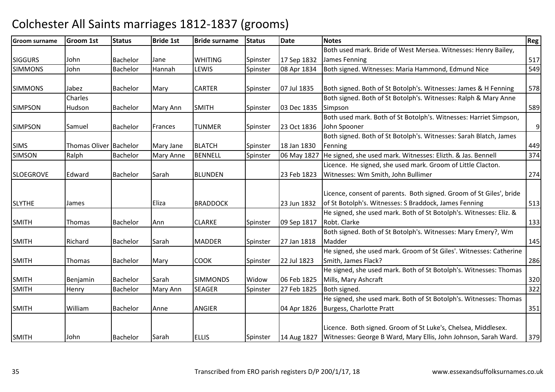| <b>Groom surname</b> | <b>Groom 1st</b>       | <b>Status</b>   | <b>Bride 1st</b> | <b>Bride surname</b> | <b>Status</b> | <b>Date</b> | <b>Notes</b>                                                        | Reg |
|----------------------|------------------------|-----------------|------------------|----------------------|---------------|-------------|---------------------------------------------------------------------|-----|
|                      |                        |                 |                  |                      |               |             | Both used mark. Bride of West Mersea. Witnesses: Henry Bailey,      |     |
| <b>SIGGURS</b>       | John                   | <b>Bachelor</b> | Jane             | <b>WHITING</b>       | Spinster      | 17 Sep 1832 | James Fenning                                                       | 517 |
| <b>SIMMONS</b>       | John                   | <b>Bachelor</b> | Hannah           | LEWIS                | Spinster      | 08 Apr 1834 | Both signed. Witnesses: Maria Hammond, Edmund Nice                  | 549 |
|                      |                        |                 |                  |                      |               |             |                                                                     |     |
| <b>SIMMONS</b>       | Jabez                  | Bachelor        | Mary             | <b>CARTER</b>        | Spinster      | 07 Jul 1835 | Both signed. Both of St Botolph's. Witnesses: James & H Fenning     | 578 |
|                      | Charles                |                 |                  |                      |               |             | Both signed. Both of St Botolph's. Witnesses: Ralph & Mary Anne     |     |
| <b>SIMPSON</b>       | Hudson                 | Bachelor        | Mary Ann         | <b>SMITH</b>         | Spinster      | 03 Dec 1835 | Simpson                                                             | 589 |
|                      |                        |                 |                  |                      |               |             | Both used mark. Both of St Botolph's. Witnesses: Harriet Simpson,   |     |
| <b>SIMPSON</b>       | Samuel                 | Bachelor        | Frances          | <b>TUNMER</b>        | Spinster      | 23 Oct 1836 | John Spooner                                                        | 9   |
|                      |                        |                 |                  |                      |               |             | Both signed. Both of St Botolph's. Witnesses: Sarah Blatch, James   |     |
| <b>SIMS</b>          | Thomas Oliver Bachelor |                 | Mary Jane        | <b>BLATCH</b>        | Spinster      | 18 Jan 1830 | Fenning                                                             | 449 |
| <b>SIMSON</b>        | Ralph                  | Bachelor        | Mary Anne        | <b>BENNELL</b>       | Spinster      | 06 May 1827 | He signed, she used mark. Witnesses: Elizth. & Jas. Bennell         | 374 |
|                      |                        |                 |                  |                      |               |             | Licence. He signed, she used mark. Groom of Little Clacton.         |     |
| <b>SLOEGROVE</b>     | Edward                 | Bachelor        | Sarah            | <b>BLUNDEN</b>       |               | 23 Feb 1823 | Witnesses: Wm Smith, John Bullimer                                  | 274 |
|                      |                        |                 |                  |                      |               |             |                                                                     |     |
|                      |                        |                 |                  |                      |               |             | Licence, consent of parents. Both signed. Groom of St Giles', bride |     |
| <b>SLYTHE</b>        | James                  |                 | Eliza            | <b>BRADDOCK</b>      |               | 23 Jun 1832 | of St Botolph's. Witnesses: S Braddock, James Fenning               | 513 |
|                      |                        |                 |                  |                      |               |             | He signed, she used mark. Both of St Botolph's. Witnesses: Eliz. &  |     |
| <b>SMITH</b>         | Thomas                 | Bachelor        | Ann              | <b>CLARKE</b>        | Spinster      | 09 Sep 1817 | Robt. Clarke                                                        | 133 |
|                      |                        |                 |                  |                      |               |             | Both signed. Both of St Botolph's. Witnesses: Mary Emery?, Wm       |     |
| <b>SMITH</b>         | Richard                | Bachelor        | Sarah            | <b>MADDER</b>        | Spinster      | 27 Jan 1818 | Madder                                                              | 145 |
|                      |                        |                 |                  |                      |               |             | He signed, she used mark. Groom of St Giles'. Witnesses: Catherine  |     |
| <b>SMITH</b>         | Thomas                 | Bachelor        | Mary             | <b>COOK</b>          | Spinster      | 22 Jul 1823 | Smith, James Flack?                                                 | 286 |
|                      |                        |                 |                  |                      |               |             | He signed, she used mark. Both of St Botolph's. Witnesses: Thomas   |     |
| <b>SMITH</b>         | Benjamin               | Bachelor        | Sarah            | <b>SIMMONDS</b>      | Widow         | 06 Feb 1825 | Mills, Mary Ashcraft                                                | 320 |
| <b>SMITH</b>         | Henry                  | <b>Bachelor</b> | Mary Ann         | <b>SEAGER</b>        | Spinster      | 27 Feb 1825 | Both signed.                                                        | 322 |
|                      |                        |                 |                  |                      |               |             | He signed, she used mark. Both of St Botolph's. Witnesses: Thomas   |     |
| <b>SMITH</b>         | William                | <b>Bachelor</b> | Anne             | <b>ANGIER</b>        |               | 04 Apr 1826 | Burgess, Charlotte Pratt                                            | 351 |
|                      |                        |                 |                  |                      |               |             |                                                                     |     |
|                      |                        |                 |                  |                      |               |             | Licence. Both signed. Groom of St Luke's, Chelsea, Middlesex.       |     |
| <b>SMITH</b>         | John                   | Bachelor        | Sarah            | <b>ELLIS</b>         | Spinster      | 14 Aug 1827 | Witnesses: George B Ward, Mary Ellis, John Johnson, Sarah Ward.     | 379 |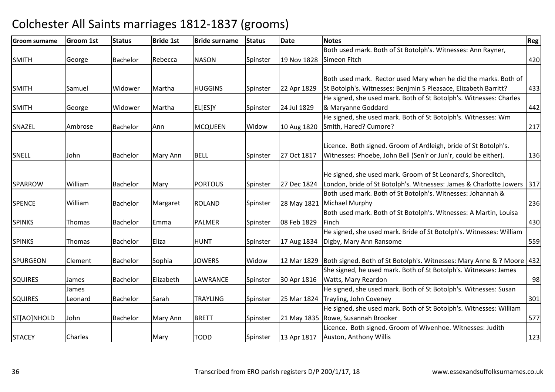| Groom surname   | <b>Groom 1st</b> | <b>Status</b>   | <b>Bride 1st</b> | <b>Bride surname</b> | <b>Status</b> | <b>Date</b> | <b>Notes</b>                                                                          | <b>Reg</b> |
|-----------------|------------------|-----------------|------------------|----------------------|---------------|-------------|---------------------------------------------------------------------------------------|------------|
|                 |                  |                 |                  |                      |               |             | Both used mark. Both of St Botolph's. Witnesses: Ann Rayner,                          |            |
| <b>SMITH</b>    | George           | Bachelor        | Rebecca          | <b>NASON</b>         | Spinster      |             | 19 Nov 1828 Simeon Fitch                                                              | 420        |
|                 |                  |                 |                  |                      |               |             |                                                                                       |            |
|                 |                  |                 |                  |                      |               |             | Both used mark. Rector used Mary when he did the marks. Both of                       |            |
| <b>SMITH</b>    | Samuel           | Widower         | Martha           | <b>HUGGINS</b>       | Spinster      | 22 Apr 1829 | St Botolph's. Witnesses: Benjmin S Pleasace, Elizabeth Barritt?                       | 433        |
|                 |                  |                 |                  |                      |               |             | He signed, she used mark. Both of St Botolph's. Witnesses: Charles                    |            |
| <b>SMITH</b>    | George           | Widower         | Martha           | EL[ES]Y              | Spinster      | 24 Jul 1829 | & Maryanne Goddard                                                                    | 442        |
|                 |                  |                 |                  |                      |               |             | He signed, she used mark. Both of St Botolph's. Witnesses: Wm                         |            |
| SNAZEL          | Ambrose          | Bachelor        | Ann              | <b>MCQUEEN</b>       | Widow         | 10 Aug 1820 | Smith, Hared? Cumore?                                                                 | 217        |
|                 |                  |                 |                  |                      |               |             |                                                                                       |            |
|                 |                  |                 |                  |                      |               |             | Licence. Both signed. Groom of Ardleigh, bride of St Botolph's.                       |            |
| SNELL           | John             | Bachelor        | Mary Ann         | <b>BELL</b>          | Spinster      | 27 Oct 1817 | Witnesses: Phoebe, John Bell (Sen'r or Jun'r, could be either).                       | 136        |
|                 |                  |                 |                  |                      |               |             |                                                                                       |            |
|                 |                  |                 |                  |                      |               |             | He signed, she used mark. Groom of St Leonard's, Shoreditch,                          |            |
| <b>SPARROW</b>  | William          | Bachelor        | Mary             | <b>PORTOUS</b>       | Spinster      | 27 Dec 1824 | London, bride of St Botolph's. Witnesses: James & Charlotte Jowers                    | 317        |
|                 |                  |                 |                  |                      |               |             | Both used mark. Both of St Botolph's. Witnesses: Johannah &                           |            |
| <b>SPENCE</b>   | William          | <b>Bachelor</b> | Margaret         | <b>ROLAND</b>        | Spinster      |             | 28 May 1821 Michael Murphy                                                            | 236        |
|                 |                  |                 |                  |                      |               |             | Both used mark. Both of St Botolph's. Witnesses: A Martin, Louisa                     |            |
| <b>SPINKS</b>   | Thomas           | Bachelor        | Emma             | <b>PALMER</b>        | Spinster      | 08 Feb 1829 | Finch                                                                                 | 430        |
|                 |                  |                 |                  |                      |               |             | He signed, she used mark. Bride of St Botolph's. Witnesses: William                   |            |
| <b>SPINKS</b>   | Thomas           | Bachelor        | Eliza            | <b>HUNT</b>          | Spinster      | 17 Aug 1834 | Digby, Mary Ann Ransome                                                               | 559        |
|                 |                  |                 |                  |                      |               |             |                                                                                       |            |
| <b>SPURGEON</b> | Clement          | <b>Bachelor</b> | Sophia           | <b>JOWERS</b>        | Widow         |             | 12 Mar 1829   Both signed. Both of St Botolph's. Witnesses: Mary Anne & ? Moore   432 |            |
|                 |                  |                 |                  |                      |               |             | She signed, he used mark. Both of St Botolph's. Witnesses: James                      |            |
| <b>SQUIRES</b>  | James            | Bachelor        | Elizabeth        | LAWRANCE             | Spinster      | 30 Apr 1816 | Watts, Mary Reardon                                                                   | 98         |
|                 | James            |                 |                  |                      |               |             | He signed, she used mark. Both of St Botolph's. Witnesses: Susan                      |            |
| <b>SQUIRES</b>  | Leonard          | Bachelor        | Sarah            | <b>TRAYLING</b>      | Spinster      |             | 25 Mar 1824 Trayling, John Coveney                                                    | 301        |
|                 |                  |                 |                  |                      |               |             | He signed, she used mark. Both of St Botolph's. Witnesses: William                    |            |
| ST[AO]NHOLD     | John             | Bachelor        | Mary Ann         | <b>BRETT</b>         | Spinster      |             | 21 May 1835 Rowe, Susannah Brooker                                                    | 577        |
|                 |                  |                 |                  |                      |               |             | Licence. Both signed. Groom of Wivenhoe. Witnesses: Judith                            |            |
| <b>STACEY</b>   | Charles          |                 | Mary             | <b>TODD</b>          | Spinster      | 13 Apr 1817 | Auston, Anthony Willis                                                                | 123        |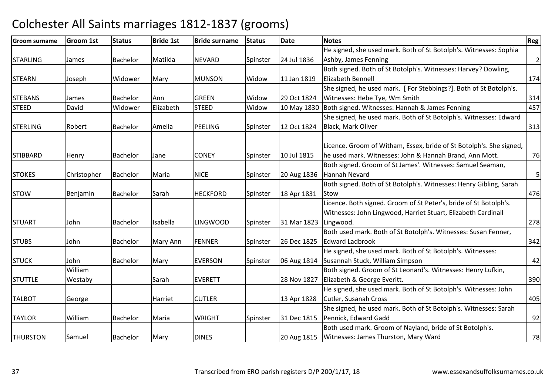| <b>Groom surname</b> | <b>Groom 1st</b> | <b>Status</b>   | <b>Bride 1st</b> | <b>Bride surname</b> | <b>Status</b> | Date                  | <b>Notes</b>                                                        | Reg            |
|----------------------|------------------|-----------------|------------------|----------------------|---------------|-----------------------|---------------------------------------------------------------------|----------------|
|                      |                  |                 |                  |                      |               |                       | He signed, she used mark. Both of St Botolph's. Witnesses: Sophia   |                |
| <b>STARLING</b>      | James            | Bachelor        | Matilda          | <b>NEVARD</b>        | Spinster      | 24 Jul 1836           | Ashby, James Fenning                                                | $\overline{2}$ |
|                      |                  |                 |                  |                      |               |                       | Both signed. Both of St Botolph's. Witnesses: Harvey? Dowling,      |                |
| <b>STEARN</b>        | Joseph           | Widower         | Mary             | <b>MUNSON</b>        | Widow         | 11 Jan 1819           | Elizabeth Bennell                                                   | 174            |
|                      |                  |                 |                  |                      |               |                       | She signed, he used mark. [For Stebbings?]. Both of St Botolph's.   |                |
| <b>STEBANS</b>       | James            | Bachelor        | Ann              | <b>GREEN</b>         | Widow         | 29 Oct 1824           | Witnesses: Hebe Tye, Wm Smith                                       | 314            |
| <b>STEED</b>         | David            | Widower         | Elizabeth        | <b>STEED</b>         | Widow         |                       | 10 May 1830 Both signed. Witnesses: Hannah & James Fenning          | 457            |
|                      |                  |                 |                  |                      |               |                       | She signed, he used mark. Both of St Botolph's. Witnesses: Edward   |                |
| <b>STERLING</b>      | Robert           | Bachelor        | Amelia           | <b>PEELING</b>       | Spinster      | 12 Oct 1824           | Black, Mark Oliver                                                  | 313            |
|                      |                  |                 |                  |                      |               |                       | Licence. Groom of Witham, Essex, bride of St Botolph's. She signed, |                |
| <b>STIBBARD</b>      | Henry            | Bachelor        | Jane             | <b>CONEY</b>         | Spinster      | 10 Jul 1815           | he used mark. Witnesses: John & Hannah Brand, Ann Mott.             | 76             |
|                      |                  |                 |                  |                      |               |                       | Both signed. Groom of St James'. Witnesses: Samuel Seaman,          |                |
| <b>STOKES</b>        | Christopher      | <b>Bachelor</b> | Maria            | <b>NICE</b>          | Spinster      | 20 Aug 1836           | Hannah Nevard                                                       | $\mathsf S$    |
|                      |                  |                 |                  |                      |               |                       | Both signed. Both of St Botolph's. Witnesses: Henry Gibling, Sarah  |                |
| <b>STOW</b>          | Benjamin         | Bachelor        | Sarah            | <b>HECKFORD</b>      | Spinster      | 18 Apr 1831           | <b>Stow</b>                                                         | 476            |
|                      |                  |                 |                  |                      |               |                       | Licence. Both signed. Groom of St Peter's, bride of St Botolph's.   |                |
|                      |                  |                 |                  |                      |               |                       | Witnesses: John Lingwood, Harriet Stuart, Elizabeth Cardinall       |                |
| <b>STUART</b>        | John             | Bachelor        | Isabella         | <b>LINGWOOD</b>      | Spinster      | 31 Mar 1823 Lingwood. |                                                                     | 278            |
|                      |                  |                 |                  |                      |               |                       | Both used mark. Both of St Botolph's. Witnesses: Susan Fenner,      |                |
| <b>STUBS</b>         | John             | Bachelor        | Mary Ann         | <b>FENNER</b>        | Spinster      | 26 Dec 1825           | <b>Edward Ladbrook</b>                                              | 342            |
|                      |                  |                 |                  |                      |               |                       | He signed, she used mark. Both of St Botolph's. Witnesses:          |                |
| <b>STUCK</b>         | John             | Bachelor        | Mary             | <b>EVERSON</b>       | Spinster      |                       | 06 Aug 1814 Susannah Stuck, William Simpson                         | 42             |
|                      | William          |                 |                  |                      |               |                       | Both signed. Groom of St Leonard's. Witnesses: Henry Lufkin,        |                |
| <b>STUTTLE</b>       | Westaby          |                 | Sarah            | <b>EVERETT</b>       |               | 28 Nov 1827           | Elizabeth & George Everitt.                                         | 390            |
|                      |                  |                 |                  |                      |               |                       | He signed, she used mark. Both of St Botolph's. Witnesses: John     |                |
| <b>TALBOT</b>        | George           |                 | Harriet          | <b>CUTLER</b>        |               | 13 Apr 1828           | Cutler, Susanah Cross                                               | 405            |
|                      |                  |                 |                  |                      |               |                       | She signed, he used mark. Both of St Botolph's. Witnesses: Sarah    |                |
| <b>TAYLOR</b>        | William          | <b>Bachelor</b> | Maria            | <b>WRIGHT</b>        | Spinster      | 31 Dec 1815           | Pennick, Edward Gadd                                                | 92             |
|                      |                  |                 |                  |                      |               |                       | Both used mark. Groom of Nayland, bride of St Botolph's.            |                |
| <b>THURSTON</b>      | Samuel           | Bachelor        | Mary             | <b>DINES</b>         |               |                       | 20 Aug 1815   Witnesses: James Thurston, Mary Ward                  | 78             |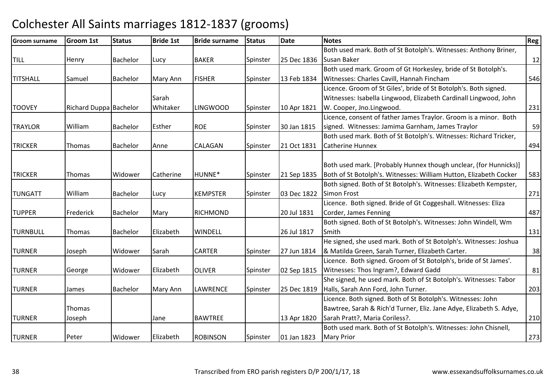| Groom surname   | Groom 1st              | <b>Status</b>   | <b>Bride 1st</b> | <b>Bride surname</b> | <b>Status</b> | <b>Date</b> | <b>Notes</b>                                                        | Reg |
|-----------------|------------------------|-----------------|------------------|----------------------|---------------|-------------|---------------------------------------------------------------------|-----|
|                 |                        |                 |                  |                      |               |             | Both used mark. Both of St Botolph's. Witnesses: Anthony Briner,    |     |
| <b>TILL</b>     | Henry                  | Bachelor        | Lucy             | <b>BAKER</b>         | Spinster      | 25 Dec 1836 | Susan Baker                                                         | 12  |
|                 |                        |                 |                  |                      |               |             | Both used mark. Groom of Gt Horkesley, bride of St Botolph's.       |     |
| <b>TITSHALL</b> | Samuel                 | Bachelor        | Mary Ann         | <b>FISHER</b>        | Spinster      | 13 Feb 1834 | Witnesses: Charles Cavill, Hannah Fincham                           | 546 |
|                 |                        |                 |                  |                      |               |             | Licence. Groom of St Giles', bride of St Botolph's. Both signed.    |     |
|                 |                        |                 | Sarah            |                      |               |             | Witnesses: Isabella Lingwood, Elizabeth Cardinall Lingwood, John    |     |
| <b>TOOVEY</b>   | Richard Duppa Bachelor |                 | Whitaker         | <b>LINGWOOD</b>      | Spinster      | 10 Apr 1821 | W. Cooper, Jno.Lingwood.                                            | 231 |
|                 |                        |                 |                  |                      |               |             | Licence, consent of father James Traylor. Groom is a minor. Both    |     |
| <b>TRAYLOR</b>  | William                | Bachelor        | Esther           | <b>ROE</b>           | Spinster      | 30 Jan 1815 | signed. Witnesses: Jamima Garnham, James Traylor                    | 59  |
|                 |                        |                 |                  |                      |               |             | Both used mark. Both of St Botolph's. Witnesses: Richard Tricker,   |     |
| <b>TRICKER</b>  | Thomas                 | Bachelor        | Anne             | <b>CALAGAN</b>       | Spinster      | 21 Oct 1831 | Catherine Hunnex                                                    | 494 |
|                 |                        |                 |                  |                      |               |             |                                                                     |     |
|                 |                        |                 |                  |                      |               |             | Both used mark. [Probably Hunnex though unclear, (for Hunnicks)]    |     |
| <b>TRICKER</b>  | <b>Thomas</b>          | Widower         | Catherine        | HUNNE*               | Spinster      | 21 Sep 1835 | Both of St Botolph's. Witnesses: William Hutton, Elizabeth Cocker   | 583 |
|                 |                        |                 |                  |                      |               |             | Both signed. Both of St Botolph's. Witnesses: Elizabeth Kempster,   |     |
| <b>TUNGATT</b>  | William                | Bachelor        | Lucy             | <b>KEMPSTER</b>      | Spinster      | 03 Dec 1822 | <b>Simon Frost</b>                                                  | 271 |
|                 |                        |                 |                  |                      |               |             | Licence. Both signed. Bride of Gt Coggeshall. Witnesses: Eliza      |     |
| <b>TUPPER</b>   | Frederick              | <b>Bachelor</b> | Mary             | <b>RICHMOND</b>      |               | 20 Jul 1831 | Corder, James Fenning                                               | 487 |
|                 |                        |                 |                  |                      |               |             | Both signed. Both of St Botolph's. Witnesses: John Windell, Wm      |     |
| <b>TURNBULL</b> | <b>Thomas</b>          | <b>Bachelor</b> | Elizabeth        | <b>WINDELL</b>       |               | 26 Jul 1817 | Smith                                                               | 131 |
|                 |                        |                 |                  |                      |               |             | He signed, she used mark. Both of St Botolph's. Witnesses: Joshua   |     |
| <b>TURNER</b>   | Joseph                 | Widower         | Sarah            | <b>CARTER</b>        | Spinster      | 27 Jun 1814 | & Matilda Green, Sarah Turner, Elizabeth Carter.                    | 38  |
|                 |                        |                 |                  |                      |               |             | Licence. Both signed. Groom of St Botolph's, bride of St James'.    |     |
| <b>TURNER</b>   | George                 | Widower         | Elizabeth        | <b>OLIVER</b>        | Spinster      | 02 Sep 1815 | Witnesses: Thos Ingram?, Edward Gadd                                | 81  |
|                 |                        |                 |                  |                      |               |             | She signed, he used mark. Both of St Botolph's. Witnesses: Tabor    |     |
| <b>TURNER</b>   | James                  | <b>Bachelor</b> | Mary Ann         | <b>LAWRENCE</b>      | Spinster      | 25 Dec 1819 | Halls, Sarah Ann Ford, John Turner.                                 | 203 |
|                 |                        |                 |                  |                      |               |             | Licence. Both signed. Both of St Botolph's. Witnesses: John         |     |
|                 | <b>Thomas</b>          |                 |                  |                      |               |             | Bawtree, Sarah & Rich'd Turner, Eliz. Jane Adye, Elizabeth S. Adye, |     |
| <b>TURNER</b>   | Joseph                 |                 | Jane             | <b>BAWTREE</b>       |               | 13 Apr 1820 | Sarah Pratt?, Maria Coriless?.                                      | 210 |
|                 |                        |                 |                  |                      |               |             | Both used mark. Both of St Botolph's. Witnesses: John Chisnell,     |     |
| <b>TURNER</b>   | Peter                  | Widower         | Elizabeth        | <b>ROBINSON</b>      | Spinster      | 01 Jan 1823 | <b>Mary Prior</b>                                                   | 273 |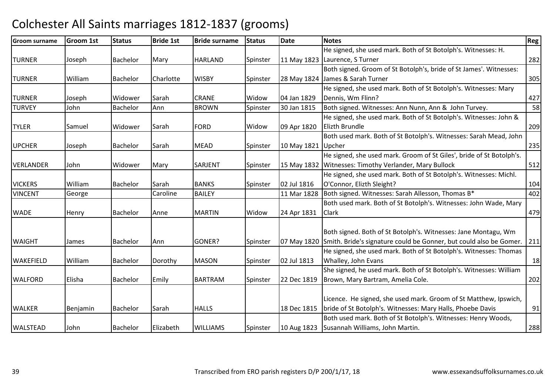| Groom surname    | <b>Groom 1st</b> | <b>Status</b>   | <b>Bride 1st</b> | <b>Bride surname</b> | <b>Status</b> | <b>Date</b>        | <b>Notes</b>                                                                   | Reg |
|------------------|------------------|-----------------|------------------|----------------------|---------------|--------------------|--------------------------------------------------------------------------------|-----|
|                  |                  |                 |                  |                      |               |                    | He signed, she used mark. Both of St Botolph's. Witnesses: H.                  |     |
| <b>TURNER</b>    | Joseph           | Bachelor        | Mary             | <b>HARLAND</b>       | Spinster      |                    | 11 May 1823 Laurence, S Turner                                                 | 282 |
|                  |                  |                 |                  |                      |               |                    | Both signed. Groom of St Botolph's, bride of St James'. Witnesses:             |     |
| <b>TURNER</b>    | William          | <b>Bachelor</b> | Charlotte        | <b>WISBY</b>         | Spinster      |                    | 28 May 1824 James & Sarah Turner                                               | 305 |
|                  |                  |                 |                  |                      |               |                    | He signed, she used mark. Both of St Botolph's. Witnesses: Mary                |     |
| <b>TURNER</b>    | Joseph           | Widower         | Sarah            | <b>CRANE</b>         | Widow         | 04 Jan 1829        | Dennis, Wm Flinn?                                                              | 427 |
| <b>TURVEY</b>    | John             | Bachelor        | Ann              | <b>BROWN</b>         | Spinster      | 30 Jan 1815        | Both signed. Witnesses: Ann Nunn, Ann & John Turvey.                           | 58  |
|                  |                  |                 |                  |                      |               |                    | He signed, she used mark. Both of St Botolph's. Witnesses: John &              |     |
| <b>TYLER</b>     | Samuel           | Widower         | Sarah            | <b>FORD</b>          | Widow         | 09 Apr 1820        | Elizth Brundle                                                                 | 209 |
|                  |                  |                 |                  |                      |               |                    | Both used mark. Both of St Botolph's. Witnesses: Sarah Mead, John              |     |
| <b>UPCHER</b>    | Joseph           | Bachelor        | Sarah            | <b>MEAD</b>          | Spinster      | 10 May 1821 Upcher |                                                                                | 235 |
|                  |                  |                 |                  |                      |               |                    | He signed, she used mark. Groom of St Giles', bride of St Botolph's.           |     |
| <b>VERLANDER</b> | John             | Widower         | Mary             | SARJENT              | Spinster      |                    | 15 May 1832 Witnesses: Timothy Verlander, Mary Bullock                         | 512 |
|                  |                  |                 |                  |                      |               |                    | He signed, she used mark. Both of St Botolph's. Witnesses: Michl.              |     |
| <b>VICKERS</b>   | William          | Bachelor        | Sarah            | <b>BANKS</b>         | Spinster      | 02 Jul 1816        | O'Connor, Elizth Sleight?                                                      | 104 |
| <b>VINCENT</b>   | George           |                 | Caroline         | <b>BAILEY</b>        |               | 11 Mar 1828        | Both signed. Witnesses: Sarah Allesson, Thomas B*                              | 402 |
|                  |                  |                 |                  |                      |               |                    | Both used mark. Both of St Botolph's. Witnesses: John Wade, Mary               |     |
| <b>WADE</b>      | Henry            | Bachelor        | Anne             | <b>MARTIN</b>        | Widow         | 24 Apr 1831        | <b>Clark</b>                                                                   | 479 |
|                  |                  |                 |                  |                      |               |                    |                                                                                |     |
|                  |                  |                 |                  |                      |               |                    | Both signed. Both of St Botolph's. Witnesses: Jane Montagu, Wm                 |     |
| <b>WAIGHT</b>    | James            | Bachelor        | Ann              | GONER?               | Spinster      |                    | 07 May 1820 Smith. Bride's signature could be Gonner, but could also be Gomer. | 211 |
|                  |                  |                 |                  |                      |               |                    | He signed, she used mark. Both of St Botolph's. Witnesses: Thomas              |     |
| <b>WAKEFIELD</b> | William          | <b>Bachelor</b> | Dorothy          | <b>MASON</b>         | Spinster      | 02 Jul 1813        | Whalley, John Evans                                                            | 18  |
|                  |                  |                 |                  |                      |               |                    | She signed, he used mark. Both of St Botolph's. Witnesses: William             |     |
| <b>WALFORD</b>   | Elisha           | Bachelor        | Emily            | <b>BARTRAM</b>       | Spinster      | 22 Dec 1819        | Brown, Mary Bartram, Amelia Cole.                                              | 202 |
|                  |                  |                 |                  |                      |               |                    |                                                                                |     |
|                  |                  |                 |                  |                      |               |                    | Licence. He signed, she used mark. Groom of St Matthew, Ipswich,               |     |
| <b>WALKER</b>    | Benjamin         | Bachelor        | Sarah            | <b>HALLS</b>         |               | 18 Dec 1815        | bride of St Botolph's. Witnesses: Mary Halls, Phoebe Davis                     | 91  |
|                  |                  |                 |                  |                      |               |                    | Both used mark. Both of St Botolph's. Witnesses: Henry Woods,                  |     |
| <b>WALSTEAD</b>  | John             | Bachelor        | Elizabeth        | <b>WILLIAMS</b>      | Spinster      |                    | 10 Aug 1823 Susannah Williams, John Martin.                                    | 288 |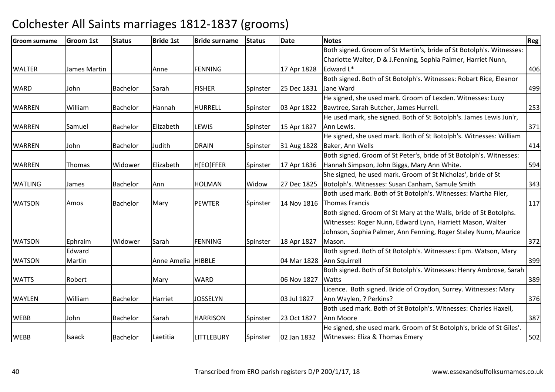| <b>Groom surname</b> | <b>Groom 1st</b> | <b>Status</b>   | <b>Bride 1st</b>     | <b>Bride surname</b> | <b>Status</b> | <b>Date</b>               | <b>Notes</b>                                                         | Reg l |
|----------------------|------------------|-----------------|----------------------|----------------------|---------------|---------------------------|----------------------------------------------------------------------|-------|
|                      |                  |                 |                      |                      |               |                           | Both signed. Groom of St Martin's, bride of St Botolph's. Witnesses: |       |
|                      |                  |                 |                      |                      |               |                           | Charlotte Walter, D & J.Fenning, Sophia Palmer, Harriet Nunn,        |       |
| <b>WALTER</b>        | James Martin     |                 | Anne                 | <b>FENNING</b>       |               | 17 Apr 1828               | Edward L*                                                            | 406   |
|                      |                  |                 |                      |                      |               |                           | Both signed. Both of St Botolph's. Witnesses: Robart Rice, Eleanor   |       |
| <b>WARD</b>          | John             | Bachelor        | Sarah                | <b>FISHER</b>        | Spinster      | 25 Dec 1831               | Jane Ward                                                            | 499   |
|                      |                  |                 |                      |                      |               |                           | He signed, she used mark. Groom of Lexden. Witnesses: Lucy           |       |
| <b>WARREN</b>        | William          | <b>Bachelor</b> | Hannah               | <b>HURRELL</b>       | Spinster      | 03 Apr 1822               | Bawtree, Sarah Butcher, James Hurrell.                               | 253   |
|                      |                  |                 |                      |                      |               |                           | He used mark, she signed. Both of St Botolph's. James Lewis Jun'r,   |       |
| <b>WARREN</b>        | Samuel           | Bachelor        | Elizabeth            | LEWIS                | Spinster      | 15 Apr 1827               | Ann Lewis.                                                           | 371   |
|                      |                  |                 |                      |                      |               |                           | He signed, she used mark. Both of St Botolph's. Witnesses: William   |       |
| <b>WARREN</b>        | John             | Bachelor        | Judith               | <b>DRAIN</b>         | Spinster      | 31 Aug 1828               | Baker, Ann Wells                                                     | 414   |
|                      |                  |                 |                      |                      |               |                           | Both signed. Groom of St Peter's, bride of St Botolph's. Witnesses:  |       |
| <b>WARREN</b>        | <b>Thomas</b>    | Widower         | Elizabeth            | H[EO]FFER            | Spinster      | 17 Apr 1836               | Hannah Simpson, John Biggs, Mary Ann White.                          | 594   |
|                      |                  |                 |                      |                      |               |                           | She signed, he used mark. Groom of St Nicholas', bride of St         |       |
| <b>WATLING</b>       | James            | <b>Bachelor</b> | Ann                  | <b>HOLMAN</b>        | Widow         | 27 Dec 1825               | Botolph's. Witnesses: Susan Canham, Samule Smith                     | 343   |
|                      |                  |                 |                      |                      |               |                           | Both used mark. Both of St Botolph's. Witnesses: Martha Filer,       |       |
| <b>WATSON</b>        | Amos             | Bachelor        | Mary                 | <b>PEWTER</b>        | Spinster      | 14 Nov 1816               | Thomas Francis                                                       | 117   |
|                      |                  |                 |                      |                      |               |                           | Both signed. Groom of St Mary at the Walls, bride of St Botolphs.    |       |
|                      |                  |                 |                      |                      |               |                           | Witnesses: Roger Nunn, Edward Lynn, Harriett Mason, Walter           |       |
|                      |                  |                 |                      |                      |               |                           | Johnson, Sophia Palmer, Ann Fenning, Roger Staley Nunn, Maurice      |       |
| <b>WATSON</b>        | Ephraim          | Widower         | Sarah                | <b>FENNING</b>       | Spinster      | 18 Apr 1827               | Mason.                                                               | 372   |
|                      | Edward           |                 |                      |                      |               |                           | Both signed. Both of St Botolph's. Witnesses: Epm. Watson, Mary      |       |
| <b>WATSON</b>        | Martin           |                 | Anne Amelia   HIBBLE |                      |               | 04 Mar 1828 Ann Squirrell |                                                                      | 399   |
|                      |                  |                 |                      |                      |               |                           | Both signed. Both of St Botolph's. Witnesses: Henry Ambrose, Sarah   |       |
| <b>WATTS</b>         | Robert           |                 | Mary                 | <b>WARD</b>          |               | 06 Nov 1827               | <b>Watts</b>                                                         | 389   |
|                      |                  |                 |                      |                      |               |                           | Licence. Both signed. Bride of Croydon, Surrey. Witnesses: Mary      |       |
| <b>WAYLEN</b>        | William          | <b>Bachelor</b> | Harriet              | <b>JOSSELYN</b>      |               | 03 Jul 1827               | Ann Waylen, ? Perkins?                                               | 376   |
|                      |                  |                 |                      |                      |               |                           | Both used mark. Both of St Botolph's. Witnesses: Charles Haxell,     |       |
| <b>WEBB</b>          | John             | Bachelor        | Sarah                | <b>HARRISON</b>      | Spinster      | 23 Oct 1827               | Ann Moore                                                            | 387   |
|                      |                  |                 |                      |                      |               |                           | He signed, she used mark. Groom of St Botolph's, bride of St Giles'. |       |
| <b>WEBB</b>          | <b>Isaack</b>    | <b>Bachelor</b> | Laetitia             | <b>LITTLEBURY</b>    | Spinster      | 02 Jan 1832               | Witnesses: Eliza & Thomas Emery                                      | 502   |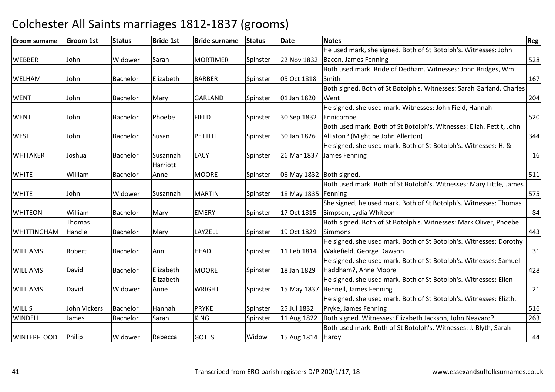| <b>Groom surname</b> | <b>Groom 1st</b> | <b>Status</b>   | <b>Bride 1st</b> | <b>Bride surname</b> | <b>Status</b> | <b>Date</b>                | <b>Notes</b>                                                         | Reg |
|----------------------|------------------|-----------------|------------------|----------------------|---------------|----------------------------|----------------------------------------------------------------------|-----|
|                      |                  |                 |                  |                      |               |                            | He used mark, she signed. Both of St Botolph's. Witnesses: John      |     |
| <b>WEBBER</b>        | John             | Widower         | Sarah            | <b>MORTIMER</b>      | Spinster      |                            | 22 Nov 1832   Bacon, James Fenning                                   | 528 |
|                      |                  |                 |                  |                      |               |                            | Both used mark. Bride of Dedham. Witnesses: John Bridges, Wm         |     |
| <b>WELHAM</b>        | John             | <b>Bachelor</b> | Elizabeth        | <b>BARBER</b>        | Spinster      | 05 Oct 1818                | Smith                                                                | 167 |
|                      |                  |                 |                  |                      |               |                            | Both signed. Both of St Botolph's. Witnesses: Sarah Garland, Charles |     |
| <b>WENT</b>          | John             | <b>Bachelor</b> | Mary             | <b>GARLAND</b>       | Spinster      | 01 Jan 1820                | Went                                                                 | 204 |
|                      |                  |                 |                  |                      |               |                            | He signed, she used mark. Witnesses: John Field, Hannah              |     |
| <b>WENT</b>          | John             | Bachelor        | Phoebe           | <b>FIELD</b>         | Spinster      | 30 Sep 1832                | Ennicombe                                                            | 520 |
|                      |                  |                 |                  |                      |               |                            | Both used mark. Both of St Botolph's. Witnesses: Elizh. Pettit, John |     |
| <b>WEST</b>          | John             | <b>Bachelor</b> | Susan            | <b>PETTITT</b>       | Spinster      | 30 Jan 1826                | Alliston? (Might be John Allerton)                                   | 344 |
|                      |                  |                 |                  |                      |               |                            | He signed, she used mark. Both of St Botolph's. Witnesses: H. &      |     |
| <b>WHITAKER</b>      | Joshua           | Bachelor        | Susannah         | <b>LACY</b>          | Spinster      | 26 Mar 1837                | James Fenning                                                        | 16  |
|                      |                  |                 | Harriott         |                      |               |                            |                                                                      |     |
| <b>WHITE</b>         | William          | Bachelor        | Anne             | <b>MOORE</b>         | Spinster      | 06 May 1832   Both signed. |                                                                      | 511 |
|                      |                  |                 |                  |                      |               |                            | Both used mark. Both of St Botolph's. Witnesses: Mary Little, James  |     |
| <b>WHITE</b>         | John             | Widower         | Susannah         | <b>MARTIN</b>        | Spinster      | 18 May 1835 Fenning        |                                                                      | 575 |
|                      |                  |                 |                  |                      |               |                            | She signed, he used mark. Both of St Botolph's. Witnesses: Thomas    |     |
| <b>WHITEON</b>       | William          | Bachelor        | Mary             | <b>EMERY</b>         | Spinster      | 17 Oct 1815                | Simpson, Lydia Whiteon                                               | 84  |
|                      | Thomas           |                 |                  |                      |               |                            | Both signed. Both of St Botolph's. Witnesses: Mark Oliver, Phoebe    |     |
| <b>WHITTINGHAM</b>   | Handle           | Bachelor        | Mary             | LAYZELL              | Spinster      | 19 Oct 1829                | <b>Simmons</b>                                                       | 443 |
|                      |                  |                 |                  |                      |               |                            | He signed, she used mark. Both of St Botolph's. Witnesses: Dorothy   |     |
| <b>WILLIAMS</b>      | Robert           | Bachelor        | Ann              | <b>HEAD</b>          | Spinster      | 11 Feb 1814                | Wakefield, George Dawson                                             | 31  |
|                      |                  |                 |                  |                      |               |                            | He signed, she used mark. Both of St Botolph's. Witnesses: Samuel    |     |
| <b>WILLIAMS</b>      | David            | Bachelor        | Elizabeth        | <b>MOORE</b>         | Spinster      | 18 Jan 1829                | Haddham?, Anne Moore                                                 | 428 |
|                      |                  |                 | Elizabeth        |                      |               |                            | He signed, she used mark. Both of St Botolph's. Witnesses: Ellen     |     |
| <b>WILLIAMS</b>      | David            | Widower         | Anne             | <b>WRIGHT</b>        | Spinster      |                            | 15 May 1837 Bennell, James Fenning                                   | 21  |
|                      |                  |                 |                  |                      |               |                            | He signed, she used mark. Both of St Botolph's. Witnesses: Elizth.   |     |
| <b>WILLIS</b>        | John Vickers     | Bachelor        | Hannah           | <b>PRYKE</b>         | Spinster      | 25 Jul 1832                | Pryke, James Fenning                                                 | 516 |
| <b>WINDELL</b>       | James            | Bachelor        | Sarah            | <b>KING</b>          | Spinster      | 11 Aug 1822                | Both signed. Witnesses: Elizabeth Jackson, John Neavard?             | 263 |
|                      |                  |                 |                  |                      |               |                            | Both used mark. Both of St Botolph's. Witnesses: J. Blyth, Sarah     |     |
| <b>WINTERFLOOD</b>   | Philip           | Widower         | Rebecca          | <b>GOTTS</b>         | Widow         | 15 Aug 1814 Hardy          |                                                                      | 44  |